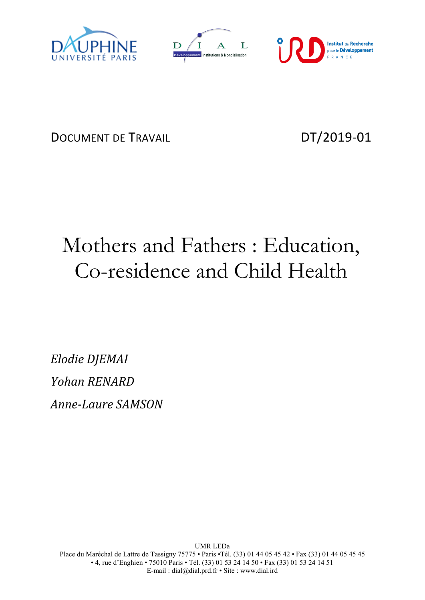





DOCUMENT DE TRAVAIL DT/2019-01

# Mothers and Fathers : Education, Co-residence and Child Health

*Elodie DJEMAI Yohan RENARD Anne-Laure SAMSON*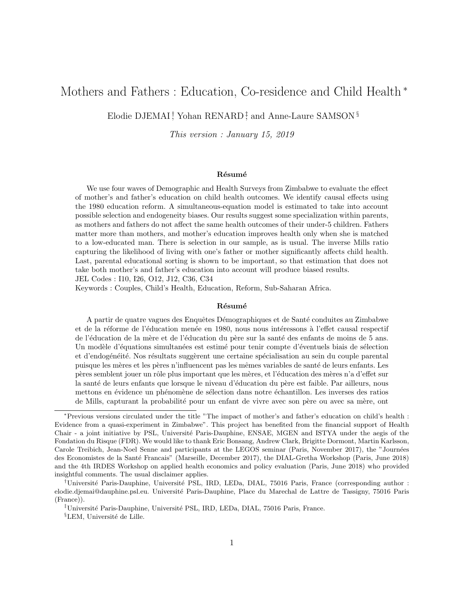## Mothers and Fathers : Education, Co-residence and Child Health <sup>\*</sup>

Elodie DJEMAI<sup>†</sup>, Yohan RENARD<sup>‡</sup>, and Anne-Laure SAMSON<sup>§</sup>

This version : January 15, 2019

#### Résumé

We use four waves of Demographic and Health Surveys from Zimbabwe to evaluate the effect of mother's and father's education on child health outcomes. We identify causal effects using the 1980 education reform. A simultaneous-equation model is estimated to take into account possible selection and endogeneity biases. Our results suggest some specialization within parents, as mothers and fathers do not affect the same health outcomes of their under-5 children. Fathers matter more than mothers, and mother's education improves health only when she is matched to a low-educated man. There is selection in our sample, as is usual. The inverse Mills ratio capturing the likelihood of living with one's father or mother significantly affects child health. Last, parental educational sorting is shown to be important, so that estimation that does not take both mother's and father's education into account will produce biased results. JEL Codes : I10, I26, O12, J12, C36, C34

Keywords : Couples, Child's Health, Education, Reform, Sub-Saharan Africa.

#### Résumé

A partir de quatre vagues des Enquêtes Démographiques et de Santé conduites au Zimbabwe et de la réforme de l'éducation menée en 1980, nous nous intéressons à l'effet causal respectif de l'éducation de la mère et de l'éducation du père sur la santé des enfants de moins de 5 ans. Un modèle d'équations simultanées est estimé pour tenir compte d'éventuels biais de sélection et d'endogénéité. Nos résultats suggèrent une certaine spécialisation au sein du couple parental puisque les mères et les pères n'influencent pas les mêmes variables de santé de leurs enfants. Les pères semblent jouer un rôle plus important que les mères, et l'éducation des mères n'a d'effet sur la santé de leurs enfants que lorsque le niveau d'éducation du père est faible. Par ailleurs, nous mettons en évidence un phénomène de sélection dans notre échantillon. Les inverses des ratios de Mills, capturant la probabilité pour un enfant de vivre avec son père ou avec sa mère, ont

<sup>∗</sup>Previous versions circulated under the title "The impact of mother's and father's education on child's health : Evidence from a quasi-experiment in Zimbabwe". This project has benefited from the financial support of Health Chair - a joint initiative by PSL, Université Paris-Dauphine, ENSAE, MGEN and ISTYA under the aegis of the Fondation du Risque (FDR). We would like to thank Eric Bonsang, Andrew Clark, Brigitte Dormont, Martin Karlsson, Carole Treibich, Jean-Noel Senne and participants at the LEGOS seminar (Paris, November 2017), the "Journées des Economistes de la Santé Francais" (Marseille, December 2017), the DIAL-Gretha Workshop (Paris, June 2018) and the 4th IRDES Workshop on applied health economics and policy evaluation (Paris, June 2018) who provided insightful comments. The usual disclaimer applies.

<sup>&</sup>lt;sup>†</sup>Université Paris-Dauphine, Université PSL, IRD, LEDa, DIAL, 75016 Paris, France (corresponding author : elodie.djemai@dauphine.psl.eu. Universit´e Paris-Dauphine, Place du Marechal de Lattre de Tassigny, 75016 Paris (France)).

<sup>&</sup>lt;sup>‡</sup>Université Paris-Dauphine, Université PSL, IRD, LEDa, DIAL, 75016 Paris, France.

 ${}^{8}$ LEM, Université de Lille.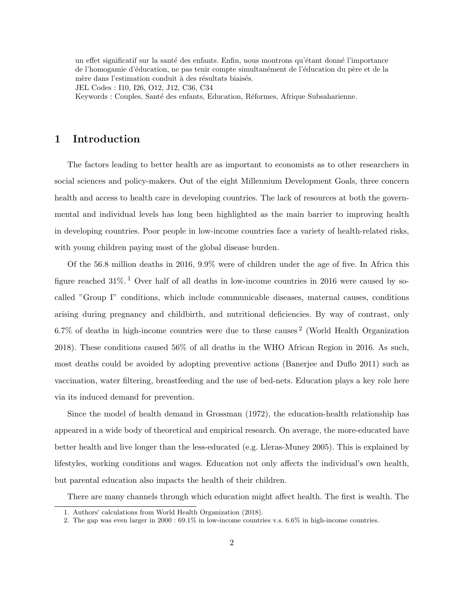un effet significatif sur la santé des enfants. Enfin, nous montrons qu'étant donné l'importance de l'homogamie d'éducation, ne pas tenir compte simultanément de l'éducation du père et de la mère dans l'estimation conduit à des résultats biaisés.

JEL Codes : I10, I26, O12, J12, C36, C34

Keywords : Couples, Santé des enfants, Education, Réformes, Afrique Subsaharienne.

## 1 Introduction

The factors leading to better health are as important to economists as to other researchers in social sciences and policy-makers. Out of the eight Millennium Development Goals, three concern health and access to health care in developing countries. The lack of resources at both the governmental and individual levels has long been highlighted as the main barrier to improving health in developing countries. Poor people in low-income countries face a variety of health-related risks, with young children paying most of the global disease burden.

Of the 56.8 million deaths in 2016, 9.9% were of children under the age of five. In Africa this figure reached  $31\%$ . Over half of all deaths in low-income countries in 2016 were caused by socalled "Group I" conditions, which include communicable diseases, maternal causes, conditions arising during pregnancy and childbirth, and nutritional deficiencies. By way of contrast, only  $6.7\%$  of deaths in high-income countries were due to these causes<sup>2</sup> (World Health Organization 2018). These conditions caused 56% of all deaths in the WHO African Region in 2016. As such, most deaths could be avoided by adopting preventive actions (Banerjee and Duflo 2011) such as vaccination, water filtering, breastfeeding and the use of bed-nets. Education plays a key role here via its induced demand for prevention.

Since the model of health demand in Grossman (1972), the education-health relationship has appeared in a wide body of theoretical and empirical research. On average, the more-educated have better health and live longer than the less-educated (e.g. Lleras-Muney 2005). This is explained by lifestyles, working conditions and wages. Education not only affects the individual's own health, but parental education also impacts the health of their children.

There are many channels through which education might affect health. The first is wealth. The

<sup>1.</sup> Authors' calculations from World Health Organization (2018).

<sup>2.</sup> The gap was even larger in 2000 : 69.1% in low-income countries v.s. 6.6% in high-income countries.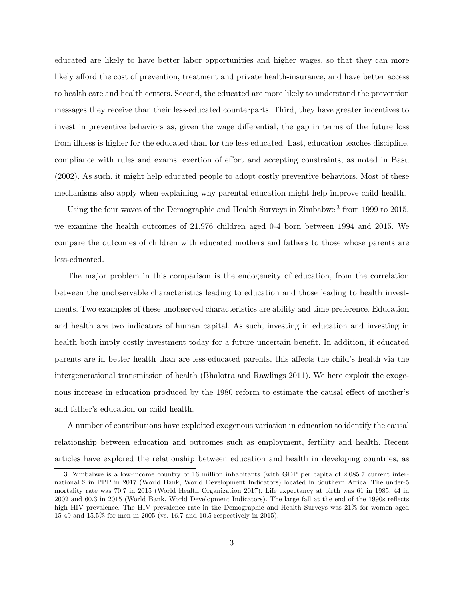educated are likely to have better labor opportunities and higher wages, so that they can more likely afford the cost of prevention, treatment and private health-insurance, and have better access to health care and health centers. Second, the educated are more likely to understand the prevention messages they receive than their less-educated counterparts. Third, they have greater incentives to invest in preventive behaviors as, given the wage differential, the gap in terms of the future loss from illness is higher for the educated than for the less-educated. Last, education teaches discipline, compliance with rules and exams, exertion of effort and accepting constraints, as noted in Basu (2002). As such, it might help educated people to adopt costly preventive behaviors. Most of these mechanisms also apply when explaining why parental education might help improve child health.

Using the four waves of the Demographic and Health Surveys in Zimbabwe<sup>3</sup> from 1999 to 2015, we examine the health outcomes of 21,976 children aged 0-4 born between 1994 and 2015. We compare the outcomes of children with educated mothers and fathers to those whose parents are less-educated.

The major problem in this comparison is the endogeneity of education, from the correlation between the unobservable characteristics leading to education and those leading to health investments. Two examples of these unobserved characteristics are ability and time preference. Education and health are two indicators of human capital. As such, investing in education and investing in health both imply costly investment today for a future uncertain benefit. In addition, if educated parents are in better health than are less-educated parents, this affects the child's health via the intergenerational transmission of health (Bhalotra and Rawlings 2011). We here exploit the exogenous increase in education produced by the 1980 reform to estimate the causal effect of mother's and father's education on child health.

A number of contributions have exploited exogenous variation in education to identify the causal relationship between education and outcomes such as employment, fertility and health. Recent articles have explored the relationship between education and health in developing countries, as

<sup>3.</sup> Zimbabwe is a low-income country of 16 million inhabitants (with GDP per capita of 2,085.7 current international \$ in PPP in 2017 (World Bank, World Development Indicators) located in Southern Africa. The under-5 mortality rate was 70.7 in 2015 (World Health Organization 2017). Life expectancy at birth was 61 in 1985, 44 in 2002 and 60.3 in 2015 (World Bank, World Development Indicators). The large fall at the end of the 1990s reflects high HIV prevalence. The HIV prevalence rate in the Demographic and Health Surveys was  $21\%$  for women aged 15-49 and 15.5% for men in 2005 (vs. 16.7 and 10.5 respectively in 2015).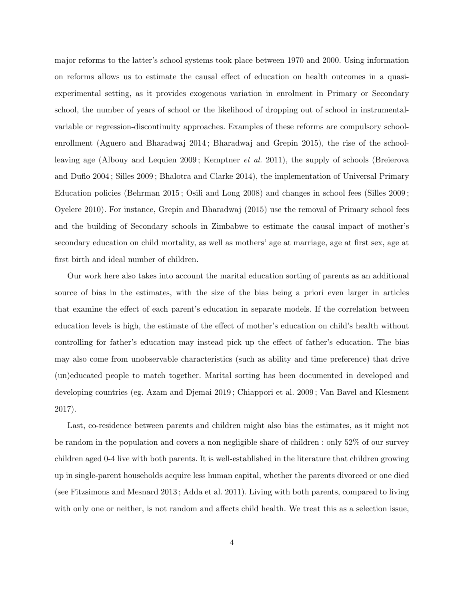major reforms to the latter's school systems took place between 1970 and 2000. Using information on reforms allows us to estimate the causal effect of education on health outcomes in a quasiexperimental setting, as it provides exogenous variation in enrolment in Primary or Secondary school, the number of years of school or the likelihood of dropping out of school in instrumentalvariable or regression-discontinuity approaches. Examples of these reforms are compulsory schoolenrollment (Aguero and Bharadwaj 2014 ; Bharadwaj and Grepin 2015), the rise of the schoolleaving age (Albouy and Lequien 2009 ; Kemptner *et al.* 2011), the supply of schools (Breierova and Duflo 2004 ; Silles 2009 ; Bhalotra and Clarke 2014), the implementation of Universal Primary Education policies (Behrman 2015 ; Osili and Long 2008) and changes in school fees (Silles 2009 ; Oyelere 2010). For instance, Grepin and Bharadwaj (2015) use the removal of Primary school fees and the building of Secondary schools in Zimbabwe to estimate the causal impact of mother's secondary education on child mortality, as well as mothers' age at marriage, age at first sex, age at first birth and ideal number of children.

Our work here also takes into account the marital education sorting of parents as an additional source of bias in the estimates, with the size of the bias being a priori even larger in articles that examine the effect of each parent's education in separate models. If the correlation between education levels is high, the estimate of the effect of mother's education on child's health without controlling for father's education may instead pick up the effect of father's education. The bias may also come from unobservable characteristics (such as ability and time preference) that drive (un)educated people to match together. Marital sorting has been documented in developed and developing countries (eg. Azam and Djemai 2019 ; Chiappori et al. 2009 ; Van Bavel and Klesment 2017).

Last, co-residence between parents and children might also bias the estimates, as it might not be random in the population and covers a non negligible share of children : only 52% of our survey children aged 0-4 live with both parents. It is well-established in the literature that children growing up in single-parent households acquire less human capital, whether the parents divorced or one died (see Fitzsimons and Mesnard 2013 ; Adda et al. 2011). Living with both parents, compared to living with only one or neither, is not random and affects child health. We treat this as a selection issue,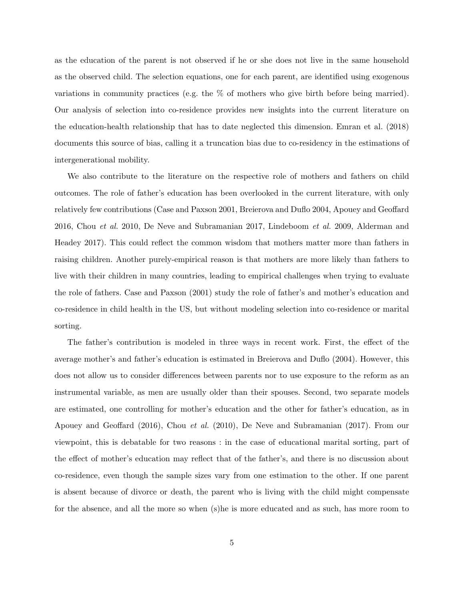as the education of the parent is not observed if he or she does not live in the same household as the observed child. The selection equations, one for each parent, are identified using exogenous variations in community practices (e.g. the % of mothers who give birth before being married). Our analysis of selection into co-residence provides new insights into the current literature on the education-health relationship that has to date neglected this dimension. Emran et al. (2018) documents this source of bias, calling it a truncation bias due to co-residency in the estimations of intergenerational mobility.

We also contribute to the literature on the respective role of mothers and fathers on child outcomes. The role of father's education has been overlooked in the current literature, with only relatively few contributions (Case and Paxson 2001, Breierova and Duflo 2004, Apouey and Geoffard 2016, Chou *et al.* 2010, De Neve and Subramanian 2017, Lindeboom *et al.* 2009, Alderman and Headey 2017). This could reflect the common wisdom that mothers matter more than fathers in raising children. Another purely-empirical reason is that mothers are more likely than fathers to live with their children in many countries, leading to empirical challenges when trying to evaluate the role of fathers. Case and Paxson (2001) study the role of father's and mother's education and co-residence in child health in the US, but without modeling selection into co-residence or marital sorting.

The father's contribution is modeled in three ways in recent work. First, the effect of the average mother's and father's education is estimated in Breierova and Duflo (2004). However, this does not allow us to consider differences between parents nor to use exposure to the reform as an instrumental variable, as men are usually older than their spouses. Second, two separate models are estimated, one controlling for mother's education and the other for father's education, as in Apouey and Geoffard (2016), Chou *et al.* (2010), De Neve and Subramanian (2017). From our viewpoint, this is debatable for two reasons : in the case of educational marital sorting, part of the effect of mother's education may reflect that of the father's, and there is no discussion about co-residence, even though the sample sizes vary from one estimation to the other. If one parent is absent because of divorce or death, the parent who is living with the child might compensate for the absence, and all the more so when (s)he is more educated and as such, has more room to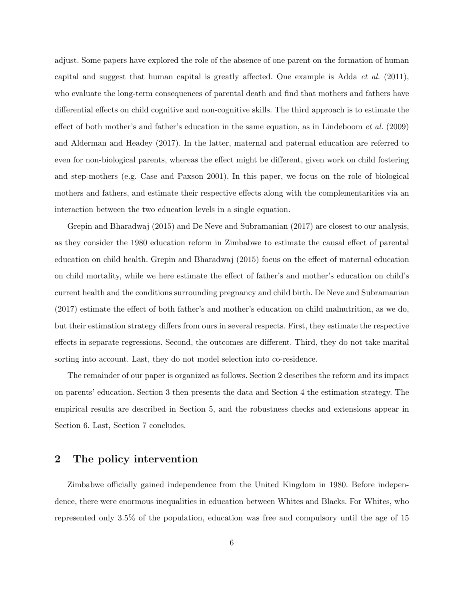adjust. Some papers have explored the role of the absence of one parent on the formation of human capital and suggest that human capital is greatly affected. One example is Adda *et al.* (2011), who evaluate the long-term consequences of parental death and find that mothers and fathers have differential effects on child cognitive and non-cognitive skills. The third approach is to estimate the effect of both mother's and father's education in the same equation, as in Lindeboom *et al.* (2009) and Alderman and Headey (2017). In the latter, maternal and paternal education are referred to even for non-biological parents, whereas the effect might be different, given work on child fostering and step-mothers (e.g. Case and Paxson 2001). In this paper, we focus on the role of biological mothers and fathers, and estimate their respective effects along with the complementarities via an interaction between the two education levels in a single equation.

Grepin and Bharadwaj (2015) and De Neve and Subramanian (2017) are closest to our analysis, as they consider the 1980 education reform in Zimbabwe to estimate the causal effect of parental education on child health. Grepin and Bharadwaj (2015) focus on the effect of maternal education on child mortality, while we here estimate the effect of father's and mother's education on child's current health and the conditions surrounding pregnancy and child birth. De Neve and Subramanian (2017) estimate the effect of both father's and mother's education on child malnutrition, as we do, but their estimation strategy differs from ours in several respects. First, they estimate the respective effects in separate regressions. Second, the outcomes are different. Third, they do not take marital sorting into account. Last, they do not model selection into co-residence.

The remainder of our paper is organized as follows. Section 2 describes the reform and its impact on parents' education. Section 3 then presents the data and Section 4 the estimation strategy. The empirical results are described in Section 5, and the robustness checks and extensions appear in Section 6. Last, Section 7 concludes.

## 2 The policy intervention

Zimbabwe officially gained independence from the United Kingdom in 1980. Before independence, there were enormous inequalities in education between Whites and Blacks. For Whites, who represented only 3.5% of the population, education was free and compulsory until the age of 15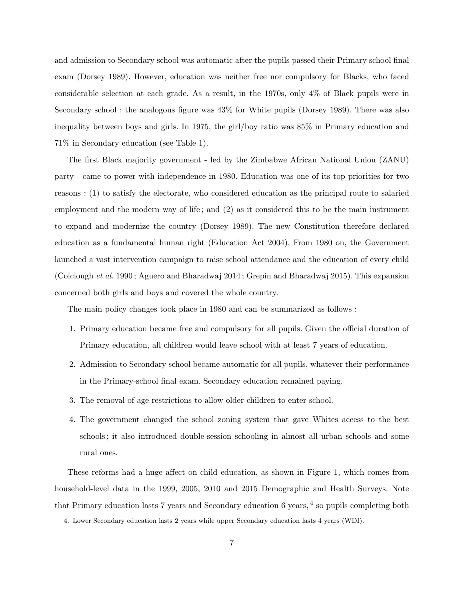and admission to Secondary school was automatic after the pupils passed their Primary school final exam (Dorsey 1989). However, education was neither free nor compulsory for Blacks, who faced considerable selection at each grade. As a result, in the 1970s, only 4% of Black pupils were in Secondary school : the analogous figure was 43% for White pupils (Dorsey 1989). There was also inequality between boys and girls. In 1975, the girl/boy ratio was 85% in Primary education and 71% in Secondary education (see Table 1).

The first Black majority government - led by the Zimbabwe African National Union (ZANU) party - came to power with independence in 1980. Education was one of its top priorities for two reasons : (1) to satisfy the electorate, who considered education as the principal route to salaried employment and the modern way of life ; and (2) as it considered this to be the main instrument to expand and modernize the country (Dorsey 1989). The new Constitution therefore declared education as a fundamental human right (Education Act 2004). From 1980 on, the Government launched a vast intervention campaign to raise school attendance and the education of every child (Colclough *et al.* 1990 ; Aguero and Bharadwaj 2014 ; Grepin and Bharadwaj 2015). This expansion concerned both girls and boys and covered the whole country.

The main policy changes took place in 1980 and can be summarized as follows :

- 1. Primary education became free and compulsory for all pupils. Given the official duration of Primary education, all children would leave school with at least 7 years of education.
- 2. Admission to Secondary school became automatic for all pupils, whatever their performance in the Primary-school final exam. Secondary education remained paying.
- 3. The removal of age-restrictions to allow older children to enter school.
- 4. The government changed the school zoning system that gave Whites access to the best schools ; it also introduced double-session schooling in almost all urban schools and some rural ones.

These reforms had a huge affect on child education, as shown in Figure 1, which comes from household-level data in the 1999, 2005, 2010 and 2015 Demographic and Health Surveys. Note that Primary education lasts 7 years and Secondary education 6 years, 4 so pupils completing both

<sup>4.</sup> Lower Secondary education lasts 2 years while upper Secondary education lasts 4 years (WDI).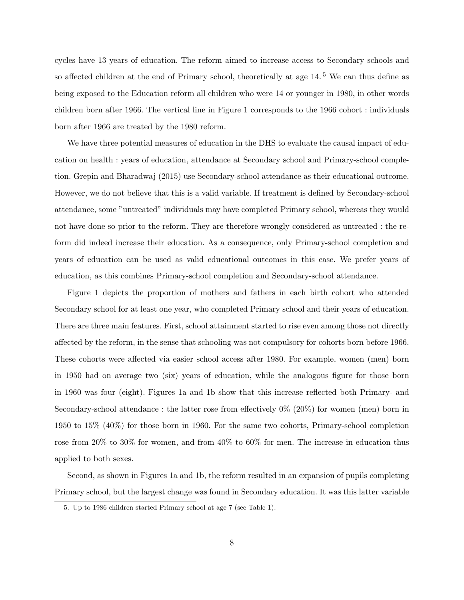cycles have 13 years of education. The reform aimed to increase access to Secondary schools and so affected children at the end of Primary school, theoretically at age 14.<sup>5</sup> We can thus define as being exposed to the Education reform all children who were 14 or younger in 1980, in other words children born after 1966. The vertical line in Figure 1 corresponds to the 1966 cohort : individuals born after 1966 are treated by the 1980 reform.

We have three potential measures of education in the DHS to evaluate the causal impact of education on health : years of education, attendance at Secondary school and Primary-school completion. Grepin and Bharadwaj (2015) use Secondary-school attendance as their educational outcome. However, we do not believe that this is a valid variable. If treatment is defined by Secondary-school attendance, some "untreated" individuals may have completed Primary school, whereas they would not have done so prior to the reform. They are therefore wrongly considered as untreated : the reform did indeed increase their education. As a consequence, only Primary-school completion and years of education can be used as valid educational outcomes in this case. We prefer years of education, as this combines Primary-school completion and Secondary-school attendance.

Figure 1 depicts the proportion of mothers and fathers in each birth cohort who attended Secondary school for at least one year, who completed Primary school and their years of education. There are three main features. First, school attainment started to rise even among those not directly affected by the reform, in the sense that schooling was not compulsory for cohorts born before 1966. These cohorts were affected via easier school access after 1980. For example, women (men) born in 1950 had on average two (six) years of education, while the analogous figure for those born in 1960 was four (eight). Figures 1a and 1b show that this increase reflected both Primary- and Secondary-school attendance : the latter rose from effectively 0% (20%) for women (men) born in 1950 to 15% (40%) for those born in 1960. For the same two cohorts, Primary-school completion rose from 20% to 30% for women, and from 40% to 60% for men. The increase in education thus applied to both sexes.

Second, as shown in Figures 1a and 1b, the reform resulted in an expansion of pupils completing Primary school, but the largest change was found in Secondary education. It was this latter variable

<sup>5.</sup> Up to 1986 children started Primary school at age 7 (see Table 1).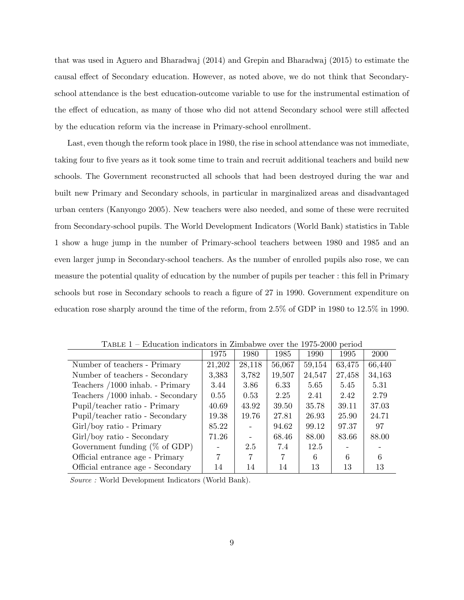that was used in Aguero and Bharadwaj (2014) and Grepin and Bharadwaj (2015) to estimate the causal effect of Secondary education. However, as noted above, we do not think that Secondaryschool attendance is the best education-outcome variable to use for the instrumental estimation of the effect of education, as many of those who did not attend Secondary school were still affected by the education reform via the increase in Primary-school enrollment.

Last, even though the reform took place in 1980, the rise in school attendance was not immediate, taking four to five years as it took some time to train and recruit additional teachers and build new schools. The Government reconstructed all schools that had been destroyed during the war and built new Primary and Secondary schools, in particular in marginalized areas and disadvantaged urban centers (Kanyongo 2005). New teachers were also needed, and some of these were recruited from Secondary-school pupils. The World Development Indicators (World Bank) statistics in Table 1 show a huge jump in the number of Primary-school teachers between 1980 and 1985 and an even larger jump in Secondary-school teachers. As the number of enrolled pupils also rose, we can measure the potential quality of education by the number of pupils per teacher : this fell in Primary schools but rose in Secondary schools to reach a figure of 27 in 1990. Government expenditure on education rose sharply around the time of the reform, from 2.5% of GDP in 1980 to 12.5% in 1990.

|                                   | 1975   | 1980   | 1985   | 1990   | 1995   | <b>2000</b> |
|-----------------------------------|--------|--------|--------|--------|--------|-------------|
| Number of teachers - Primary      | 21,202 | 28,118 | 56,067 | 59,154 | 63,475 | 66,440      |
| Number of teachers - Secondary    | 3,383  | 3,782  | 19,507 | 24,547 | 27,458 | 34,163      |
| Teachers /1000 inhab. - Primary   | 3.44   | 3.86   | 6.33   | 5.65   | 5.45   | 5.31        |
| Teachers /1000 inhab. - Secondary | 0.55   | 0.53   | 2.25   | 2.41   | 2.42   | 2.79        |
| Pupil/teacher ratio - Primary     | 40.69  | 43.92  | 39.50  | 35.78  | 39.11  | 37.03       |
| Pupil/teacher ratio - Secondary   | 19.38  | 19.76  | 27.81  | 26.93  | 25.90  | 24.71       |
| Girl/boy ratio - Primary          | 85.22  |        | 94.62  | 99.12  | 97.37  | 97          |
| Girl/boy ratio - Secondary        | 71.26  |        | 68.46  | 88.00  | 83.66  | 88.00       |
| Government funding $(\%$ of GDP)  |        | 2.5    | 7.4    | 12.5   |        |             |
| Official entrance age - Primary   | 7      | 7      | 7      | 6      | 6      | 6           |
| Official entrance age - Secondary | 14     | 14     | 14     | 13     | 13     | 13          |

Table 1 – Education indicators in Zimbabwe over the 1975-2000 period

*Source :* World Development Indicators (World Bank).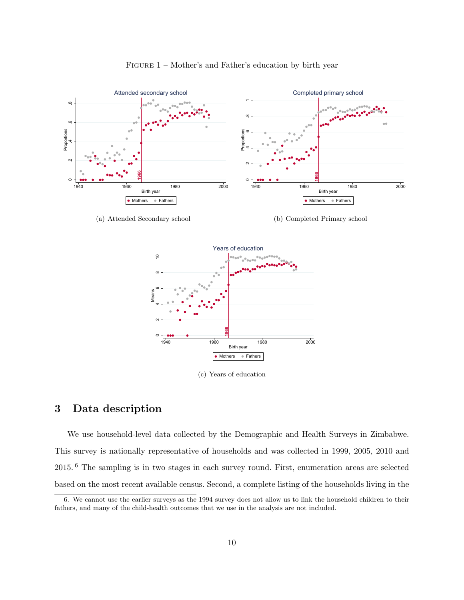

FIGURE 1 – Mother's and Father's education by birth year

(a) Attended Secondary school

(b) Completed Primary school



(c) Years of education

## 3 Data description

We use household-level data collected by the Demographic and Health Surveys in Zimbabwe. This survey is nationally representative of households and was collected in 1999, 2005, 2010 and 2015. <sup>6</sup> The sampling is in two stages in each survey round. First, enumeration areas are selected based on the most recent available census. Second, a complete listing of the households living in the

<sup>6.</sup> We cannot use the earlier surveys as the 1994 survey does not allow us to link the household children to their fathers, and many of the child-health outcomes that we use in the analysis are not included.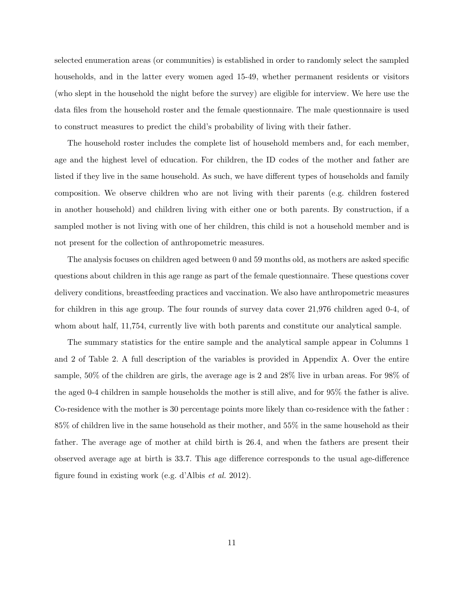selected enumeration areas (or communities) is established in order to randomly select the sampled households, and in the latter every women aged 15-49, whether permanent residents or visitors (who slept in the household the night before the survey) are eligible for interview. We here use the data files from the household roster and the female questionnaire. The male questionnaire is used to construct measures to predict the child's probability of living with their father.

The household roster includes the complete list of household members and, for each member, age and the highest level of education. For children, the ID codes of the mother and father are listed if they live in the same household. As such, we have different types of households and family composition. We observe children who are not living with their parents (e.g. children fostered in another household) and children living with either one or both parents. By construction, if a sampled mother is not living with one of her children, this child is not a household member and is not present for the collection of anthropometric measures.

The analysis focuses on children aged between 0 and 59 months old, as mothers are asked specific questions about children in this age range as part of the female questionnaire. These questions cover delivery conditions, breastfeeding practices and vaccination. We also have anthropometric measures for children in this age group. The four rounds of survey data cover 21,976 children aged 0-4, of whom about half, 11,754, currently live with both parents and constitute our analytical sample.

The summary statistics for the entire sample and the analytical sample appear in Columns 1 and 2 of Table 2. A full description of the variables is provided in Appendix A. Over the entire sample, 50% of the children are girls, the average age is 2 and 28% live in urban areas. For 98% of the aged 0-4 children in sample households the mother is still alive, and for 95% the father is alive. Co-residence with the mother is 30 percentage points more likely than co-residence with the father : 85% of children live in the same household as their mother, and 55% in the same household as their father. The average age of mother at child birth is 26.4, and when the fathers are present their observed average age at birth is 33.7. This age difference corresponds to the usual age-difference figure found in existing work (e.g. d'Albis *et al.* 2012).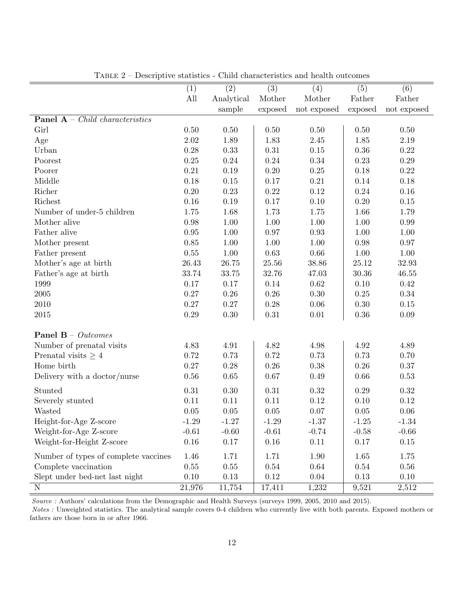| <b>D</b> contribution programment             | (1)      | (2)        | China characteristics and hearth outcomed<br>(3) | (4)         | (5)       | (6)         |
|-----------------------------------------------|----------|------------|--------------------------------------------------|-------------|-----------|-------------|
|                                               | All      | Analytical | Mother                                           | Mother      | Father    | Father      |
|                                               |          | sample     | exposed                                          | not exposed | exposed   | not exposed |
| <b>Panel A</b> – <i>Child characteristics</i> |          |            |                                                  |             |           |             |
| Girl                                          | 0.50     | 0.50       | $0.50\,$                                         | 0.50        | $0.50\,$  | $0.50\,$    |
| Age                                           | $2.02\,$ | 1.89       | 1.83                                             | 2.45        | 1.85      | $2.19\,$    |
| Urban                                         | 0.28     | 0.33       | $0.31\,$                                         | $0.15\,$    | $0.36\,$  | $0.22\,$    |
| Poorest                                       | $0.25\,$ | $0.24\,$   | 0.24                                             | 0.34        | 0.23      | $0.29\,$    |
| Poorer                                        | 0.21     | 0.19       | $0.20\,$                                         | 0.25        | 0.18      | $0.22\,$    |
| Middle                                        | 0.18     | 0.15       | 0.17                                             | $0.21\,$    | 0.14      | 0.18        |
| Richer                                        | $0.20\,$ | 0.23       | 0.22                                             | 0.12        | 0.24      | 0.16        |
| Richest                                       | 0.16     | 0.19       | 0.17                                             | 0.10        | 0.20      | $0.15\,$    |
| Number of under-5 children                    | 1.75     | 1.68       | 1.73                                             | 1.75        | 1.66      | 1.79        |
| Mother alive                                  | 0.98     | $1.00\,$   | $1.00\,$                                         | 1.00        | 1.00      | 0.99        |
| Father alive                                  | $0.95\,$ | 1.00       | 0.97                                             | 0.93        | 1.00      | $1.00\,$    |
| Mother present                                | 0.85     | 1.00       | 1.00                                             | 1.00        | 0.98      | 0.97        |
| Father present                                | $0.55\,$ | 1.00       | 0.63                                             | 0.66        | 1.00      | 1.00        |
| Mother's age at birth                         | 26.43    | 26.75      | $25.56\,$                                        | 38.86       | $25.12\,$ | 32.93       |
| Father's age at birth                         | 33.74    | 33.75      | 32.76                                            | 47.03       | 30.36     | 46.55       |
| 1999                                          | 0.17     | 0.17       | 0.14                                             | 0.62        | 0.10      | 0.42        |
| $\,2005\,$                                    | $0.27\,$ | 0.26       | 0.26                                             | 0.30        | $0.25\,$  | $0.34\,$    |
| 2010                                          | $0.27\,$ | 0.27       | 0.28                                             | 0.06        | 0.30      | $0.15\,$    |
| $\,2015$                                      | 0.29     | 0.30       | $0.31\,$                                         | 0.01        | 0.36      | $0.09\,$    |
| <b>Panel B</b> – $Outcomes$                   |          |            |                                                  |             |           |             |
| Number of prenatal visits                     | 4.83     | 4.91       | 4.82                                             | 4.98        | 4.92      | 4.89        |
| Prenatal visits $\geq 4$                      | 0.72     | 0.73       | 0.72                                             | 0.73        | 0.73      | 0.70        |
| Home birth                                    | 0.27     | 0.28       | 0.26                                             | 0.38        | 0.26      | 0.37        |
| Delivery with a doctor/nurse                  | $0.56\,$ | $0.65\,$   | 0.67                                             | 0.49        | $0.66\,$  | $0.53\,$    |
|                                               |          |            |                                                  |             |           |             |
| Stunted                                       | $0.31\,$ | 0.30       | 0.31                                             | 0.32        | 0.29      | $0.32\,$    |
| Severely stunted                              | 0.11     | 0.11       | 0.11                                             | 0.12        | $0.10\,$  | 0.12        |
| Wasted                                        | 0.05     | 0.05       | $0.05\,$                                         | 0.07        | 0.05      | 0.06        |
| Height-for-Age Z-score                        | $-1.29$  | $-1.27$    | $-1.29$                                          | $-1.37$     | $-1.25$   | $-1.34$     |
| Weight-for-Age Z-score                        | $-0.61$  | $-0.60$    | $-0.61$                                          | $-0.74$     | $-0.58$   | $-0.66$     |
| Weight-for-Height Z-score                     | 0.16     | 0.17       | 0.16                                             | 0.11        | 0.17      | 0.15        |
| Number of types of complete vaccines          | 1.46     | 1.71       | 1.71                                             | 1.90        | 1.65      | 1.75        |
| Complete vaccination                          | $0.55\,$ | 0.55       | 0.54                                             | 0.64        | 0.54      | 0.56        |
| Slept under bed-net last night                | 0.10     | 0.13       | 0.12                                             | 0.04        | 0.13      | 0.10        |
| $\mathbf N$                                   | 21,976   | 11,754     | 17,411                                           | 1,232       | 9,521     | 2,512       |

Table 2 – Descriptive statistics - Child characteristics and health outcomes

Source : Authors' calculations from the Demographic and Health Surveys (surveys 1999, 2005, 2010 and 2015).

Notes : Unweighted statistics. The analytical sample covers 0-4 children who currently live with both parents. Exposed mothers or fathers are those born in or after 1966.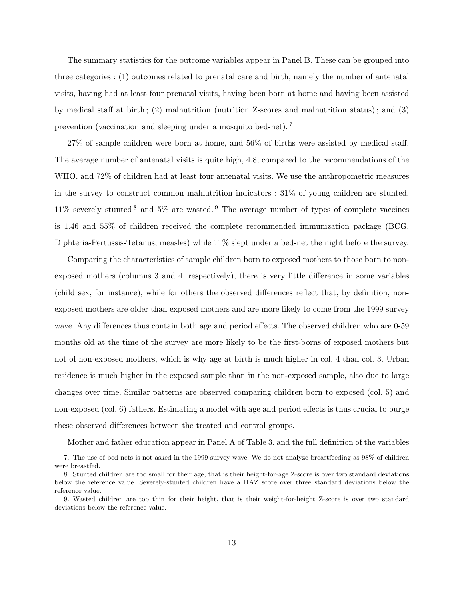The summary statistics for the outcome variables appear in Panel B. These can be grouped into three categories : (1) outcomes related to prenatal care and birth, namely the number of antenatal visits, having had at least four prenatal visits, having been born at home and having been assisted by medical staff at birth; (2) malnutrition (nutrition Z-scores and malnutrition status); and (3) prevention (vaccination and sleeping under a mosquito bed-net). <sup>7</sup>

27% of sample children were born at home, and 56% of births were assisted by medical staff. The average number of antenatal visits is quite high, 4.8, compared to the recommendations of the WHO, and 72% of children had at least four antenatal visits. We use the anthropometric measures in the survey to construct common malnutrition indicators  $: 31\%$  of young children are stunted,  $11\%$  severely stunted <sup>8</sup> and 5% are wasted. <sup>9</sup> The average number of types of complete vaccines is 1.46 and 55% of children received the complete recommended immunization package (BCG, Diphteria-Pertussis-Tetanus, measles) while 11% slept under a bed-net the night before the survey.

Comparing the characteristics of sample children born to exposed mothers to those born to nonexposed mothers (columns 3 and 4, respectively), there is very little difference in some variables (child sex, for instance), while for others the observed differences reflect that, by definition, nonexposed mothers are older than exposed mothers and are more likely to come from the 1999 survey wave. Any differences thus contain both age and period effects. The observed children who are 0-59 months old at the time of the survey are more likely to be the first-borns of exposed mothers but not of non-exposed mothers, which is why age at birth is much higher in col. 4 than col. 3. Urban residence is much higher in the exposed sample than in the non-exposed sample, also due to large changes over time. Similar patterns are observed comparing children born to exposed (col. 5) and non-exposed (col. 6) fathers. Estimating a model with age and period effects is thus crucial to purge these observed differences between the treated and control groups.

Mother and father education appear in Panel A of Table 3, and the full definition of the variables

<sup>7.</sup> The use of bed-nets is not asked in the 1999 survey wave. We do not analyze breastfeeding as 98% of children were breastfed.

<sup>8.</sup> Stunted children are too small for their age, that is their height-for-age Z-score is over two standard deviations below the reference value. Severely-stunted children have a HAZ score over three standard deviations below the reference value.

<sup>9.</sup> Wasted children are too thin for their height, that is their weight-for-height Z-score is over two standard deviations below the reference value.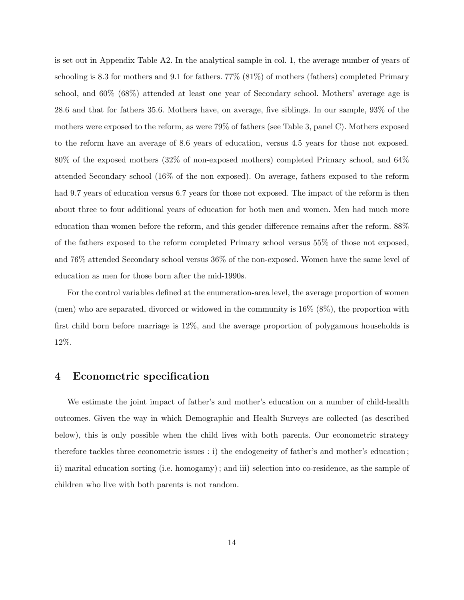is set out in Appendix Table A2. In the analytical sample in col. 1, the average number of years of schooling is 8.3 for mothers and 9.1 for fathers. 77% (81%) of mothers (fathers) completed Primary school, and 60% (68%) attended at least one year of Secondary school. Mothers' average age is 28.6 and that for fathers 35.6. Mothers have, on average, five siblings. In our sample, 93% of the mothers were exposed to the reform, as were 79% of fathers (see Table 3, panel C). Mothers exposed to the reform have an average of 8.6 years of education, versus 4.5 years for those not exposed. 80% of the exposed mothers (32% of non-exposed mothers) completed Primary school, and 64% attended Secondary school (16% of the non exposed). On average, fathers exposed to the reform had 9.7 years of education versus 6.7 years for those not exposed. The impact of the reform is then about three to four additional years of education for both men and women. Men had much more education than women before the reform, and this gender difference remains after the reform. 88% of the fathers exposed to the reform completed Primary school versus 55% of those not exposed, and 76% attended Secondary school versus 36% of the non-exposed. Women have the same level of education as men for those born after the mid-1990s.

For the control variables defined at the enumeration-area level, the average proportion of women (men) who are separated, divorced or widowed in the community is 16% (8%), the proportion with first child born before marriage is 12%, and the average proportion of polygamous households is 12%.

## 4 Econometric specification

We estimate the joint impact of father's and mother's education on a number of child-health outcomes. Given the way in which Demographic and Health Surveys are collected (as described below), this is only possible when the child lives with both parents. Our econometric strategy therefore tackles three econometric issues : i) the endogeneity of father's and mother's education ; ii) marital education sorting (i.e. homogamy) ; and iii) selection into co-residence, as the sample of children who live with both parents is not random.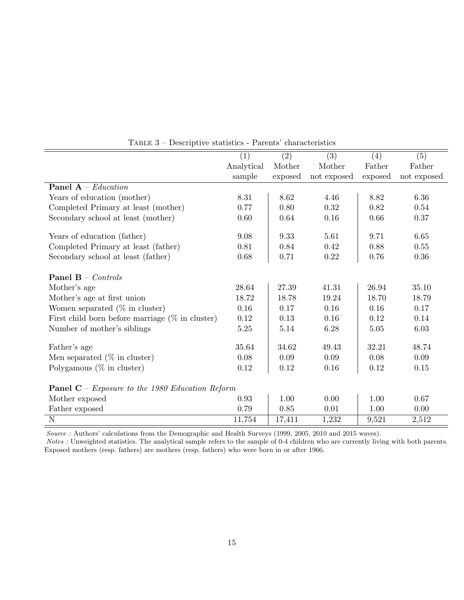|                                                               | (1)        | (2)     | (3)         | (4)     | (5)         |
|---------------------------------------------------------------|------------|---------|-------------|---------|-------------|
|                                                               | Analytical | Mother  | Mother      | Father  | Father      |
|                                                               | sample     | exposed | not exposed | exposed | not exposed |
| <b>Panel A</b> – <i>Education</i>                             |            |         |             |         |             |
| Years of education (mother)                                   | 8.31       | 8.62    | 4.46        | 8.82    | 6.36        |
| Completed Primary at least (mother)                           | 0.77       | 0.80    | 0.32        | 0.82    | 0.54        |
| Secondary school at least (mother)                            | 0.60       | 0.64    | 0.16        | 0.66    | 0.37        |
|                                                               |            |         |             |         |             |
| Years of education (father)                                   | 9.08       | 9.33    | 5.61        | 9.71    | 6.65        |
| Completed Primary at least (father)                           | 0.81       | 0.84    | 0.42        | 0.88    | 0.55        |
| Secondary school at least (father)                            | $0.68\,$   | 0.71    | 0.22        | 0.76    | 0.36        |
|                                                               |            |         |             |         |             |
| <b>Panel B</b> – <i>Controls</i>                              |            |         |             |         |             |
| Mother's age                                                  | 28.64      | 27.39   | 41.31       | 26.94   | 35.10       |
| Mother's age at first union                                   | 18.72      | 18.78   | 19.24       | 18.70   | 18.79       |
| Women separated $(\%$ in cluster)                             | 0.16       | 0.17    | 0.16        | 0.16    | 0.17        |
| First child born before marriage $(\%$ in cluster)            | 0.12       | 0.13    | 0.16        | 0.12    | 0.14        |
| Number of mother's siblings                                   | $5.25\,$   | 5.14    | 6.28        | 5.05    | 6.03        |
|                                                               |            |         |             |         |             |
| Father's age                                                  | 35.64      | 34.62   | 49.43       | 32.21   | 48.74       |
| Men separated $(\%$ in cluster)                               | 0.08       | 0.09    | 0.09        | 0.08    | 0.09        |
| Polygamous $(\%$ in cluster)                                  | 0.12       | 0.12    | 0.16        | 0.12    | 0.15        |
|                                                               |            |         |             |         |             |
| <b>Panel C</b> – <i>Exposure to the 1980 Education Reform</i> |            |         |             |         |             |
| Mother exposed                                                | 0.93       | 1.00    | 0.00        | 1.00    | 0.67        |
| Father exposed                                                | 0.79       | 0.85    | 0.01        | 1.00    | 0.00        |
| $\mathbf N$                                                   | 11,754     | 17,411  | 1,232       | 9,521   | 2,512       |

Table 3 – Descriptive statistics - Parents' characteristics

Source : Authors' calculations from the Demographic and Health Surveys (1999, 2005, 2010 and 2015 waves).

Notes : Unweighted statistics. The analytical sample refers to the sample of 0-4 children who are currently living with both parents. Exposed mothers (resp. fathers) are mothers (resp. fathers) who were born in or after 1966.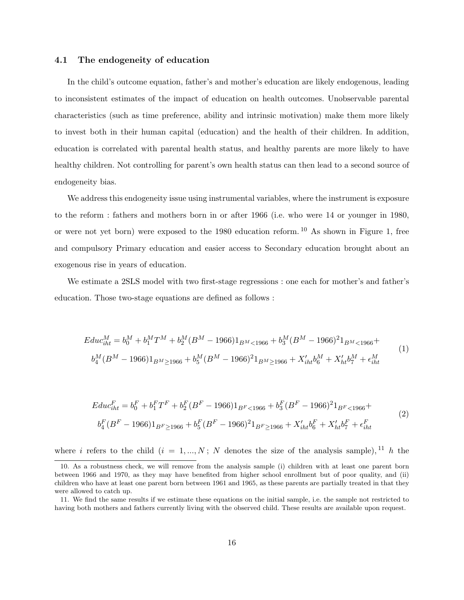#### 4.1 The endogeneity of education

In the child's outcome equation, father's and mother's education are likely endogenous, leading to inconsistent estimates of the impact of education on health outcomes. Unobservable parental characteristics (such as time preference, ability and intrinsic motivation) make them more likely to invest both in their human capital (education) and the health of their children. In addition, education is correlated with parental health status, and healthy parents are more likely to have healthy children. Not controlling for parent's own health status can then lead to a second source of endogeneity bias.

We address this endogeneity issue using instrumental variables, where the instrument is exposure to the reform : fathers and mothers born in or after 1966 (i.e. who were 14 or younger in 1980, or were not yet born) were exposed to the 1980 education reform. <sup>10</sup> As shown in Figure 1, free and compulsory Primary education and easier access to Secondary education brought about an exogenous rise in years of education.

We estimate a 2SLS model with two first-stage regressions : one each for mother's and father's education. Those two-stage equations are defined as follows :

$$
E du c_{iht}^M = b_0^M + b_1^M T^M + b_2^M (B^M - 1966) 1_{B^M < 1966} + b_3^M (B^M - 1966)^2 1_{B^M < 1966} + b_4^M (B^M - 1966) 1_{B^M \ge 1966} + b_5^M (B^M - 1966)^2 1_{B^M \ge 1966} + X'_{iht} b_6^M + X'_{ht} b_7^M + \epsilon_{iht}^M
$$
\n
$$
(1)
$$

$$
E du c_{iht}^{F} = b_0^{F} + b_1^{F} T^{F} + b_2^{F} (B^{F} - 1966) 1_{B^{F} < 1966} + b_3^{F} (B^{F} - 1966)^2 1_{B^{F} < 1966} + b_4^{F} (B^{F} - 1966) 1_{B^{F} \ge 1966} + b_5^{F} (B^{F} - 1966)^2 1_{B^{F} \ge 1966} + X_{iht}' b_6^{F} + X_{htt}' b_7^{F} + \epsilon_{iht}^{F}
$$
\n
$$
(2)
$$

where i refers to the child  $(i = 1, ..., N; N$  denotes the size of the analysis sample), <sup>11</sup> h the

<sup>10.</sup> As a robustness check, we will remove from the analysis sample (i) children with at least one parent born between 1966 and 1970, as they may have benefited from higher school enrollment but of poor quality, and (ii) children who have at least one parent born between 1961 and 1965, as these parents are partially treated in that they were allowed to catch up.

<sup>11.</sup> We find the same results if we estimate these equations on the initial sample, i.e. the sample not restricted to having both mothers and fathers currently living with the observed child. These results are available upon request.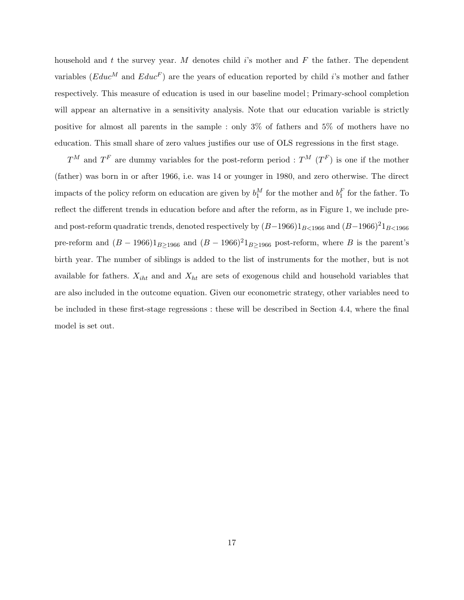household and t the survey year. M denotes child  $i$ 's mother and  $F$  the father. The dependent variables ( $Educ^M$  and  $Educ^F$ ) are the years of education reported by child i's mother and father respectively. This measure of education is used in our baseline model ; Primary-school completion will appear an alternative in a sensitivity analysis. Note that our education variable is strictly positive for almost all parents in the sample : only 3% of fathers and 5% of mothers have no education. This small share of zero values justifies our use of OLS regressions in the first stage.

 $T^M$  and  $T^F$  are dummy variables for the post-reform period :  $T^M$   $(T^F)$  is one if the mother (father) was born in or after 1966, i.e. was 14 or younger in 1980, and zero otherwise. The direct impacts of the policy reform on education are given by  $b_1^M$  for the mother and  $b_1^F$  for the father. To reflect the different trends in education before and after the reform, as in Figure 1, we include preand post-reform quadratic trends, denoted respectively by  $(B-1966)1_{B<1966}$  and  $(B-1966)^21_{B<1966}$ pre-reform and  $(B - 1966)1_{B \ge 1966}$  and  $(B - 1966)^21_{B \ge 1966}$  post-reform, where B is the parent's birth year. The number of siblings is added to the list of instruments for the mother, but is not available for fathers.  $X_{iht}$  and and  $X_{ht}$  are sets of exogenous child and household variables that are also included in the outcome equation. Given our econometric strategy, other variables need to be included in these first-stage regressions : these will be described in Section 4.4, where the final model is set out.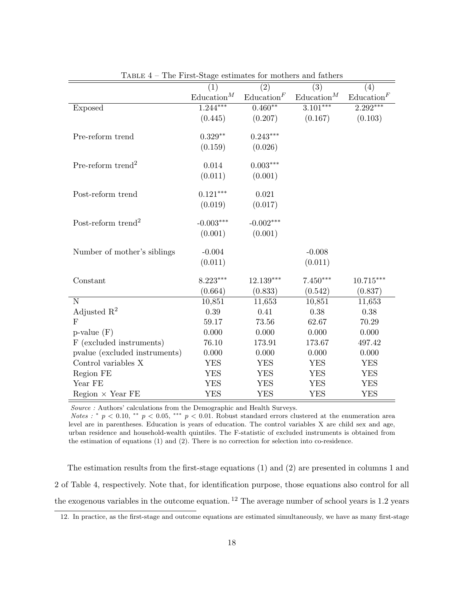|                                | (1)                  | (2)                  | $\overline{(3)}$     | (4)                  |
|--------------------------------|----------------------|----------------------|----------------------|----------------------|
|                                | $\text{Education}^M$ | $\text{Education}^F$ | $\text{Education}^M$ | $\text{Education}^F$ |
| Exposed                        | $1.244***$           | $0.460**$            | $3.101***$           | $2.292***$           |
|                                | (0.445)              | (0.207)              | (0.167)              | (0.103)              |
|                                |                      |                      |                      |                      |
| Pre-reform trend               | $0.329**$            | $0.243***$           |                      |                      |
|                                | (0.159)              | (0.026)              |                      |                      |
|                                |                      |                      |                      |                      |
| Pre-reform trend <sup>2</sup>  | 0.014                | $0.003***$           |                      |                      |
|                                | (0.011)              | (0.001)              |                      |                      |
| Post-reform trend              | $0.121***$           | 0.021                |                      |                      |
|                                | (0.019)              | (0.017)              |                      |                      |
|                                |                      |                      |                      |                      |
| Post-reform trend <sup>2</sup> | $-0.003***$          | $-0.002***$          |                      |                      |
|                                | (0.001)              | (0.001)              |                      |                      |
| Number of mother's siblings    | $-0.004$             |                      | $-0.008$             |                      |
|                                | (0.011)              |                      | (0.011)              |                      |
| Constant                       | 8.223***             | 12.139***            | $7.450***$           | $10.715***$          |
|                                | (0.664)              | (0.833)              | (0.542)              | (0.837)              |
| ${\rm N}$                      | 10,851               | 11,653               | 10,851               | 11,653               |
| Adjusted $\mathbb{R}^2$        | 0.39                 | 0.41                 | 0.38                 | 0.38                 |
| $\mathbf{F}$                   | 59.17                | 73.56                | 62.67                | 70.29                |
|                                |                      |                      |                      |                      |
| $p$ -value $(F)$               | 0.000                | 0.000                | 0.000                | 0.000                |
| F (excluded instruments)       | 76.10                | 173.91               | 173.67               | 497.42               |
| pvalue (excluded instruments)  | 0.000                | 0.000                | 0.000                | 0.000                |
| Control variables X            | <b>YES</b>           | <b>YES</b>           | <b>YES</b>           | <b>YES</b>           |
| Region FE                      | <b>YES</b>           | <b>YES</b>           | <b>YES</b>           | <b>YES</b>           |
| Year FE                        | <b>YES</b>           | <b>YES</b>           | <b>YES</b>           | <b>YES</b>           |
| $Region \times Year FE$        | <b>YES</b>           | <b>YES</b>           | <b>YES</b>           | <b>YES</b>           |

Table 4 – The First-Stage estimates for mothers and fathers

Source : Authors' calculations from the Demographic and Health Surveys.

*Notes* : \*  $p < 0.10$ , \*\*  $p < 0.05$ , \*\*\*  $p < 0.01$ . Robust standard errors clustered at the enumeration area level are in parentheses. Education is years of education. The control variables X are child sex and age, urban residence and household-wealth quintiles. The F-statistic of excluded instruments is obtained from the estimation of equations (1) and (2). There is no correction for selection into co-residence.

The estimation results from the first-stage equations (1) and (2) are presented in columns 1 and 2 of Table 4, respectively. Note that, for identification purpose, those equations also control for all the exogenous variables in the outcome equation.  $^{12}$  The average number of school years is 1.2 years

<sup>12.</sup> In practice, as the first-stage and outcome equations are estimated simultaneously, we have as many first-stage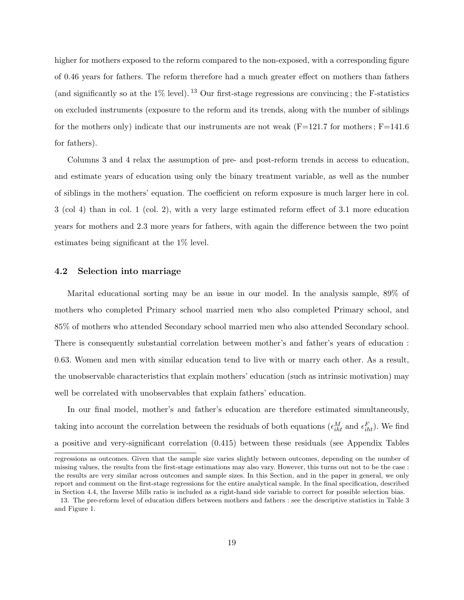higher for mothers exposed to the reform compared to the non-exposed, with a corresponding figure of 0.46 years for fathers. The reform therefore had a much greater effect on mothers than fathers (and significantly so at the  $1\%$  level). <sup>13</sup> Our first-stage regressions are convincing; the F-statistics on excluded instruments (exposure to the reform and its trends, along with the number of siblings for the mothers only) indicate that our instruments are not weak ( $F=121.7$  for mothers;  $F=141.6$ for fathers).

Columns 3 and 4 relax the assumption of pre- and post-reform trends in access to education, and estimate years of education using only the binary treatment variable, as well as the number of siblings in the mothers' equation. The coefficient on reform exposure is much larger here in col. 3 (col 4) than in col. 1 (col. 2), with a very large estimated reform effect of 3.1 more education years for mothers and 2.3 more years for fathers, with again the difference between the two point estimates being significant at the 1% level.

#### 4.2 Selection into marriage

Marital educational sorting may be an issue in our model. In the analysis sample, 89% of mothers who completed Primary school married men who also completed Primary school, and 85% of mothers who attended Secondary school married men who also attended Secondary school. There is consequently substantial correlation between mother's and father's years of education : 0.63. Women and men with similar education tend to live with or marry each other. As a result, the unobservable characteristics that explain mothers' education (such as intrinsic motivation) may well be correlated with unobservables that explain fathers' education.

In our final model, mother's and father's education are therefore estimated simultaneously, taking into account the correlation between the residuals of both equations  $(\epsilon_{iht}^M$  and  $\epsilon_{iht}^F)$ . We find a positive and very-significant correlation (0.415) between these residuals (see Appendix Tables

regressions as outcomes. Given that the sample size varies slightly between outcomes, depending on the number of missing values, the results from the first-stage estimations may also vary. However, this turns out not to be the case : the results are very similar across outcomes and sample sizes. In this Section, and in the paper in general, we only report and comment on the first-stage regressions for the entire analytical sample. In the final specification, described in Section 4.4, the Inverse Mills ratio is included as a right-hand side variable to correct for possible selection bias.

<sup>13.</sup> The pre-reform level of education differs between mothers and fathers : see the descriptive statistics in Table 3 and Figure 1.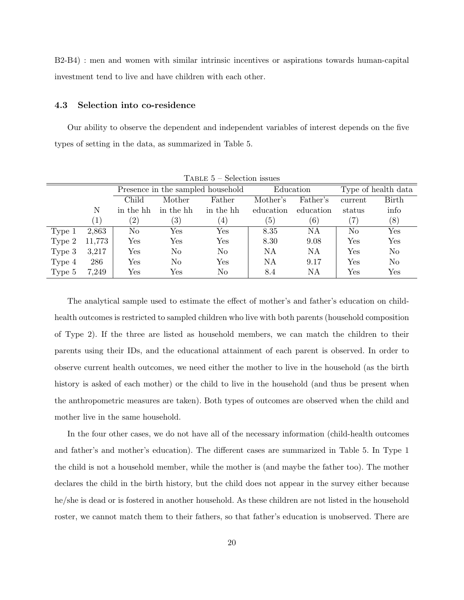B2-B4) : men and women with similar intrinsic incentives or aspirations towards human-capital investment tend to live and have children with each other.

#### 4.3 Selection into co-residence

Our ability to observe the dependent and independent variables of interest depends on the five types of setting in the data, as summarized in Table 5.

|        | -------<br><u>UUTUUTI IUU UU</u> |                                   |           |                      |           |                     |                      |                |  |
|--------|----------------------------------|-----------------------------------|-----------|----------------------|-----------|---------------------|----------------------|----------------|--|
|        |                                  | Presence in the sampled household |           | Education            |           | Type of health data |                      |                |  |
|        |                                  | Child                             | Mother    | Father               | Mother's  | Father's            | current              | Birth          |  |
|        | N                                | in the hh                         | in the hh | in the hh            | education | education           | status               | info           |  |
|        | $\left(1\right)$                 | $\left( 2\right)$                 | (3)       | (4)                  | (5)       | (6)                 | $\left( 7\right)$    | (8)            |  |
| Type 1 | 2,863                            | No                                | Yes       | $\operatorname{Yes}$ | 8.35      | ΝA                  | No                   | Yes            |  |
| Type 2 | 11,773                           | $\operatorname{Yes}$              | Yes       | $\operatorname{Yes}$ | 8.30      | 9.08                | $\operatorname{Yes}$ | Yes            |  |
| Type 3 | 3,217                            | Yes                               | No        | No                   | NA        | NA                  | $\operatorname{Yes}$ | N <sub>o</sub> |  |
| Type 4 | 286                              | Yes                               | No        | Yes                  | NA        | 9.17                | Yes                  | No             |  |
| Type 5 | 7,249                            | Yes                               | Yes       | No                   | 8.4       | ΝA                  | Yes                  | Yes            |  |

 $T$ ABLE  $5$  – Selection issues

The analytical sample used to estimate the effect of mother's and father's education on childhealth outcomes is restricted to sampled children who live with both parents (household composition of Type 2). If the three are listed as household members, we can match the children to their parents using their IDs, and the educational attainment of each parent is observed. In order to observe current health outcomes, we need either the mother to live in the household (as the birth history is asked of each mother) or the child to live in the household (and thus be present when the anthropometric measures are taken). Both types of outcomes are observed when the child and mother live in the same household.

In the four other cases, we do not have all of the necessary information (child-health outcomes and father's and mother's education). The different cases are summarized in Table 5. In Type 1 the child is not a household member, while the mother is (and maybe the father too). The mother declares the child in the birth history, but the child does not appear in the survey either because he/she is dead or is fostered in another household. As these children are not listed in the household roster, we cannot match them to their fathers, so that father's education is unobserved. There are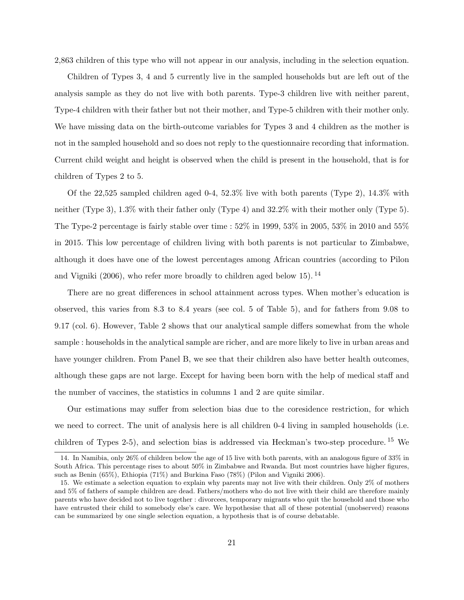2,863 children of this type who will not appear in our analysis, including in the selection equation.

Children of Types 3, 4 and 5 currently live in the sampled households but are left out of the analysis sample as they do not live with both parents. Type-3 children live with neither parent, Type-4 children with their father but not their mother, and Type-5 children with their mother only. We have missing data on the birth-outcome variables for Types 3 and 4 children as the mother is not in the sampled household and so does not reply to the questionnaire recording that information. Current child weight and height is observed when the child is present in the household, that is for children of Types 2 to 5.

Of the 22,525 sampled children aged 0-4, 52.3% live with both parents (Type 2), 14.3% with neither (Type 3), 1.3% with their father only (Type 4) and 32.2% with their mother only (Type 5). The Type-2 percentage is fairly stable over time : 52% in 1999, 53% in 2005, 53% in 2010 and 55% in 2015. This low percentage of children living with both parents is not particular to Zimbabwe, although it does have one of the lowest percentages among African countries (according to Pilon and Vigniki (2006), who refer more broadly to children aged below 15). <sup>14</sup>

There are no great differences in school attainment across types. When mother's education is observed, this varies from 8.3 to 8.4 years (see col. 5 of Table 5), and for fathers from 9.08 to 9.17 (col. 6). However, Table 2 shows that our analytical sample differs somewhat from the whole sample : households in the analytical sample are richer, and are more likely to live in urban areas and have younger children. From Panel B, we see that their children also have better health outcomes, although these gaps are not large. Except for having been born with the help of medical staff and the number of vaccines, the statistics in columns 1 and 2 are quite similar.

Our estimations may suffer from selection bias due to the coresidence restriction, for which we need to correct. The unit of analysis here is all children 0-4 living in sampled households (i.e. children of Types 2-5), and selection bias is addressed via Heckman's two-step procedure. <sup>15</sup> We

<sup>14.</sup> In Namibia, only 26% of children below the age of 15 live with both parents, with an analogous figure of 33% in South Africa. This percentage rises to about 50% in Zimbabwe and Rwanda. But most countries have higher figures, such as Benin (65%), Ethiopia (71%) and Burkina Faso (78%) (Pilon and Vigniki 2006).

<sup>15.</sup> We estimate a selection equation to explain why parents may not live with their children. Only 2% of mothers and 5% of fathers of sample children are dead. Fathers/mothers who do not live with their child are therefore mainly parents who have decided not to live together : divorcees, temporary migrants who quit the household and those who have entrusted their child to somebody else's care. We hypothesise that all of these potential (unobserved) reasons can be summarized by one single selection equation, a hypothesis that is of course debatable.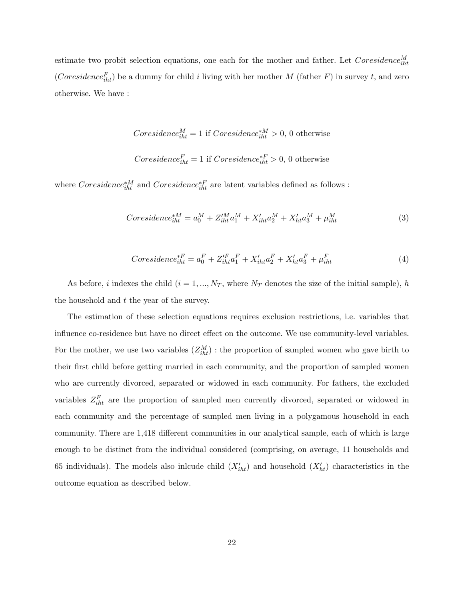estimate two probit selection equations, one each for the mother and father. Let  $\textit{Coresidence}_{iht}^M$ (Coresidence<sub>iht</sub>) be a dummy for child i living with her mother M (father F) in survey t, and zero otherwise. We have :

Coresidence<sup>M</sup> iht = 1 if Coresidence∗<sup>M</sup> iht > 0, 0 otherwise Coresidence<sup>F</sup> iht = 1 if Coresidence∗<sup>F</sup> iht > 0, 0 otherwise

where  $\textit{Coresidence}_{iht}^{*M}$  and  $\textit{Coresidence}_{iht}^{*F}$  are latent variables defined as follows :

$$
Coresidence_{iht}^{*M} = a_0^M + Z_{iht}^{'M}a_1^M + X_{iht}'a_2^M + X_{ht}'a_3^M + \mu_{iht}^M
$$
\n(3)

$$
Coresidence_{iht}^{*F} = a_0^F + Z_{iht}^{'F}a_1^F + X_{iht}^{'}a_2^F + X_{ht}^{'}a_3^F + \mu_{iht}^F
$$
\n(4)

As before, i indexes the child  $(i = 1, ..., N_T)$ , where  $N_T$  denotes the size of the initial sample), h the household and t the year of the survey.

The estimation of these selection equations requires exclusion restrictions, i.e. variables that influence co-residence but have no direct effect on the outcome. We use community-level variables. For the mother, we use two variables  $(Z_{iht}^M)$ : the proportion of sampled women who gave birth to their first child before getting married in each community, and the proportion of sampled women who are currently divorced, separated or widowed in each community. For fathers, the excluded variables  $Z_{iht}^F$  are the proportion of sampled men currently divorced, separated or widowed in each community and the percentage of sampled men living in a polygamous household in each community. There are 1,418 different communities in our analytical sample, each of which is large enough to be distinct from the individual considered (comprising, on average, 11 households and 65 individuals). The models also incude child  $(X'_{iht})$  and household  $(X'_{ht})$  characteristics in the outcome equation as described below.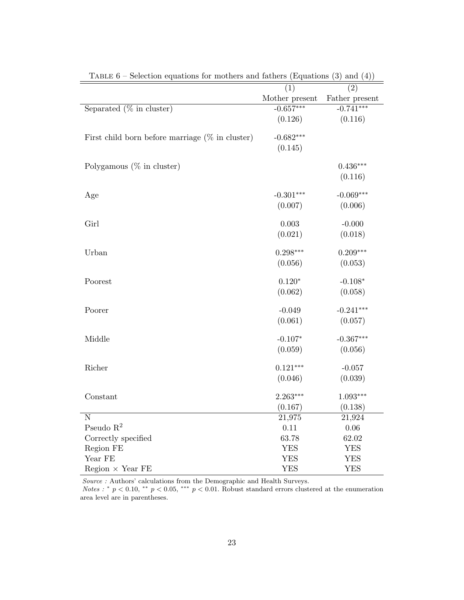|                                                    | (1)            | (2)                 |
|----------------------------------------------------|----------------|---------------------|
|                                                    | Mother present | Father present      |
| Separated $(\%$ in cluster)                        | $-0.657***$    | $-0.741***$         |
|                                                    | (0.126)        | (0.116)             |
| First child born before marriage $(\%$ in cluster) | $-0.682***$    |                     |
|                                                    | (0.145)        |                     |
| Polygamous $(\%$ in cluster)                       |                | $0.436***$          |
|                                                    |                | (0.116)             |
| Age                                                | $-0.301***$    | $-0.069***$         |
|                                                    | (0.007)        | (0.006)             |
| Girl                                               | 0.003          | $-0.000$            |
|                                                    | (0.021)        | (0.018)             |
| Urban                                              | $0.298***$     | $0.209***$          |
|                                                    | (0.056)        | (0.053)             |
| Poorest                                            | $0.120*$       | $-0.108*$           |
|                                                    | (0.062)        | (0.058)             |
| Poorer                                             | $-0.049$       | $-0.241***$         |
|                                                    | (0.061)        | (0.057)             |
| Middle                                             | $-0.107*$      | $-0.367***$         |
|                                                    | (0.059)        | (0.056)             |
| Richer                                             | $0.121***$     | $-0.057$            |
|                                                    | (0.046)        | (0.039)             |
| Constant                                           | $2.263***$     | $1.093***$          |
|                                                    | (0.167)        | (0.138)             |
| $\overline{\text{N}}$                              | 21,975         | $21,\overline{924}$ |
| Pseudo $\mathbb{R}^2$                              | 0.11           | $0.06\,$            |
| Correctly specified                                | 63.78          | 62.02               |
| Region FE                                          | <b>YES</b>     | <b>YES</b>          |
| Year FE                                            | YES            | <b>YES</b>          |
| $Region \times Year FE$                            | <b>YES</b>     | <b>YES</b>          |

TABLE  $6$  – Selection equations for mothers and fathers (Equations (3) and (4))

 $Source$  : Authors' calculations from the Demographic and Health Surveys.

Notes : \*  $p < 0.10$ , \*\*  $p < 0.05$ , \*\*\*  $p < 0.01$ . Robust standard errors clustered at the enumeration area level are in parentheses.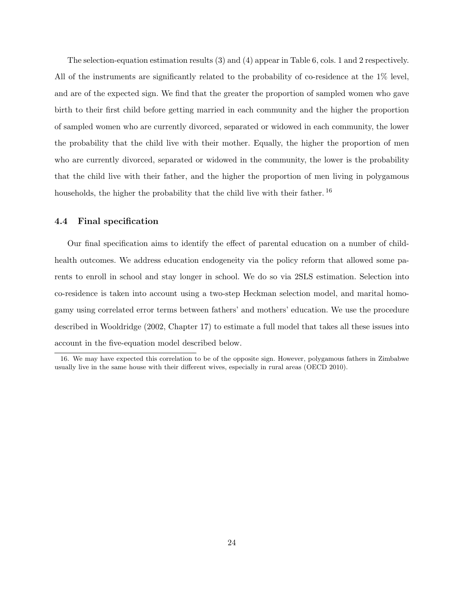The selection-equation estimation results (3) and (4) appear in Table 6, cols. 1 and 2 respectively. All of the instruments are significantly related to the probability of co-residence at the 1% level, and are of the expected sign. We find that the greater the proportion of sampled women who gave birth to their first child before getting married in each community and the higher the proportion of sampled women who are currently divorced, separated or widowed in each community, the lower the probability that the child live with their mother. Equally, the higher the proportion of men who are currently divorced, separated or widowed in the community, the lower is the probability that the child live with their father, and the higher the proportion of men living in polygamous households, the higher the probability that the child live with their father.<sup>16</sup>

#### 4.4 Final specification

Our final specification aims to identify the effect of parental education on a number of childhealth outcomes. We address education endogeneity via the policy reform that allowed some parents to enroll in school and stay longer in school. We do so via 2SLS estimation. Selection into co-residence is taken into account using a two-step Heckman selection model, and marital homogamy using correlated error terms between fathers' and mothers' education. We use the procedure described in Wooldridge (2002, Chapter 17) to estimate a full model that takes all these issues into account in the five-equation model described below.

<sup>16.</sup> We may have expected this correlation to be of the opposite sign. However, polygamous fathers in Zimbabwe usually live in the same house with their different wives, especially in rural areas (OECD 2010).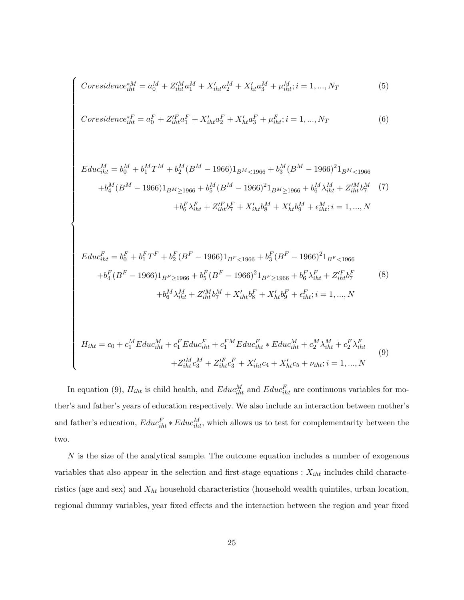$$
Coresidence_{iht}^{*M} = a_0^M + Z_{iht}^{\prime M} a_1^M + X_{iht}^{\prime} a_2^M + X_{ht}^{\prime} a_3^M + \mu_{iht}^M; i = 1, ..., N_T
$$
\n
$$
(5)
$$

 $\sqrt{ }$ 

$$
Coresidence_{iht}^{*F} = a_0^F + Z_{iht}^{'F}a_1^F + X_{iht}^{'}a_2^F + X_{ht}^{'}a_3^F + \mu_{iht}^F; i = 1, ..., N_T
$$
\n
$$
(6)
$$

$$
E du c_{iht}^{M} = b_{0}^{M} + b_{1}^{M} T^{M} + b_{2}^{M} (B^{M} - 1966) 1_{B^{M} < 1966} + b_{3}^{M} (B^{M} - 1966)^{2} 1_{B^{M} < 1966}
$$
\n
$$
+ b_{4}^{M} (B^{M} - 1966) 1_{B^{M} \ge 1966} + b_{5}^{M} (B^{M} - 1966)^{2} 1_{B^{M} \ge 1966} + b_{6}^{M} \lambda_{iht}^{M} + Z_{iht}^{\prime M} b_{7}^{M} \tag{7}
$$
\n
$$
+ b_{6}^{F} \lambda_{iht}^{F} + Z_{iht}^{\prime F} b_{7}^{F} + X_{iht}^{\prime} b_{8}^{M} + X_{ht}^{\prime} b_{9}^{M} + \epsilon_{iht}^{M}; i = 1, ..., N
$$

$$
E du c_{iht}^{F} = b_{0}^{F} + b_{1}^{F} T^{F} + b_{2}^{F} (B^{F} - 1966) 1_{B^{F} < 1966} + b_{3}^{F} (B^{F} - 1966)^{2} 1_{B^{F} < 1966}
$$
\n
$$
+ b_{4}^{F} (B^{F} - 1966) 1_{B^{F} \ge 1966} + b_{5}^{F} (B^{F} - 1966)^{2} 1_{B^{F} \ge 1966} + b_{6}^{F} \lambda_{iht}^{F} + Z_{iht}^{\prime F} b_{7}^{F}
$$
\n
$$
+ b_{6}^{M} \lambda_{iht}^{M} + Z_{iht}^{\prime M} b_{7}^{M} + X_{iht}^{\prime} b_{8}^{F} + X_{ht}^{\prime} b_{9}^{F} + \epsilon_{iht}^{F}; i = 1, ..., N
$$
\n
$$
(8)
$$

$$
H_{iht} = c_0 + c_1^M E du c_{iht}^M + c_1^F E du c_{iht}^F + c_1^{FM} E du c_{iht}^F * E du c_{iht}^M + c_2^M \lambda_{iht}^M + c_2^F \lambda_{iht}^F
$$
  
+ 
$$
Z_{iht}^M c_3^M + Z_{iht}^{'F} c_3^F + X_{iht}' c_4 + X_{ht}' c_5 + \nu_{iht}; i = 1, ..., N
$$

$$
(9)
$$

In equation (9),  $H_{iht}$  is child health, and  $Educ_{iht}^M$  and  $Educ_{iht}^F$  are continuous variables for mother's and father's years of education respectively. We also include an interaction between mother's and father's education,  $Educ_{iht}^F * Educ_{iht}^M$ , which allows us to test for complementarity between the two.

N is the size of the analytical sample. The outcome equation includes a number of exogenous variables that also appear in the selection and first-stage equations :  $X_{iht}$  includes child characteristics (age and sex) and  $X_{ht}$  household characteristics (household wealth quintiles, urban location, regional dummy variables, year fixed effects and the interaction between the region and year fixed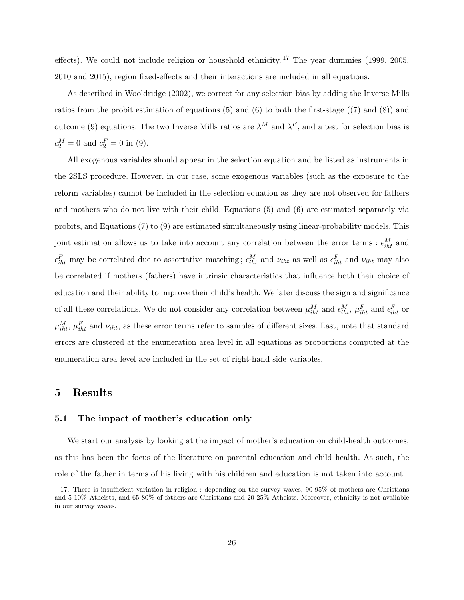effects). We could not include religion or household ethnicity.<sup>17</sup> The year dummies (1999, 2005, 2010 and 2015), region fixed-effects and their interactions are included in all equations.

As described in Wooldridge (2002), we correct for any selection bias by adding the Inverse Mills ratios from the probit estimation of equations (5) and (6) to both the first-stage ((7) and (8)) and outcome (9) equations. The two Inverse Mills ratios are  $\lambda^M$  and  $\lambda^F$ , and a test for selection bias is  $c_2^M = 0$  and  $c_2^F = 0$  in (9).

All exogenous variables should appear in the selection equation and be listed as instruments in the 2SLS procedure. However, in our case, some exogenous variables (such as the exposure to the reform variables) cannot be included in the selection equation as they are not observed for fathers and mothers who do not live with their child. Equations (5) and (6) are estimated separately via probits, and Equations (7) to (9) are estimated simultaneously using linear-probability models. This joint estimation allows us to take into account any correlation between the error terms :  $\epsilon_{iht}^M$  and  $\epsilon_{iht}^F$  may be correlated due to assortative matching;  $\epsilon_{iht}^M$  and  $\nu_{iht}$  as well as  $\epsilon_{iht}^F$  and  $\nu_{iht}$  may also be correlated if mothers (fathers) have intrinsic characteristics that influence both their choice of education and their ability to improve their child's health. We later discuss the sign and significance of all these correlations. We do not consider any correlation between  $\mu_{iht}^M$  and  $\epsilon_{iht}^M$ ,  $\mu_{iht}^F$  and  $\epsilon_{iht}^F$  or  $\mu_{iht}^M$ ,  $\mu_{iht}^F$  and  $\nu_{iht}$ , as these error terms refer to samples of different sizes. Last, note that standard errors are clustered at the enumeration area level in all equations as proportions computed at the enumeration area level are included in the set of right-hand side variables.

### 5 Results

#### 5.1 The impact of mother's education only

We start our analysis by looking at the impact of mother's education on child-health outcomes, as this has been the focus of the literature on parental education and child health. As such, the role of the father in terms of his living with his children and education is not taken into account.

<sup>17.</sup> There is insufficient variation in religion : depending on the survey waves, 90-95% of mothers are Christians and 5-10% Atheists, and 65-80% of fathers are Christians and 20-25% Atheists. Moreover, ethnicity is not available in our survey waves.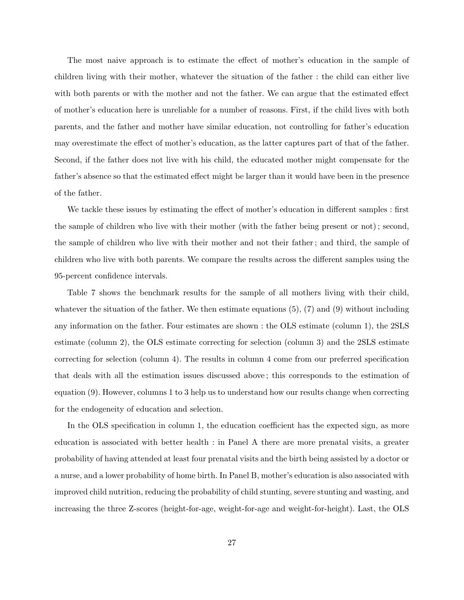The most naive approach is to estimate the effect of mother's education in the sample of children living with their mother, whatever the situation of the father : the child can either live with both parents or with the mother and not the father. We can argue that the estimated effect of mother's education here is unreliable for a number of reasons. First, if the child lives with both parents, and the father and mother have similar education, not controlling for father's education may overestimate the effect of mother's education, as the latter captures part of that of the father. Second, if the father does not live with his child, the educated mother might compensate for the father's absence so that the estimated effect might be larger than it would have been in the presence of the father.

We tackle these issues by estimating the effect of mother's education in different samples : first the sample of children who live with their mother (with the father being present or not) ; second, the sample of children who live with their mother and not their father ; and third, the sample of children who live with both parents. We compare the results across the different samples using the 95-percent confidence intervals.

Table 7 shows the benchmark results for the sample of all mothers living with their child, whatever the situation of the father. We then estimate equations  $(5)$ ,  $(7)$  and  $(9)$  without including any information on the father. Four estimates are shown : the OLS estimate (column 1), the 2SLS estimate (column 2), the OLS estimate correcting for selection (column 3) and the 2SLS estimate correcting for selection (column 4). The results in column 4 come from our preferred specification that deals with all the estimation issues discussed above ; this corresponds to the estimation of equation (9). However, columns 1 to 3 help us to understand how our results change when correcting for the endogeneity of education and selection.

In the OLS specification in column 1, the education coefficient has the expected sign, as more education is associated with better health : in Panel A there are more prenatal visits, a greater probability of having attended at least four prenatal visits and the birth being assisted by a doctor or a nurse, and a lower probability of home birth. In Panel B, mother's education is also associated with improved child nutrition, reducing the probability of child stunting, severe stunting and wasting, and increasing the three Z-scores (height-for-age, weight-for-age and weight-for-height). Last, the OLS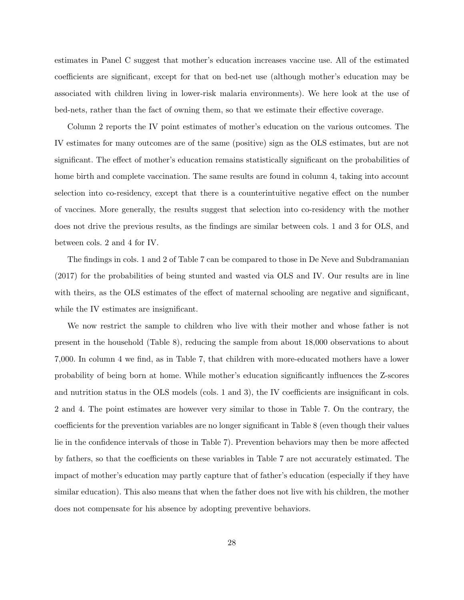estimates in Panel C suggest that mother's education increases vaccine use. All of the estimated coefficients are significant, except for that on bed-net use (although mother's education may be associated with children living in lower-risk malaria environments). We here look at the use of bed-nets, rather than the fact of owning them, so that we estimate their effective coverage.

Column 2 reports the IV point estimates of mother's education on the various outcomes. The IV estimates for many outcomes are of the same (positive) sign as the OLS estimates, but are not significant. The effect of mother's education remains statistically significant on the probabilities of home birth and complete vaccination. The same results are found in column 4, taking into account selection into co-residency, except that there is a counterintuitive negative effect on the number of vaccines. More generally, the results suggest that selection into co-residency with the mother does not drive the previous results, as the findings are similar between cols. 1 and 3 for OLS, and between cols. 2 and 4 for IV.

The findings in cols. 1 and 2 of Table 7 can be compared to those in De Neve and Subdramanian (2017) for the probabilities of being stunted and wasted via OLS and IV. Our results are in line with theirs, as the OLS estimates of the effect of maternal schooling are negative and significant, while the IV estimates are insignificant.

We now restrict the sample to children who live with their mother and whose father is not present in the household (Table 8), reducing the sample from about 18,000 observations to about 7,000. In column 4 we find, as in Table 7, that children with more-educated mothers have a lower probability of being born at home. While mother's education significantly influences the Z-scores and nutrition status in the OLS models (cols. 1 and 3), the IV coefficients are insignificant in cols. 2 and 4. The point estimates are however very similar to those in Table 7. On the contrary, the coefficients for the prevention variables are no longer significant in Table 8 (even though their values lie in the confidence intervals of those in Table 7). Prevention behaviors may then be more affected by fathers, so that the coefficients on these variables in Table 7 are not accurately estimated. The impact of mother's education may partly capture that of father's education (especially if they have similar education). This also means that when the father does not live with his children, the mother does not compensate for his absence by adopting preventive behaviors.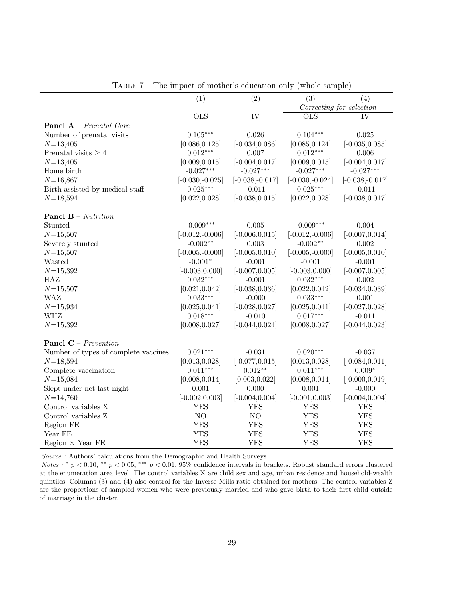|                                      | $\overline{(1)}$  | $\overline{(2)}$  | $\overline{(3)}$          | $\overline{(4)}$         |
|--------------------------------------|-------------------|-------------------|---------------------------|--------------------------|
|                                      |                   |                   |                           | Correcting for selection |
|                                      | <b>OLS</b>        | IV                | $\overline{\mathrm{OLS}}$ | $\overline{\rm IV}$      |
| <b>Panel A</b> – Prenatal Care       |                   |                   |                           |                          |
| Number of prenatal visits            | $0.105***$        | 0.026             | $0.104***$                | 0.025                    |
| $N = 13,405$                         | [0.086, 0.125]    | $[-0.034, 0.086]$ | [0.085, 0.124]            | $[-0.035, 0.085]$        |
| Prenatal visits $\geq 4$             | $0.012***$        | 0.007             | $0.012***$                | 0.006                    |
| $N = 13,405$                         | [0.009, 0.015]    | $[-0.004, 0.017]$ | [0.009, 0.015]            | $[-0.004, 0.017]$        |
| Home birth                           | $-0.027***$       | $-0.027***$       | $-0.027***$               | $-0.027***$              |
| $N = 16,867$                         | $[-0.030,-0.025]$ | $[-0.038,-0.017]$ | $[-0.030,-0.024]$         | $[-0.038,-0.017]$        |
| Birth assisted by medical staff      | $0.025***$        | $-0.011$          | $0.025***$                | $-0.011$                 |
| $N = 18,594$                         | [0.022, 0.028]    | $[-0.038, 0.015]$ | [0.022, 0.028]            | $[-0.038, 0.017]$        |
| <b>Panel B</b> – Nutrition           |                   |                   |                           |                          |
| Stunted                              | $-0.009***$       | 0.005             | $-0.009***$               | 0.004                    |
| $N = 15,507$                         | $[-0.012,-0.006]$ | $[-0.006, 0.015]$ | $[-0.012,-0.006]$         | $[-0.007, 0.014]$        |
| Severely stunted                     | $-0.002**$        | 0.003             | $-0.002**$                | 0.002                    |
| $N = 15,507$                         | $[-0.005,-0.000]$ | $[-0.005, 0.010]$ | $[-0.005,-0.000]$         | $[-0.005, 0.010]$        |
| Wasted                               | $-0.001*$         | $-0.001$          | $-0.001$                  | $-0.001$                 |
| $N = 15,392$                         | $[-0.003, 0.000]$ | $[-0.007, 0.005]$ | $[-0.003, 0.000]$         | $[-0.007, 0.005]$        |
| HAZ                                  | $0.032***$        | $-0.001$          | $0.032***$                | 0.002                    |
| $N = 15,507$                         | [0.021, 0.042]    | $[-0.038, 0.036]$ | [0.022, 0.042]            | $[-0.034, 0.039]$        |
| <b>WAZ</b>                           | $0.033***$        | $-0.000$          | $0.033***$                | 0.001                    |
| $N = 15,934$                         | [0.025, 0.041]    | $[-0.028, 0.027]$ | [0.025, 0.041]            | $[-0.027, 0.028]$        |
| <b>WHZ</b>                           | $0.018***$        | $-0.010$          | $0.017***$                | $-0.011$                 |
| $N = 15,392$                         | [0.008, 0.027]    | $[-0.044, 0.024]$ | [0.008, 0.027]            | $[-0.044, 0.023]$        |
| <b>Panel C</b> – Prevention          |                   |                   |                           |                          |
| Number of types of complete vaccines | $0.021***$        | $-0.031$          | $0.020***$                | $-0.037$                 |
| $N = 18,594$                         | [0.013, 0.028]    | $[-0.077, 0.015]$ | [0.013, 0.028]            | $[-0.084, 0.011]$        |
| Complete vaccination                 | $0.011***$        | $0.012**$         | $0.011***$                | $0.009*$                 |
| $N = 15,084$                         | [0.008, 0.014]    | [0.003, 0.022]    | [0.008, 0.014]            | $[-0.000, 0.019]$        |
| Slept under net last night           | 0.001             | 0.000             | 0.001                     | $-0.000$                 |
| $N = 14,760$                         | $[-0.002, 0.003]$ | $[-0.004, 0.004]$ | $[-0.001, 0.003]$         | $[-0.004, 0.004]$        |
| Control variables X                  | <b>YES</b>        | <b>YES</b>        | <b>YES</b>                | <b>YES</b>               |
| Control variables Z                  | N <sub>O</sub>    | N <sub>O</sub>    | <b>YES</b>                | <b>YES</b>               |
| Region FE                            | <b>YES</b>        | <b>YES</b>        | <b>YES</b>                | <b>YES</b>               |
| Year FE                              | <b>YES</b>        | <b>YES</b>        | <b>YES</b>                | <b>YES</b>               |
| Region $\times$ Year FE              | <b>YES</b>        | <b>YES</b>        | <b>YES</b>                | YES                      |

Table 7 – The impact of mother's education only (whole sample)

Source : Authors' calculations from the Demographic and Health Surveys.

Notes : \*  $p < 0.10$ , \*\*  $p < 0.05$ , \*\*\*  $p < 0.01$ . 95% confidence intervals in brackets. Robust standard errors clustered at the enumeration area level. The control variables X are child sex and age, urban residence and household-wealth quintiles. Columns (3) and (4) also control for the Inverse Mills ratio obtained for mothers. The control variables Z are the proportions of sampled women who were previously married and who gave birth to their first child outside of marriage in the cluster.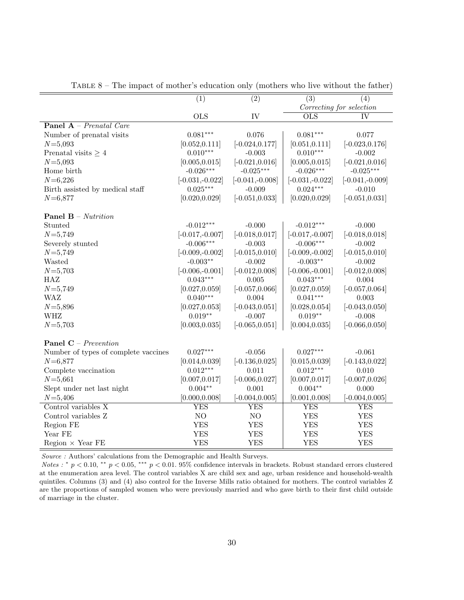|                                      | $\overline{(1)}$  | $\overline{(2)}$  | $\overline{(3)}$          | $\overline{(4)}$         |
|--------------------------------------|-------------------|-------------------|---------------------------|--------------------------|
|                                      |                   |                   |                           | Correcting for selection |
|                                      | <b>OLS</b>        | IV                | $\overline{\mathrm{OLS}}$ | IV                       |
| <b>Panel A</b> – Prenatal Care       |                   |                   |                           |                          |
| Number of prenatal visits            | $0.081***$        | 0.076             | $0.081***$                | 0.077                    |
| $N = 5,093$                          | [0.052, 0.111]    | $[-0.024, 0.177]$ | [0.051, 0.111]            | $[-0.023, 0.176]$        |
| Prenatal visits $\geq 4$             | $0.010***$        | $-0.003$          | $0.010***$                | $-0.002$                 |
| $N = 5,093$                          | [0.005, 0.015]    | $[-0.021, 0.016]$ | [0.005, 0.015]            | $[-0.021, 0.016]$        |
| Home birth                           | $-0.026***$       | $-0.025***$       | $-0.026***$               | $-0.025***$              |
| $N = 6,226$                          | $[-0.031,-0.022]$ | $[-0.041,-0.008]$ | $[-0.031, -0.022]$        | $[-0.041,-0.009]$        |
| Birth assisted by medical staff      | $0.025***$        | $-0.009$          | $0.024***$                | $-0.010$                 |
| $N = 6,877$                          | [0.020, 0.029]    | $[-0.051, 0.033]$ | [0.020, 0.029]            | $[-0.051, 0.031]$        |
|                                      |                   |                   |                           |                          |
| <b>Panel B</b> – Nutrition           |                   |                   |                           |                          |
| Stunted                              | $-0.012***$       | $-0.000$          | $-0.012***$               | $-0.000$                 |
| $N = 5,749$                          | $[-0.017,-0.007]$ | $[-0.018, 0.017]$ | $[-0.017,-0.007]$         | $[-0.018, 0.018]$        |
| Severely stunted                     | $-0.006***$       | $-0.003$          | $-0.006***$               | $-0.002$                 |
| $N = 5,749$                          | $[-0.009,-0.002]$ | $[-0.015, 0.010]$ | $[-0.009,-0.002]$         | $[-0.015, 0.010]$        |
| Wasted                               | $-0.003**$        | $-0.002$          | $-0.003**$                | $-0.002$                 |
| $N = 5,703$                          | $[-0.006,-0.001]$ | $[-0.012, 0.008]$ | $[-0.006,-0.001]$         | $[-0.012, 0.008]$        |
| HAZ                                  | $0.043***$        | 0.005             | $0.043***$                | 0.004                    |
| $N = 5,749$                          | [0.027, 0.059]    | $[-0.057, 0.066]$ | [0.027, 0.059]            | $[-0.057, 0.064]$        |
| <b>WAZ</b>                           | $0.040***$        | 0.004             | $0.041***$                | 0.003                    |
| $N = 5,896$                          | [0.027, 0.053]    | $[-0.043, 0.051]$ | [0.028, 0.054]            | $[-0.043, 0.050]$        |
| <b>WHZ</b>                           | $0.019**$         | $-0.007$          | $0.019**$                 | $-0.008$                 |
| $N = 5,703$                          | [0.003, 0.035]    | $[-0.065, 0.051]$ | [0.004, 0.035]            | $[-0.066, 0.050]$        |
| <b>Panel C</b> – Prevention          |                   |                   |                           |                          |
| Number of types of complete vaccines | $0.027***$        | $-0.056$          | $0.027***$                | $-0.061$                 |
| $N = 6,877$                          | [0.014, 0.039]    | $[-0.136, 0.025]$ | [0.015, 0.039]            | $[-0.143, 0.022]$        |
| Complete vaccination                 | $0.012***$        | 0.011             | $0.012***$                | 0.010                    |
| $N = 5,661$                          | [0.007, 0.017]    | $[-0.006, 0.027]$ | [0.007, 0.017]            | $[-0.007, 0.026]$        |
| Slept under net last night           | $0.004**$         | 0.001             | $0.004^{\ast\ast}$        | 0.000                    |
| $N = 5,406$                          | [0.000, 0.008]    | $[-0.004, 0.005]$ | [0.001, 0.008]            | $[-0.004, 0.005]$        |
| Control variables $X$                | <b>YES</b>        | <b>YES</b>        | <b>YES</b>                | <b>YES</b>               |
| Control variables Z                  | NO                | $\rm NO$          | <b>YES</b>                | <b>YES</b>               |
| Region FE                            | <b>YES</b>        | <b>YES</b>        | <b>YES</b>                | <b>YES</b>               |
| Year FE                              | <b>YES</b>        | <b>YES</b>        | <b>YES</b>                | <b>YES</b>               |
| Region $\times$ Year FE              | <b>YES</b>        | <b>YES</b>        | <b>YES</b>                | <b>YES</b>               |

TABLE  $8$  – The impact of mother's education only (mothers who live without the father)

Source : Authors' calculations from the Demographic and Health Surveys.

Notes : \*  $p < 0.10$ , \*\*  $p < 0.05$ , \*\*\*  $p < 0.01$ . 95% confidence intervals in brackets. Robust standard errors clustered at the enumeration area level. The control variables X are child sex and age, urban residence and household-wealth quintiles. Columns (3) and (4) also control for the Inverse Mills ratio obtained for mothers. The control variables Z are the proportions of sampled women who were previously married and who gave birth to their first child outside of marriage in the cluster.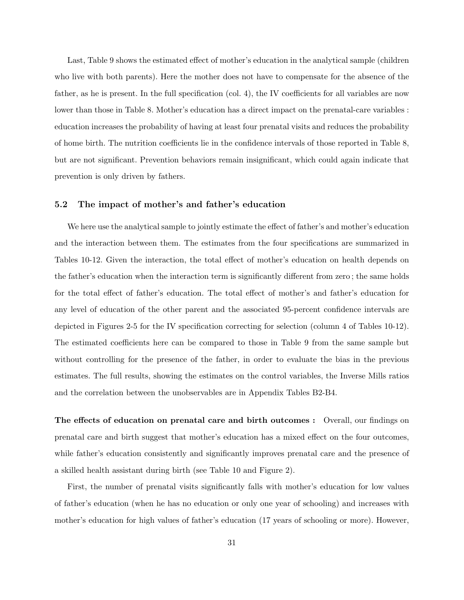Last, Table 9 shows the estimated effect of mother's education in the analytical sample (children who live with both parents). Here the mother does not have to compensate for the absence of the father, as he is present. In the full specification (col. 4), the IV coefficients for all variables are now lower than those in Table 8. Mother's education has a direct impact on the prenatal-care variables : education increases the probability of having at least four prenatal visits and reduces the probability of home birth. The nutrition coefficients lie in the confidence intervals of those reported in Table 8, but are not significant. Prevention behaviors remain insignificant, which could again indicate that prevention is only driven by fathers.

#### 5.2 The impact of mother's and father's education

We here use the analytical sample to jointly estimate the effect of father's and mother's education and the interaction between them. The estimates from the four specifications are summarized in Tables 10-12. Given the interaction, the total effect of mother's education on health depends on the father's education when the interaction term is significantly different from zero ; the same holds for the total effect of father's education. The total effect of mother's and father's education for any level of education of the other parent and the associated 95-percent confidence intervals are depicted in Figures 2-5 for the IV specification correcting for selection (column 4 of Tables 10-12). The estimated coefficients here can be compared to those in Table 9 from the same sample but without controlling for the presence of the father, in order to evaluate the bias in the previous estimates. The full results, showing the estimates on the control variables, the Inverse Mills ratios and the correlation between the unobservables are in Appendix Tables B2-B4.

The effects of education on prenatal care and birth outcomes : Overall, our findings on prenatal care and birth suggest that mother's education has a mixed effect on the four outcomes, while father's education consistently and significantly improves prenatal care and the presence of a skilled health assistant during birth (see Table 10 and Figure 2).

First, the number of prenatal visits significantly falls with mother's education for low values of father's education (when he has no education or only one year of schooling) and increases with mother's education for high values of father's education (17 years of schooling or more). However,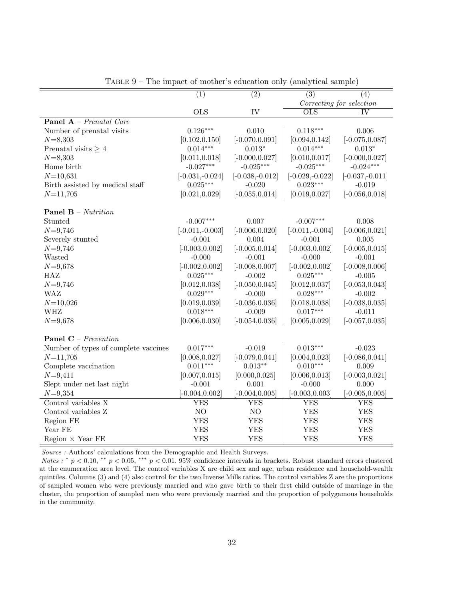|                                      | $\overline{(1)}$                 | $\overline{(2)}$                 | $\overline{(3)}$                | $\overline{(4)}$                 |
|--------------------------------------|----------------------------------|----------------------------------|---------------------------------|----------------------------------|
|                                      |                                  |                                  |                                 | Correcting for selection         |
|                                      | <b>OLS</b>                       | IV                               | $\overline{\mathrm{OLS}}$       | <b>IV</b>                        |
| <b>Panel A</b> – Prenatal Care       |                                  |                                  |                                 |                                  |
| Number of prenatal visits            | $0.126***$                       | 0.010                            | $0.118***$                      | 0.006                            |
| $N = 8,303$                          | [0.102, 0.150]                   | $[-0.070, 0.091]$                | [0.094, 0.142]                  | $[-0.075, 0.087]$                |
| Prenatal visits $\geq 4$             | $0.014***$                       | $0.013*$                         | $0.014***$                      | $0.013*$                         |
|                                      |                                  |                                  |                                 |                                  |
| $N = 8,303$<br>Home birth            | [0.011, 0.018]<br>$-0.027***$    | $[-0.000, 0.027]$<br>$-0.025***$ | [0.010, 0.017]<br>$-0.025***$   | $[-0.000, 0.027]$<br>$-0.024***$ |
|                                      |                                  |                                  |                                 |                                  |
| $N = 10,631$                         | $[-0.031, -0.024]$<br>$0.025***$ | $[-0.038,-0.012]$<br>$-0.020$    | $[-0.029,-0.022]$<br>$0.023***$ | $[-0.037, -0.011]$               |
| Birth assisted by medical staff      |                                  |                                  |                                 | $-0.019$                         |
| $N = 11,705$                         | [0.021, 0.029]                   | $[-0.055, 0.014]$                | [0.019, 0.027]                  | $[-0.056, 0.018]$                |
| <b>Panel B</b> – Nutrition           |                                  |                                  |                                 |                                  |
| Stunted                              | $-0.007***$                      | 0.007                            | $-0.007***$                     | 0.008                            |
| $N = 9,746$                          | $[-0.011,-0.003]$                | $[-0.006, 0.020]$                | $[-0.011,-0.004]$               | $[-0.006, 0.021]$                |
| Severely stunted                     | $-0.001$                         | 0.004                            | $-0.001$                        | 0.005                            |
| $N = 9,746$                          | $[-0.003, 0.002]$                | $[-0.005, 0.014]$                | $[-0.003, 0.002]$               | $[-0.005, 0.015]$                |
| Wasted                               | $-0.000$                         | $-0.001$                         | $-0.000$                        | $-0.001$                         |
| $N = 9,678$                          | $[-0.002, 0.002]$                | $[-0.008, 0.007]$                | $[-0.002, 0.002]$               | $[-0.008, 0.006]$                |
| HAZ                                  | $0.025***$                       | $-0.002$                         | $0.025***$                      | $-0.005$                         |
| $N = 9,746$                          | [0.012, 0.038]                   | $[-0.050, 0.045]$                | [0.012, 0.037]                  | $[-0.053, 0.043]$                |
| WAZ                                  | $0.029***$                       | $-0.000$                         | $0.028***$                      | $-0.002$                         |
| $N = 10,026$                         | [0.019, 0.039]                   | $[-0.036, 0.036]$                | [0.018, 0.038]                  | $[-0.038, 0.035]$                |
| WHZ                                  | $0.018***$                       | $-0.009$                         | $0.017***$                      | $-0.011$                         |
| $N = 9,678$                          | [0.006, 0.030]                   | $[-0.054, 0.036]$                | [0.005, 0.029]                  | $[-0.057, 0.035]$                |
|                                      |                                  |                                  |                                 |                                  |
| <b>Panel C</b> – Prevention          |                                  |                                  |                                 |                                  |
| Number of types of complete vaccines | $0.017***$                       | $-0.019$                         | $0.013***$                      | $-0.023$                         |
| $N = 11,705$                         | [0.008, 0.027]                   | $[-0.079, 0.041]$                | [0.004, 0.023]                  | $[-0.086, 0.041]$                |
| Complete vaccination                 | $0.011***$                       | $0.013**$                        | $0.010***$                      | 0.009                            |
| $N = 9,411$                          | [0.007, 0.015]                   | [0.000, 0.025]                   | [0.006, 0.013]                  | $[-0.003, 0.021]$                |
| Slept under net last night           | $-0.001$                         | $0.001\,$                        | $-0.000$                        | 0.000                            |
| $N = 9,354$                          | $[-0.004, 0.002]$                | $[-0.004, 0.005]$                | $[-0.003, 0.003]$               | $[-0.005, 0.005]$                |
| Control variables X                  | YES                              | YES                              | YES                             | YES                              |
| Control variables Z                  | NO                               | $\rm NO$                         | <b>YES</b>                      | <b>YES</b>                       |
| Region FE                            | <b>YES</b>                       | <b>YES</b>                       | <b>YES</b>                      | <b>YES</b>                       |
| Year FE                              | <b>YES</b>                       | <b>YES</b>                       | <b>YES</b>                      | <b>YES</b>                       |
| Region $\times$ Year FE              | <b>YES</b>                       | <b>YES</b>                       | <b>YES</b>                      | <b>YES</b>                       |

Table 9 – The impact of mother's education only (analytical sample)

 $Source$  : Authors' calculations from the Demographic and Health Surveys.

Notes : \*  $p < 0.10$ , \*\*  $p < 0.05$ , \*\*\*  $p < 0.01$ . 95% confidence intervals in brackets. Robust standard errors clustered at the enumeration area level. The control variables X are child sex and age, urban residence and household-wealth quintiles. Columns (3) and (4) also control for the two Inverse Mills ratios. The control variables Z are the proportions of sampled women who were previously married and who gave birth to their first child outside of marriage in the cluster, the proportion of sampled men who were previously married and the proportion of polygamous households in the community.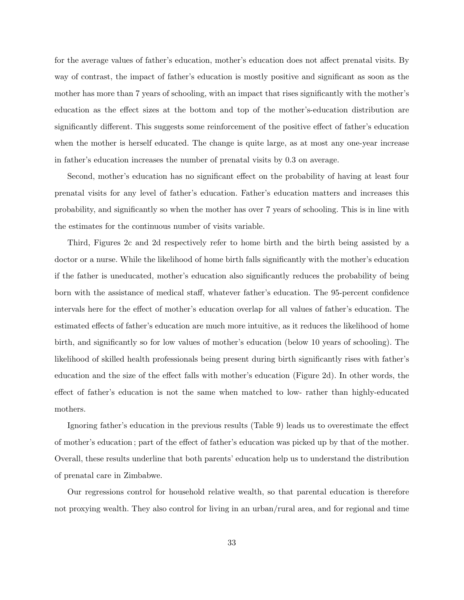for the average values of father's education, mother's education does not affect prenatal visits. By way of contrast, the impact of father's education is mostly positive and significant as soon as the mother has more than 7 years of schooling, with an impact that rises significantly with the mother's education as the effect sizes at the bottom and top of the mother's-education distribution are significantly different. This suggests some reinforcement of the positive effect of father's education when the mother is herself educated. The change is quite large, as at most any one-year increase in father's education increases the number of prenatal visits by 0.3 on average.

Second, mother's education has no significant effect on the probability of having at least four prenatal visits for any level of father's education. Father's education matters and increases this probability, and significantly so when the mother has over 7 years of schooling. This is in line with the estimates for the continuous number of visits variable.

Third, Figures 2c and 2d respectively refer to home birth and the birth being assisted by a doctor or a nurse. While the likelihood of home birth falls significantly with the mother's education if the father is uneducated, mother's education also significantly reduces the probability of being born with the assistance of medical staff, whatever father's education. The 95-percent confidence intervals here for the effect of mother's education overlap for all values of father's education. The estimated effects of father's education are much more intuitive, as it reduces the likelihood of home birth, and significantly so for low values of mother's education (below 10 years of schooling). The likelihood of skilled health professionals being present during birth significantly rises with father's education and the size of the effect falls with mother's education (Figure 2d). In other words, the effect of father's education is not the same when matched to low- rather than highly-educated mothers.

Ignoring father's education in the previous results (Table 9) leads us to overestimate the effect of mother's education ; part of the effect of father's education was picked up by that of the mother. Overall, these results underline that both parents' education help us to understand the distribution of prenatal care in Zimbabwe.

Our regressions control for household relative wealth, so that parental education is therefore not proxying wealth. They also control for living in an urban/rural area, and for regional and time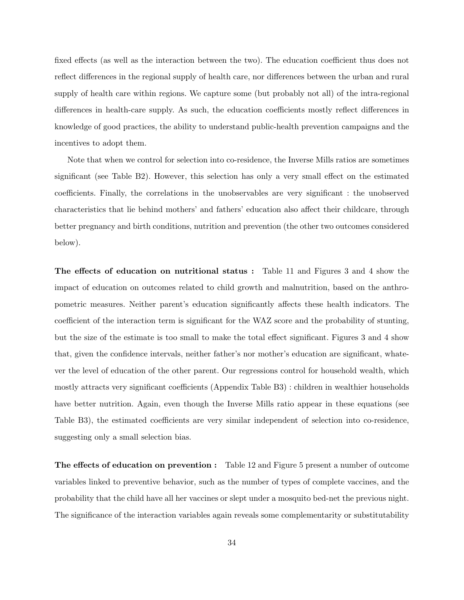fixed effects (as well as the interaction between the two). The education coefficient thus does not reflect differences in the regional supply of health care, nor differences between the urban and rural supply of health care within regions. We capture some (but probably not all) of the intra-regional differences in health-care supply. As such, the education coefficients mostly reflect differences in knowledge of good practices, the ability to understand public-health prevention campaigns and the incentives to adopt them.

Note that when we control for selection into co-residence, the Inverse Mills ratios are sometimes significant (see Table B2). However, this selection has only a very small effect on the estimated coefficients. Finally, the correlations in the unobservables are very significant : the unobserved characteristics that lie behind mothers' and fathers' education also affect their childcare, through better pregnancy and birth conditions, nutrition and prevention (the other two outcomes considered below).

The effects of education on nutritional status : Table 11 and Figures 3 and 4 show the impact of education on outcomes related to child growth and malnutrition, based on the anthropometric measures. Neither parent's education significantly affects these health indicators. The coefficient of the interaction term is significant for the WAZ score and the probability of stunting, but the size of the estimate is too small to make the total effect significant. Figures 3 and 4 show that, given the confidence intervals, neither father's nor mother's education are significant, whatever the level of education of the other parent. Our regressions control for household wealth, which mostly attracts very significant coefficients (Appendix Table B3) : children in wealthier households have better nutrition. Again, even though the Inverse Mills ratio appear in these equations (see Table B3), the estimated coefficients are very similar independent of selection into co-residence, suggesting only a small selection bias.

The effects of education on prevention : Table 12 and Figure 5 present a number of outcome variables linked to preventive behavior, such as the number of types of complete vaccines, and the probability that the child have all her vaccines or slept under a mosquito bed-net the previous night. The significance of the interaction variables again reveals some complementarity or substitutability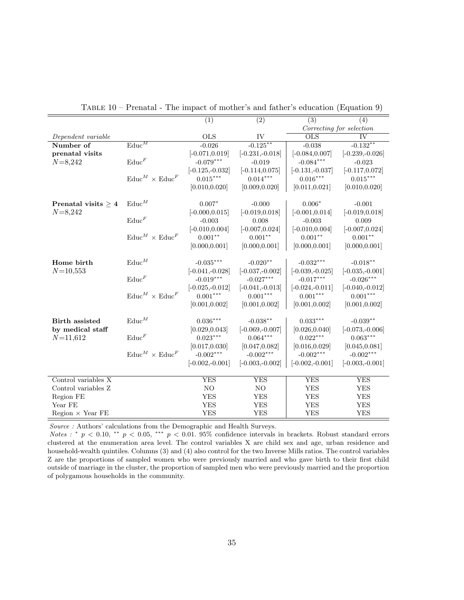|                          |                                      | (1)                | (2)                | (3)                | (4)                      |
|--------------------------|--------------------------------------|--------------------|--------------------|--------------------|--------------------------|
|                          |                                      |                    |                    |                    | Correcting for selection |
| Dependent variable       |                                      | <b>OLS</b>         | IV                 | <b>OLS</b>         | $\overline{\text{IV}}$   |
| Number of                | $\overline{\text{Educ}}^M$           | $-0.026$           | $-0.125***$        | $-0.038$           | $-0.132**$               |
| prenatal visits          |                                      | $[-0.071, 0.019]$  | $[-0.231, -0.018]$ | $[-0.084, 0.007]$  | $[-0.239,-0.026]$        |
| $N = 8,242$              | $\text{Educ}^F$                      | $-0.079***$        | $-0.019$           | $-0.084***$        | $-0.023$                 |
|                          |                                      | $[-0.125,-0.032]$  | $[-0.114, 0.075]$  | $[-0.131,-0.037]$  | $[-0.117, 0.072]$        |
|                          | $\text{Educ}^M \times \text{Educ}^F$ | $0.015***$         | $0.014***$         | $0.016^{***}\,$    | $0.015***$               |
|                          |                                      | [0.010, 0.020]     | [0.009, 0.020]     | [0.011, 0.021]     | [0.010, 0.020]           |
|                          |                                      |                    |                    |                    |                          |
| Prenatal visits $\geq 4$ | $\text{Educ}^M$                      | $0.007*$           | $-0.000$           | $0.006*$           | $-0.001$                 |
| $N = 8,242$              |                                      | $[-0.000, 0.015]$  | $[-0.019, 0.018]$  | $[-0.001, 0.014]$  | $[-0.019, 0.018]$        |
|                          | $\mathrm{Educ}^F$                    | $-0.003$           | 0.008              | $-0.003$           | 0.009                    |
|                          |                                      | $[-0.010, 0.004]$  | $[-0.007, 0.024]$  | $[-0.010, 0.004]$  | $[-0.007, 0.024]$        |
|                          | $\text{Educ}^M \times \text{Educ}^F$ | $0.001**$          | $0.001**$          | $0.001***$         | $0.001**$                |
|                          |                                      | [0.000, 0.001]     | [0.000, 0.001]     | [0.000, 0.001]     | [0.000, 0.001]           |
|                          |                                      |                    |                    |                    |                          |
| Home birth               | $\operatorname{Educ}^M$              | $-0.035***$        | $-0.020**$         | $-0.032***$        | $-0.018***$              |
| $N = 10,553$             |                                      | $[-0.041, -0.028]$ | $[-0.037,-0.002]$  | $[-0.039,-0.025]$  | $[-0.035,-0.001]$        |
|                          | $\mathrm{Educ}^F$                    | $-0.019***$        | $-0.027***$        | $-0.017***$        | $-0.026***$              |
|                          |                                      | $[-0.025,-0.012]$  | $[-0.041, -0.013]$ | $[-0.024, -0.011]$ | $[-0.040,-0.012]$        |
|                          | $\text{Educ}^M \times \text{Educ}^F$ | $0.001***$         | $0.001***$         | $0.001***$         | $0.001***$               |
|                          |                                      | [0.001, 0.002]     | [0.001, 0.002]     | [0.001, 0.002]     | [0.001, 0.002]           |
|                          |                                      |                    |                    |                    |                          |
| <b>Birth</b> assisted    | $\text{Educ}^M$                      | $0.036***$         | $-0.038**$         | $0.033***$         | $-0.039**$               |
| by medical staff         |                                      | [0.029, 0.043]     | $[-0.069, -0.007]$ | [0.026, 0.040]     | $[-0.073,-0.006]$        |
| $N = 11,612$             | $\mathrm{Educ}^F$                    | $0.023***$         | $0.064***$         | $0.022***$         | $0.063***$               |
|                          |                                      | [0.017, 0.030]     | [0.047, 0.082]     | [0.016, 0.029]     | [0.045, 0.081]           |
|                          | $\text{Educ}^M \times \text{Educ}^F$ | $-0.002***$        | $-0.002***$        | $-0.002***$        | $-0.002***$              |
|                          |                                      | $[-0.002,-0.001]$  | $[-0.003,-0.002]$  | $[-0.002,-0.001]$  | $[-0.003,-0.001]$        |
| Control variables $X$    |                                      | <b>YES</b>         | <b>YES</b>         | <b>YES</b>         | <b>YES</b>               |
| Control variables Z      |                                      | NO                 | NO                 | <b>YES</b>         | <b>YES</b>               |
| Region FE                |                                      | <b>YES</b>         | <b>YES</b>         | <b>YES</b>         | <b>YES</b>               |
| Year FE                  |                                      | <b>YES</b>         | <b>YES</b>         | <b>YES</b>         |                          |
|                          |                                      |                    |                    |                    | YES                      |
| Region $\times$ Year FE  |                                      | <b>YES</b>         | <b>YES</b>         | <b>YES</b>         | <b>YES</b>               |

Table 10 – Prenatal - The impact of mother's and father's education (Equation 9)

 $Source$  : Authors' calculations from the Demographic and Health Surveys.

Notes : \*  $p < 0.10$ , \*\*  $p < 0.05$ , \*\*\*  $p < 0.01$ . 95% confidence intervals in brackets. Robust standard errors clustered at the enumeration area level. The control variables X are child sex and age, urban residence and household-wealth quintiles. Columns (3) and (4) also control for the two Inverse Mills ratios. The control variables Z are the proportions of sampled women who were previously married and who gave birth to their first child outside of marriage in the cluster, the proportion of sampled men who were previously married and the proportion of polygamous households in the community.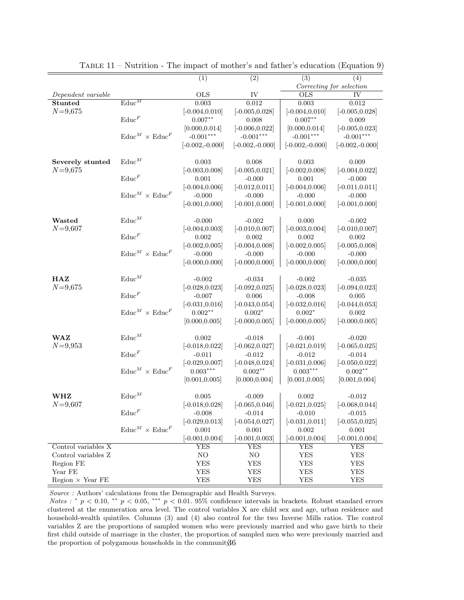|                         |                                      | (1)               | $\overline{(2)}$  | (3)               | (4)                      |
|-------------------------|--------------------------------------|-------------------|-------------------|-------------------|--------------------------|
|                         |                                      |                   |                   |                   | Correcting for selection |
| Dependent variable      |                                      | <b>OLS</b>        | IV                | $_{\text{OLS}}$   | IV                       |
| <b>Stunted</b>          | $\overline{\text{Educ}}^M$           | 0.003             | 0.012             | $\,0.003\,$       | 0.012                    |
| $N = 9,675$             |                                      | $[-0.004, 0.010]$ | $[-0.005, 0.028]$ | $[-0.004, 0.010]$ | $[-0.005, 0.028]$        |
|                         | $\mathrm{Educ}^F$                    | $0.007**$         | 0.008             | $0.007**$         | 0.009                    |
|                         |                                      | [0.000, 0.014]    | $[-0.006, 0.022]$ | [0.000, 0.014]    | $[-0.005, 0.023]$        |
|                         | $\text{Educ}^M \times \text{Educ}^F$ | $-0.001***$       | $-0.001***$       | $-0.001***$       | $-0.001***$              |
|                         |                                      | $[-0.002,-0.000]$ | $[-0.002,-0.000]$ | $[-0.002,-0.000]$ | $[-0.002,-0.000]$        |
| Severely stunted        | $\text{Educ}^M$                      | 0.003             | 0.008             | 0.003             | 0.009                    |
| $N = 9,675$             |                                      | $[-0.003, 0.008]$ | $[-0.005, 0.021]$ | $[-0.002, 0.008]$ | $[-0.004, 0.022]$        |
|                         | $\text{Educ}^F$                      | 0.001             | $-0.000$          | 0.001             | $-0.000$                 |
|                         |                                      | $[-0.004, 0.006]$ | $[-0.012, 0.011]$ | $[-0.004, 0.006]$ | $[-0.011, 0.011]$        |
|                         | $\text{Educ}^M \times \text{Educ}^F$ | $-0.000$          | $-0.000$          | $-0.000$          | $-0.000$                 |
|                         |                                      | $[-0.001, 0.000]$ | $[-0.001, 0.000]$ | $[-0.001, 0.000]$ | $[-0.001, 0.000]$        |
|                         |                                      |                   |                   |                   |                          |
| Wasted                  | $\text{Educ}^M$                      | $-0.000$          | $-0.002$          | 0.000             | $-0.002$                 |
| $N = 9,607$             |                                      | $[-0.004, 0.003]$ | $[-0.010, 0.007]$ | $[-0.003, 0.004]$ | $[-0.010, 0.007]$        |
|                         | $\text{Educ}^F$                      | 0.002             | 0.002             | 0.002             | 0.002                    |
|                         |                                      | $[-0.002, 0.005]$ | $[-0.004, 0.008]$ | $[-0.002, 0.005]$ | $[-0.005, 0.008]$        |
|                         | $\text{Educ}^M \times \text{Educ}^F$ | $-0.000$          | $-0.000$          | $-0.000$          | $-0.000$                 |
|                         |                                      | $[-0.000, 0.000]$ | $[-0.000, 0.000]$ | $[-0.000, 0.000]$ | $[-0.000, 0.000]$        |
| HAZ                     | $\text{Educ}^M$                      | $-0.002$          | $-0.034$          | $-0.002$          | $-0.035$                 |
| $N = 9,675$             |                                      | $[-0.028, 0.023]$ | $[-0.092, 0.025]$ | $[-0.028, 0.023]$ | $[-0.094, 0.023]$        |
|                         | $\text{Educ}^F$                      | $-0.007$          | 0.006             | $-0.008$          | 0.005                    |
|                         |                                      | $[-0.031, 0.016]$ | $[-0.043, 0.054]$ | $[-0.032, 0.016]$ | $[-0.044, 0.053]$        |
|                         | $\text{Educ}^M \times \text{Educ}^F$ | $0.002**$         | $0.002*$          | $0.002*$          | 0.002                    |
|                         |                                      | [0.000, 0.005]    | $[-0.000, 0.005]$ | $[-0.000, 0.005]$ | $[-0.000, 0.005]$        |
|                         |                                      |                   |                   |                   |                          |
| <b>WAZ</b>              | $\text{Educ}^M$                      | 0.002             | $-0.018$          | $-0.001$          | $-0.020$                 |
| $N = 9,953$             |                                      | $[-0.018, 0.022]$ | $[-0.062, 0.027]$ | $[-0.021, 0.019]$ | $[-0.065, 0.025]$        |
|                         | $\text{Educ}^F$                      | $-0.011$          | $-0.012$          | $-0.012$          | $-0.014$                 |
|                         |                                      | $[-0.029, 0.007]$ | $[-0.048, 0.024]$ | $[-0.031, 0.006]$ | $[-0.050, 0.022]$        |
|                         | $\text{Educ}^M \times \text{Educ}^F$ | $0.003***$        | $0.002**$         | $0.003***$        | $0.002**$                |
|                         |                                      | [0.001, 0.005]    | [0.000, 0.004]    | [0.001, 0.005]    | [0.001, 0.004]           |
| WHZ                     | $\text{Educ}^M$                      | 0.005             | $-0.009$          | 0.002             | $-0.012$                 |
| $N = 9,607$             |                                      | $[-0.018, 0.028]$ | $[-0.065, 0.046]$ | $[-0.021, 0.025]$ | $[-0.068, 0.044]$        |
|                         | $\mathrm{Educ}^F$                    | $-0.008$          | $-0.014$          | $-0.010$          | $-0.015$                 |
|                         |                                      | $[-0.029, 0.013]$ | $[-0.054, 0.027]$ | $[-0.031, 0.011]$ | $[-0.055, 0.025]$        |
|                         | $\text{Educ}^M \times \text{Educ}^F$ | 0.001             | 0.001             | 0.002             | 0.001                    |
|                         |                                      | $[-0.001, 0.004]$ | $[-0.001, 0.003]$ | $[-0.001, 0.004]$ | $[-0.001, 0.004]$        |
| Control variables X     |                                      | YES               | YES               | YES               | YES                      |
| Control variables Z     |                                      | NO                | NO.               | ${\rm YES}$       | <b>YES</b>               |
| Region FE               |                                      | YES               | YES               | ${\rm YES}$       | <b>YES</b>               |
| Year FE                 |                                      | ${\rm YES}$       | YES               | YES               | YES                      |
| Region $\times$ Year FE |                                      | YES               | YES               | YES               | YES                      |

Table 11 – Nutrition - The impact of mother's and father's education (Equation 9)

Source : Authors' calculations from the Demographic and Health Surveys.

Notes : \*  $p < 0.10$ , \*\*  $p < 0.05$ , \*\*\*  $p < 0.01$ . 95% confidence intervals in brackets. Robust standard errors clustered at the enumeration area level. The control variables X are child sex and age, urban residence and household-wealth quintiles. Columns (3) and (4) also control for the two Inverse Mills ratios. The control variables Z are the proportions of sampled women who were previously married and who gave birth to their first child outside of marriage in the cluster, the proportion of sampled men who were previously married and the proportion of polygamous households in the communit  $36$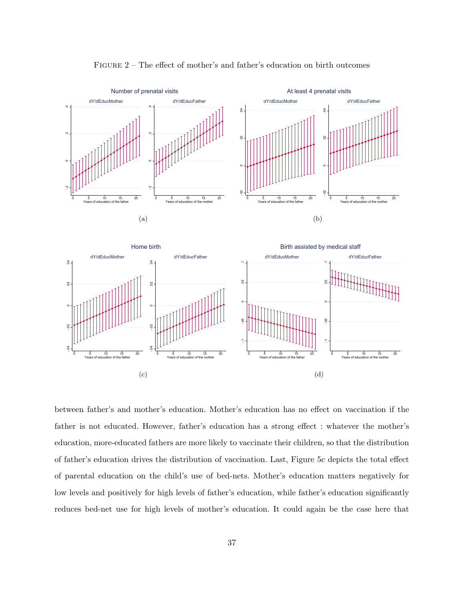

Figure 2 – The effect of mother's and father's education on birth outcomes



between father's and mother's education. Mother's education has no effect on vaccination if the father is not educated. However, father's education has a strong effect : whatever the mother's education, more-educated fathers are more likely to vaccinate their children, so that the distribution of father's education drives the distribution of vaccination. Last, Figure 5c depicts the total effect of parental education on the child's use of bed-nets. Mother's education matters negatively for low levels and positively for high levels of father's education, while father's education significantly reduces bed-net use for high levels of mother's education. It could again be the case here that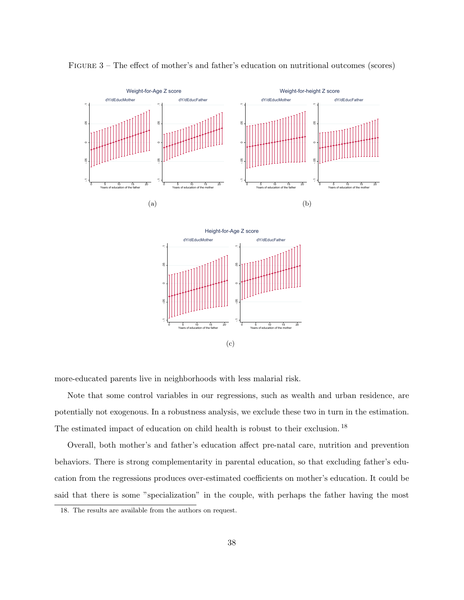

Figure 3 – The effect of mother's and father's education on nutritional outcomes (scores)

more-educated parents live in neighborhoods with less malarial risk.

Note that some control variables in our regressions, such as wealth and urban residence, are potentially not exogenous. In a robustness analysis, we exclude these two in turn in the estimation. The estimated impact of education on child health is robust to their exclusion. <sup>18</sup>

Overall, both mother's and father's education affect pre-natal care, nutrition and prevention behaviors. There is strong complementarity in parental education, so that excluding father's education from the regressions produces over-estimated coefficients on mother's education. It could be said that there is some "specialization" in the couple, with perhaps the father having the most

<sup>18.</sup> The results are available from the authors on request.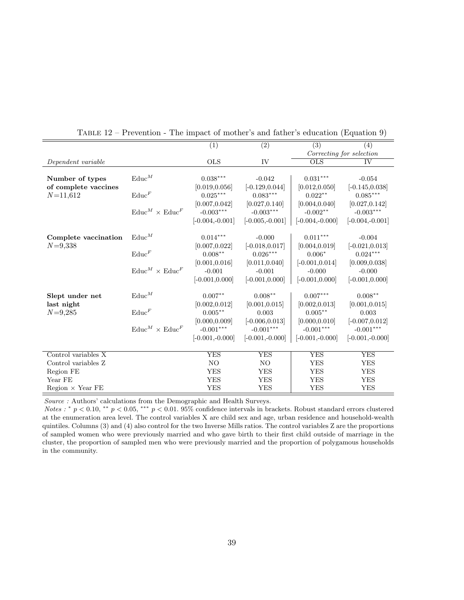|                         |                                      | $\overline{(1)}$  | $\overline{(2)}$  | $\overline{(3)}$   | (4)                      |
|-------------------------|--------------------------------------|-------------------|-------------------|--------------------|--------------------------|
|                         |                                      |                   |                   |                    | Correcting for selection |
| Dependent variable      |                                      | <b>OLS</b>        | IV                | <b>OLS</b>         | <b>IV</b>                |
|                         |                                      |                   |                   |                    |                          |
| Number of types         | $\text{Educ}^M$                      | $0.038***$        | $-0.042$          | $0.031***$         | $-0.054$                 |
| of complete vaccines    |                                      | [0.019, 0.056]    | $[-0.129, 0.044]$ | [0.012, 0.050]     | $[-0.145, 0.038]$        |
| $N = 11,612$            | $\mathrm{Educ}^F$                    | $0.025***$        | $0.083***$        | $0.022**$          | $0.085***$               |
|                         |                                      | [0.007, 0.042]    | [0.027, 0.140]    | [0.004, 0.040]     | [0.027, 0.142]           |
|                         | $\text{Educ}^M \times \text{Educ}^F$ | $-0.003***$       | $-0.003***$       | $-0.002**$         | $-0.003***$              |
|                         |                                      | $[-0.004,-0.001]$ | $[-0.005,-0.001]$ | $[-0.004,-0.000]$  | $[-0.004,-0.001]$        |
|                         |                                      |                   |                   |                    |                          |
| Complete vaccination    | $\text{Educ}^M$                      | $0.014***$        | $-0.000$          | $0.011***$         | $-0.004$                 |
| $N = 9,338$             |                                      | [0.007, 0.022]    | $[-0.018, 0.017]$ | [0.004, 0.019]     | $[-0.021, 0.013]$        |
|                         | $\text{Educ}^F$                      | $0.008***$        | $0.026***$        | $0.006*$           | $0.024***$               |
|                         |                                      | [0.001, 0.016]    | [0.011, 0.040]    | $[-0.001, 0.014]$  | [0.009, 0.038]           |
|                         | $\text{Educ}^M \times \text{Educ}^F$ | $-0.001$          | $-0.001$          | $-0.000$           | $-0.000$                 |
|                         |                                      | $[-0.001, 0.000]$ | $[-0.001, 0.000]$ | $[-0.001, 0.000]$  | $[-0.001, 0.000]$        |
| Slept under net         | $\text{Educ}^M$                      | $0.007**$         | $0.008**$         | $0.007***$         | $0.008***$               |
| last night              |                                      | [0.002, 0.012]    | [0.001, 0.015]    | [0.002, 0.013]     | [0.001, 0.015]           |
| $N = 9,285$             | $\mathrm{Educ}^F$                    | $0.005***$        | 0.003             | $0.005***$         | 0.003                    |
|                         |                                      | [0.000.0.009]     | $[-0.006, 0.013]$ | [0.000, 0.010]     | $[-0.007, 0.012]$        |
|                         | $\text{Educ}^M \times \text{Educ}^F$ | $-0.001***$       | $-0.001***$       | $-0.001***$        | $\text{-}0.001***$       |
|                         |                                      | $[-0.001,-0.000]$ | $[-0.001,-0.000]$ | $[-0.001, -0.000]$ | $[-0.001,-0.000]$        |
|                         |                                      |                   |                   |                    |                          |
| Control variables $X$   |                                      | <b>YES</b>        | <b>YES</b>        | <b>YES</b>         | <b>YES</b>               |
| Control variables Z     |                                      | NO                | NO.               | <b>YES</b>         | <b>YES</b>               |
| Region FE               |                                      | <b>YES</b>        | <b>YES</b>        | <b>YES</b>         | <b>YES</b>               |
| Year FE                 |                                      | <b>YES</b>        | <b>YES</b>        | <b>YES</b>         | <b>YES</b>               |
| Region $\times$ Year FE |                                      | <b>YES</b>        | <b>YES</b>        | <b>YES</b>         | <b>YES</b>               |

Table 12 – Prevention - The impact of mother's and father's education (Equation 9)

Source : Authors' calculations from the Demographic and Health Surveys.

Notes : \*  $p < 0.10$ , \*\*  $p < 0.05$ , \*\*\*  $p < 0.01$ . 95% confidence intervals in brackets. Robust standard errors clustered at the enumeration area level. The control variables X are child sex and age, urban residence and household-wealth quintiles. Columns (3) and (4) also control for the two Inverse Mills ratios. The control variables Z are the proportions of sampled women who were previously married and who gave birth to their first child outside of marriage in the cluster, the proportion of sampled men who were previously married and the proportion of polygamous households in the community.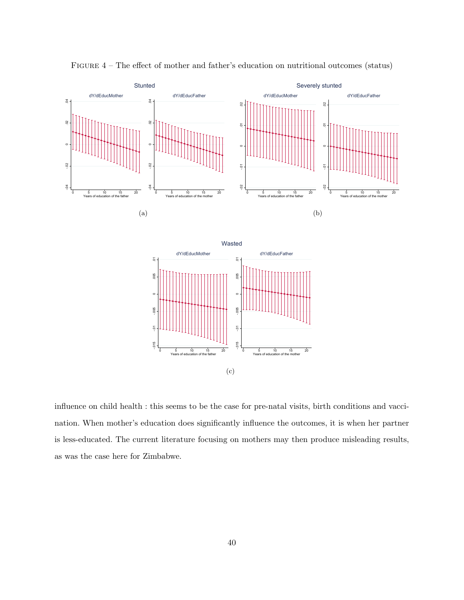

Figure 4 – The effect of mother and father's education on nutritional outcomes (status)

influence on child health : this seems to be the case for pre-natal visits, birth conditions and vaccination. When mother's education does significantly influence the outcomes, it is when her partner is less-educated. The current literature focusing on mothers may then produce misleading results, as was the case here for Zimbabwe.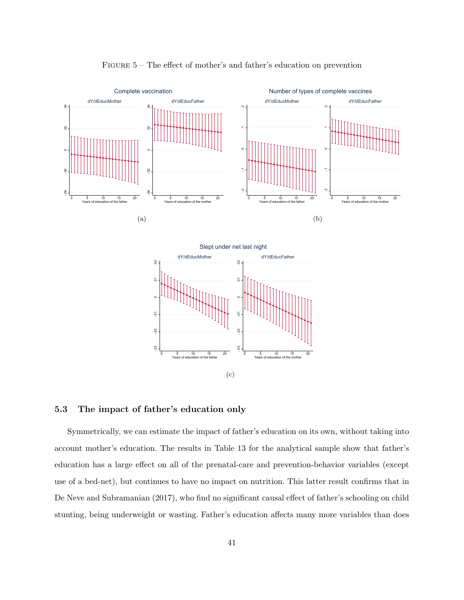

Figure 5 – The effect of mother's and father's education on prevention

#### 5.3 The impact of father's education only

 $\overline{a}$ 

 $.02$ 

 $0.05$ 

0 5 10 15 20 Years of education of the father

Symmetrically, we can estimate the impact of father's education on its own, without taking into account mother's education. The results in Table 13 for the analytical sample show that father's education has a large effect on all of the prenatal-care and prevention-behavior variables (except use of a bed-net), but continues to have no impact on nutrition. This latter result confirms that in De Neve and Subramanian (2017), who find no significant causal effect of father's schooling on child stunting, being underweight or wasting. Father's education affects many more variables than does

(c)

 $\approx$ 

0 5 10 15 20 Years of education of the mother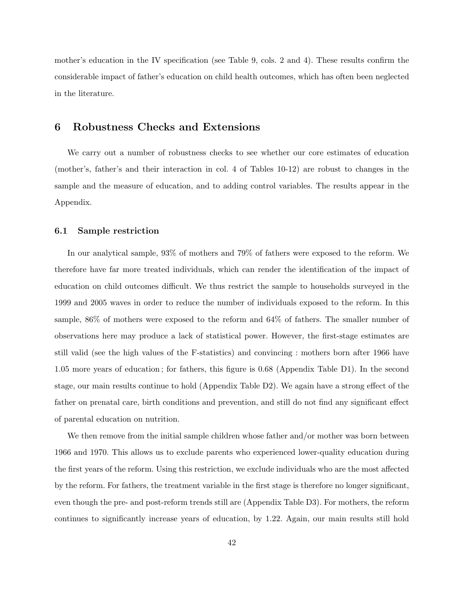mother's education in the IV specification (see Table 9, cols. 2 and 4). These results confirm the considerable impact of father's education on child health outcomes, which has often been neglected in the literature.

### 6 Robustness Checks and Extensions

We carry out a number of robustness checks to see whether our core estimates of education (mother's, father's and their interaction in col. 4 of Tables 10-12) are robust to changes in the sample and the measure of education, and to adding control variables. The results appear in the Appendix.

#### 6.1 Sample restriction

In our analytical sample, 93% of mothers and 79% of fathers were exposed to the reform. We therefore have far more treated individuals, which can render the identification of the impact of education on child outcomes difficult. We thus restrict the sample to households surveyed in the 1999 and 2005 waves in order to reduce the number of individuals exposed to the reform. In this sample, 86% of mothers were exposed to the reform and 64% of fathers. The smaller number of observations here may produce a lack of statistical power. However, the first-stage estimates are still valid (see the high values of the F-statistics) and convincing : mothers born after 1966 have 1.05 more years of education ; for fathers, this figure is 0.68 (Appendix Table D1). In the second stage, our main results continue to hold (Appendix Table D2). We again have a strong effect of the father on prenatal care, birth conditions and prevention, and still do not find any significant effect of parental education on nutrition.

We then remove from the initial sample children whose father and/or mother was born between 1966 and 1970. This allows us to exclude parents who experienced lower-quality education during the first years of the reform. Using this restriction, we exclude individuals who are the most affected by the reform. For fathers, the treatment variable in the first stage is therefore no longer significant, even though the pre- and post-reform trends still are (Appendix Table D3). For mothers, the reform continues to significantly increase years of education, by 1.22. Again, our main results still hold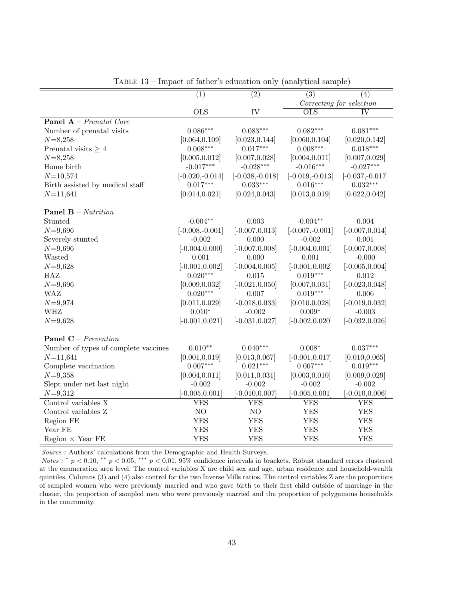|                                      | $\overline{(1)}$  | $\overline{(2)}$  | $\overline{(3)}$          | $\overline{(4)}$         |
|--------------------------------------|-------------------|-------------------|---------------------------|--------------------------|
|                                      |                   |                   |                           | Correcting for selection |
|                                      | <b>OLS</b>        | IV                | $\overline{\mathrm{OLS}}$ | <b>IV</b>                |
| Panel A - Prenatal Care              |                   |                   |                           |                          |
| Number of prenatal visits            | $0.086***$        | $0.083***$        | $0.082***$                | $0.081***$               |
| $N = 8,258$                          | [0.064, 0.109]    | [0.023, 0.144]    | [0.060, 0.104]            | [0.020, 0.142]           |
| Prenatal visits $\geq 4$             | $0.008***$        | $0.017***$        | $0.008***$                | $0.018***$               |
| $N = 8,258$                          | [0.005, 0.012]    | [0.007, 0.028]    | [0.004, 0.011]            | [0.007, 0.029]           |
| Home birth                           | $-0.017***$       | $-0.028***$       | $-0.016***$               | $-0.027***$              |
| $N = 10,574$                         | $[-0.020,-0.014]$ | $[-0.038,-0.018]$ | $[-0.019,-0.013]$         | $[-0.037,-0.017]$        |
| Birth assisted by medical staff      | $0.017***$        | $0.033***$        | $0.016***$                | $0.032***$               |
| $N = 11,641$                         | [0.014, 0.021]    | [0.024, 0.043]    | [0.013, 0.019]            | [0.022, 0.042]           |
|                                      |                   |                   |                           |                          |
| <b>Panel B</b> – Nutrition           |                   |                   |                           |                          |
| Stunted                              | $-0.004**$        | 0.003             | $-0.004**$                | 0.004                    |
| $N = 9,696$                          | $[-0.008,-0.001]$ | $[-0.007, 0.013]$ | $[-0.007,-0.001]$         | $[-0.007, 0.014]$        |
| Severely stunted                     | $-0.002$          | 0.000             | $-0.002$                  | 0.001                    |
| $N = 9,696$                          | $[-0.004, 0.000]$ | $[-0.007, 0.008]$ | $[-0.004, 0.001]$         | $[-0.007, 0.008]$        |
| Wasted                               | 0.001             | 0.000             | 0.001                     | $-0.000$                 |
| $N = 9,628$                          | $[-0.001, 0.002]$ | $[-0.004, 0.005]$ | $[-0.001, 0.002]$         | $[-0.005, 0.004]$        |
| HAZ                                  | $0.020***$        | 0.015             | $0.019***$                | 0.012                    |
| $N = 9,696$                          | [0.009, 0.032]    | $[-0.021, 0.050]$ | [0.007, 0.031]            | $[-0.023, 0.048]$        |
| <b>WAZ</b>                           | $0.020***$        | 0.007             | $0.019***$                | 0.006                    |
| $N = 9,974$                          | [0.011, 0.029]    | $[-0.018, 0.033]$ | [0.010, 0.028]            | $[-0.019, 0.032]$        |
| <b>WHZ</b>                           | $0.010*$          | $-0.002$          | $0.009*$                  | $-0.003$                 |
| $N = 9,628$                          | $[-0.001, 0.021]$ | $[-0.031, 0.027]$ | $[-0.002, 0.020]$         | $[-0.032, 0.026]$        |
|                                      |                   |                   |                           |                          |
| <b>Panel C</b> – Prevention          |                   |                   |                           |                          |
| Number of types of complete vaccines | $0.010**$         | $0.040***$        | $0.008*$                  | $0.037***$               |
| $N = 11,641$                         | [0.001, 0.019]    | [0.013, 0.067]    | $[-0.001, 0.017]$         | [0.010, 0.065]           |
| Complete vaccination                 | $0.007***$        | $0.021***$        | $0.007***$                | $0.019***$               |
| $N = 9,358$                          | [0.004, 0.011]    | [0.011, 0.031]    | [0.003, 0.010]            | [0.009, 0.029]           |
| Slept under net last night           | $-0.002$          | $-0.002$          | $-0.002$                  | $-0.002$                 |
| $N = 9,312$                          | $[-0.005, 0.001]$ | $[-0.010, 0.007]$ | $[-0.005, 0.001]$         | $[-0.010, 0.006]$        |
| Control variables X                  | YES               | YES               | YES                       | <b>YES</b>               |
| Control variables Z                  | $\rm NO$          | NO                | <b>YES</b>                | <b>YES</b>               |
| Region FE                            | <b>YES</b>        | <b>YES</b>        | <b>YES</b>                | <b>YES</b>               |
| Year FE                              | <b>YES</b>        | <b>YES</b>        | <b>YES</b>                | <b>YES</b>               |
| Region $\times$ Year FE              | <b>YES</b>        | <b>YES</b>        | <b>YES</b>                | <b>YES</b>               |

Table 13 – Impact of father's education only (analytical sample)

 $Source$  : Authors' calculations from the Demographic and Health Surveys.

Notes : \*  $p < 0.10$ , \*\*  $p < 0.05$ , \*\*\*  $p < 0.01$ . 95% confidence intervals in brackets. Robust standard errors clustered at the enumeration area level. The control variables X are child sex and age, urban residence and household-wealth quintiles. Columns (3) and (4) also control for the two Inverse Mills ratios. The control variables Z are the proportions of sampled women who were previously married and who gave birth to their first child outside of marriage in the cluster, the proportion of sampled men who were previously married and the proportion of polygamous households in the community.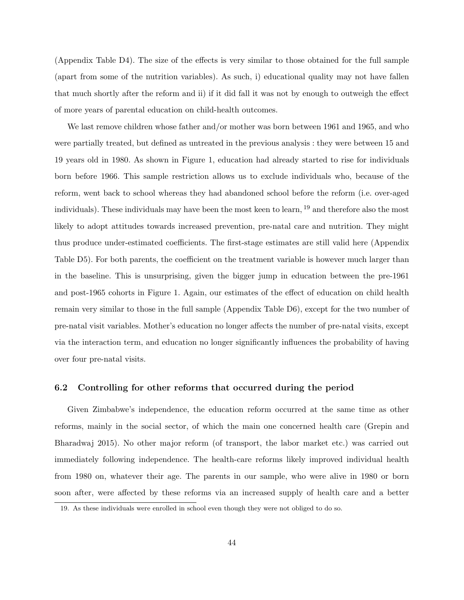(Appendix Table D4). The size of the effects is very similar to those obtained for the full sample (apart from some of the nutrition variables). As such, i) educational quality may not have fallen that much shortly after the reform and ii) if it did fall it was not by enough to outweigh the effect of more years of parental education on child-health outcomes.

We last remove children whose father and/or mother was born between 1961 and 1965, and who were partially treated, but defined as untreated in the previous analysis : they were between 15 and 19 years old in 1980. As shown in Figure 1, education had already started to rise for individuals born before 1966. This sample restriction allows us to exclude individuals who, because of the reform, went back to school whereas they had abandoned school before the reform (i.e. over-aged individuals). These individuals may have been the most keen to learn, <sup>19</sup> and therefore also the most likely to adopt attitudes towards increased prevention, pre-natal care and nutrition. They might thus produce under-estimated coefficients. The first-stage estimates are still valid here (Appendix Table D5). For both parents, the coefficient on the treatment variable is however much larger than in the baseline. This is unsurprising, given the bigger jump in education between the pre-1961 and post-1965 cohorts in Figure 1. Again, our estimates of the effect of education on child health remain very similar to those in the full sample (Appendix Table D6), except for the two number of pre-natal visit variables. Mother's education no longer affects the number of pre-natal visits, except via the interaction term, and education no longer significantly influences the probability of having over four pre-natal visits.

#### 6.2 Controlling for other reforms that occurred during the period

Given Zimbabwe's independence, the education reform occurred at the same time as other reforms, mainly in the social sector, of which the main one concerned health care (Grepin and Bharadwaj 2015). No other major reform (of transport, the labor market etc.) was carried out immediately following independence. The health-care reforms likely improved individual health from 1980 on, whatever their age. The parents in our sample, who were alive in 1980 or born soon after, were affected by these reforms via an increased supply of health care and a better

<sup>19.</sup> As these individuals were enrolled in school even though they were not obliged to do so.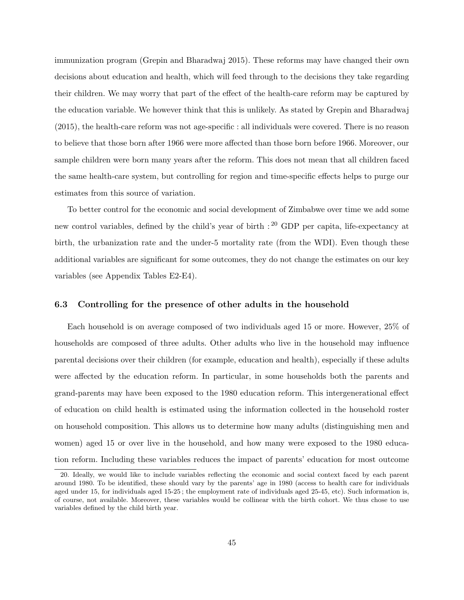immunization program (Grepin and Bharadwaj 2015). These reforms may have changed their own decisions about education and health, which will feed through to the decisions they take regarding their children. We may worry that part of the effect of the health-care reform may be captured by the education variable. We however think that this is unlikely. As stated by Grepin and Bharadwaj (2015), the health-care reform was not age-specific : all individuals were covered. There is no reason to believe that those born after 1966 were more affected than those born before 1966. Moreover, our sample children were born many years after the reform. This does not mean that all children faced the same health-care system, but controlling for region and time-specific effects helps to purge our estimates from this source of variation.

To better control for the economic and social development of Zimbabwe over time we add some new control variables, defined by the child's year of birth : <sup>20</sup> GDP per capita, life-expectancy at birth, the urbanization rate and the under-5 mortality rate (from the WDI). Even though these additional variables are significant for some outcomes, they do not change the estimates on our key variables (see Appendix Tables E2-E4).

#### 6.3 Controlling for the presence of other adults in the household

Each household is on average composed of two individuals aged 15 or more. However, 25% of households are composed of three adults. Other adults who live in the household may influence parental decisions over their children (for example, education and health), especially if these adults were affected by the education reform. In particular, in some households both the parents and grand-parents may have been exposed to the 1980 education reform. This intergenerational effect of education on child health is estimated using the information collected in the household roster on household composition. This allows us to determine how many adults (distinguishing men and women) aged 15 or over live in the household, and how many were exposed to the 1980 education reform. Including these variables reduces the impact of parents' education for most outcome

<sup>20.</sup> Ideally, we would like to include variables reflecting the economic and social context faced by each parent around 1980. To be identified, these should vary by the parents' age in 1980 (access to health care for individuals aged under 15, for individuals aged 15-25 ; the employment rate of individuals aged 25-45, etc). Such information is, of course, not available. Moreover, these variables would be collinear with the birth cohort. We thus chose to use variables defined by the child birth year.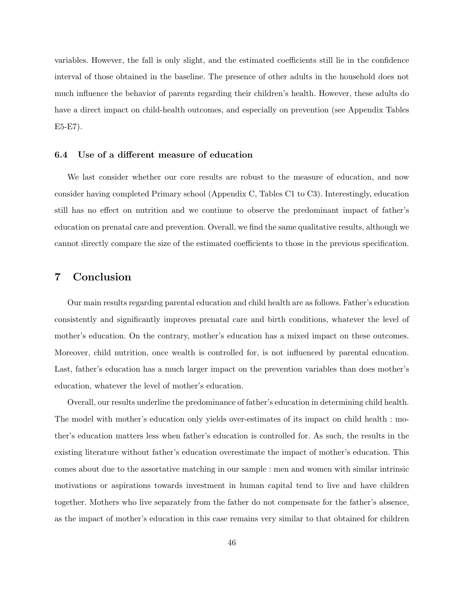variables. However, the fall is only slight, and the estimated coefficients still lie in the confidence interval of those obtained in the baseline. The presence of other adults in the household does not much influence the behavior of parents regarding their children's health. However, these adults do have a direct impact on child-health outcomes, and especially on prevention (see Appendix Tables E5-E7).

#### 6.4 Use of a different measure of education

We last consider whether our core results are robust to the measure of education, and now consider having completed Primary school (Appendix C, Tables C1 to C3). Interestingly, education still has no effect on nutrition and we continue to observe the predominant impact of father's education on prenatal care and prevention. Overall, we find the same qualitative results, although we cannot directly compare the size of the estimated coefficients to those in the previous specification.

## 7 Conclusion

Our main results regarding parental education and child health are as follows. Father's education consistently and significantly improves prenatal care and birth conditions, whatever the level of mother's education. On the contrary, mother's education has a mixed impact on these outcomes. Moreover, child nutrition, once wealth is controlled for, is not influenced by parental education. Last, father's education has a much larger impact on the prevention variables than does mother's education, whatever the level of mother's education.

Overall, our results underline the predominance of father's education in determining child health. The model with mother's education only yields over-estimates of its impact on child health : mother's education matters less when father's education is controlled for. As such, the results in the existing literature without father's education overestimate the impact of mother's education. This comes about due to the assortative matching in our sample : men and women with similar intrinsic motivations or aspirations towards investment in human capital tend to live and have children together. Mothers who live separately from the father do not compensate for the father's absence, as the impact of mother's education in this case remains very similar to that obtained for children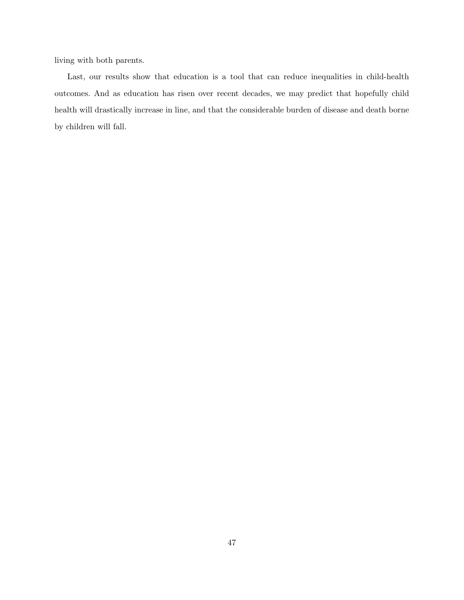living with both parents.

Last, our results show that education is a tool that can reduce inequalities in child-health outcomes. And as education has risen over recent decades, we may predict that hopefully child health will drastically increase in line, and that the considerable burden of disease and death borne by children will fall.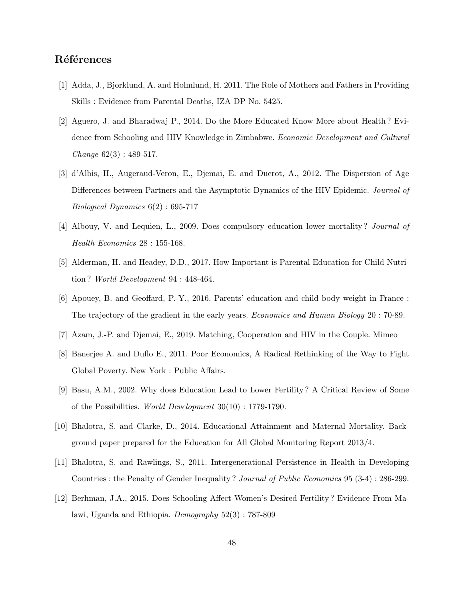## Références

- [1] Adda, J., Bjorklund, A. and Holmlund, H. 2011. The Role of Mothers and Fathers in Providing Skills : Evidence from Parental Deaths, IZA DP No. 5425.
- [2] Aguero, J. and Bharadwaj P., 2014. Do the More Educated Know More about Health ? Evidence from Schooling and HIV Knowledge in Zimbabwe. *Economic Development and Cultural Change* 62(3) : 489-517.
- [3] d'Albis, H., Augeraud-Veron, E., Djemai, E. and Ducrot, A., 2012. The Dispersion of Age Differences between Partners and the Asymptotic Dynamics of the HIV Epidemic. *Journal of Biological Dynamics* 6(2) : 695-717
- [4] Albouy, V. and Lequien, L., 2009. Does compulsory education lower mortality ? *Journal of Health Economics* 28 : 155-168.
- [5] Alderman, H. and Headey, D.D., 2017. How Important is Parental Education for Child Nutrition ? *World Development* 94 : 448-464.
- [6] Apouey, B. and Geoffard, P.-Y., 2016. Parents' education and child body weight in France : The trajectory of the gradient in the early years. *Economics and Human Biology* 20 : 70-89.
- [7] Azam, J.-P. and Djemai, E., 2019. Matching, Cooperation and HIV in the Couple. Mimeo
- [8] Banerjee A. and Duflo E., 2011. Poor Economics, A Radical Rethinking of the Way to Fight Global Poverty. New York : Public Affairs.
- [9] Basu, A.M., 2002. Why does Education Lead to Lower Fertility ? A Critical Review of Some of the Possibilities. *World Development* 30(10) : 1779-1790.
- [10] Bhalotra, S. and Clarke, D., 2014. Educational Attainment and Maternal Mortality. Background paper prepared for the Education for All Global Monitoring Report 2013/4.
- [11] Bhalotra, S. and Rawlings, S., 2011. Intergenerational Persistence in Health in Developing Countries : the Penalty of Gender Inequality ? *Journal of Public Economics* 95 (3-4) : 286-299.
- [12] Berhman, J.A., 2015. Does Schooling Affect Women's Desired Fertility ? Evidence From Malawi, Uganda and Ethiopia. *Demography* 52(3) : 787-809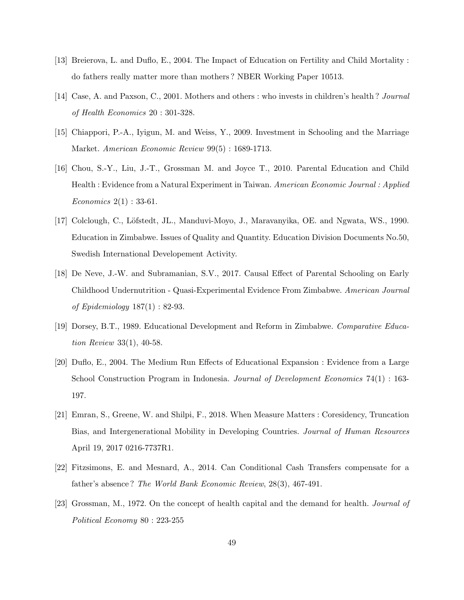- [13] Breierova, L. and Duflo, E., 2004. The Impact of Education on Fertility and Child Mortality : do fathers really matter more than mothers ? NBER Working Paper 10513.
- [14] Case, A. and Paxson, C., 2001. Mothers and others : who invests in children's health ? *Journal of Health Economics* 20 : 301-328.
- [15] Chiappori, P.-A., Iyigun, M. and Weiss, Y., 2009. Investment in Schooling and the Marriage Market. *American Economic Review* 99(5) : 1689-1713.
- [16] Chou, S.-Y., Liu, J.-T., Grossman M. and Joyce T., 2010. Parental Education and Child Health : Evidence from a Natural Experiment in Taiwan. *American Economic Journal : Applied Economics* 2(1) : 33-61.
- [17] Colclough, C., Löfstedt, JL., Manduvi-Moyo, J., Maravanyika, OE. and Ngwata, WS., 1990. Education in Zimbabwe. Issues of Quality and Quantity. Education Division Documents No.50, Swedish International Developement Activity.
- [18] De Neve, J.-W. and Subramanian, S.V., 2017. Causal Effect of Parental Schooling on Early Childhood Undernutrition - Quasi-Experimental Evidence From Zimbabwe. *American Journal of Epidemiology* 187(1) : 82-93.
- [19] Dorsey, B.T., 1989. Educational Development and Reform in Zimbabwe. *Comparative Education Review* 33(1), 40-58.
- [20] Duflo, E., 2004. The Medium Run Effects of Educational Expansion : Evidence from a Large School Construction Program in Indonesia. *Journal of Development Economics* 74(1) : 163- 197.
- [21] Emran, S., Greene, W. and Shilpi, F., 2018. When Measure Matters : Coresidency, Truncation Bias, and Intergenerational Mobility in Developing Countries. *Journal of Human Resources* April 19, 2017 0216-7737R1.
- [22] Fitzsimons, E. and Mesnard, A., 2014. Can Conditional Cash Transfers compensate for a father's absence ? *The World Bank Economic Review*, 28(3), 467-491.
- [23] Grossman, M., 1972. On the concept of health capital and the demand for health. *Journal of Political Economy* 80 : 223-255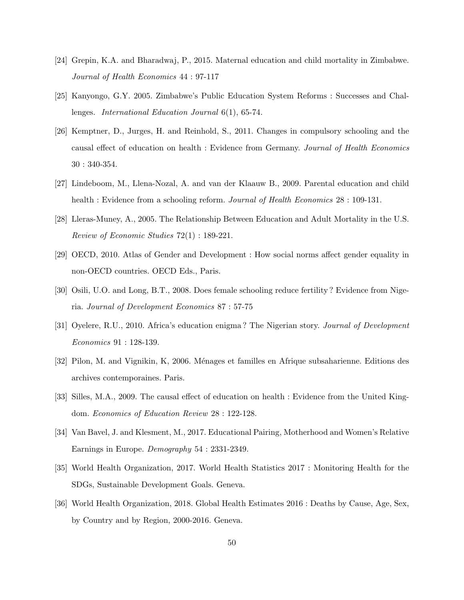- [24] Grepin, K.A. and Bharadwaj, P., 2015. Maternal education and child mortality in Zimbabwe. *Journal of Health Economics* 44 : 97-117
- [25] Kanyongo, G.Y. 2005. Zimbabwe's Public Education System Reforms : Successes and Challenges. *International Education Journal* 6(1), 65-74.
- [26] Kemptner, D., Jurges, H. and Reinhold, S., 2011. Changes in compulsory schooling and the causal effect of education on health : Evidence from Germany. *Journal of Health Economics* 30 : 340-354.
- [27] Lindeboom, M., Llena-Nozal, A. and van der Klaauw B., 2009. Parental education and child health : Evidence from a schooling reform. *Journal of Health Economics* 28 : 109-131.
- [28] Lleras-Muney, A., 2005. The Relationship Between Education and Adult Mortality in the U.S. *Review of Economic Studies* 72(1) : 189-221.
- [29] OECD, 2010. Atlas of Gender and Development : How social norms affect gender equality in non-OECD countries. OECD Eds., Paris.
- [30] Osili, U.O. and Long, B.T., 2008. Does female schooling reduce fertility ? Evidence from Nigeria. *Journal of Development Economics* 87 : 57-75
- [31] Oyelere, R.U., 2010. Africa's education enigma ? The Nigerian story. *Journal of Development Economics* 91 : 128-139.
- [32] Pilon, M. and Vignikin, K, 2006. M´enages et familles en Afrique subsaharienne. Editions des archives contemporaines. Paris.
- [33] Silles, M.A., 2009. The causal effect of education on health : Evidence from the United Kingdom. *Economics of Education Review* 28 : 122-128.
- [34] Van Bavel, J. and Klesment, M., 2017. Educational Pairing, Motherhood and Women's Relative Earnings in Europe. *Demography* 54 : 2331-2349.
- [35] World Health Organization, 2017. World Health Statistics 2017 : Monitoring Health for the SDGs, Sustainable Development Goals. Geneva.
- [36] World Health Organization, 2018. Global Health Estimates 2016 : Deaths by Cause, Age, Sex, by Country and by Region, 2000-2016. Geneva.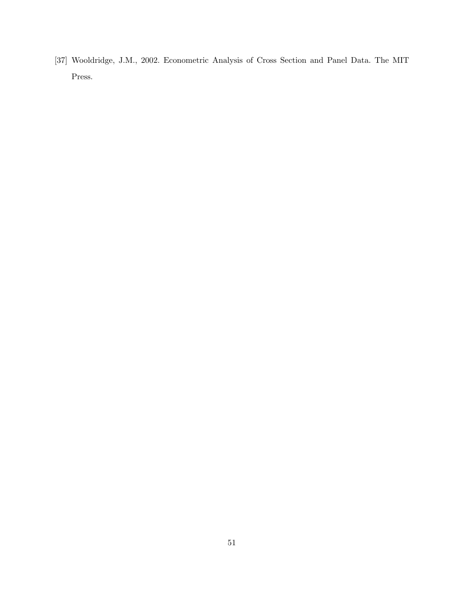[37] Wooldridge, J.M., 2002. Econometric Analysis of Cross Section and Panel Data. The MIT Press.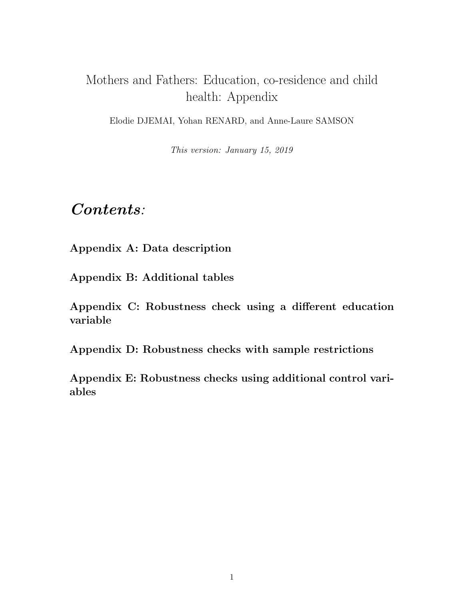# Mothers and Fathers: Education, co-residence and child health: Appendix

Elodie DJEMAI, Yohan RENARD, and Anne-Laure SAMSON

This version: January 15, 2019

# Contents:

Appendix A: Data description

Appendix B: Additional tables

Appendix C: Robustness check using a different education variable

Appendix D: Robustness checks with sample restrictions

Appendix E: Robustness checks using additional control variables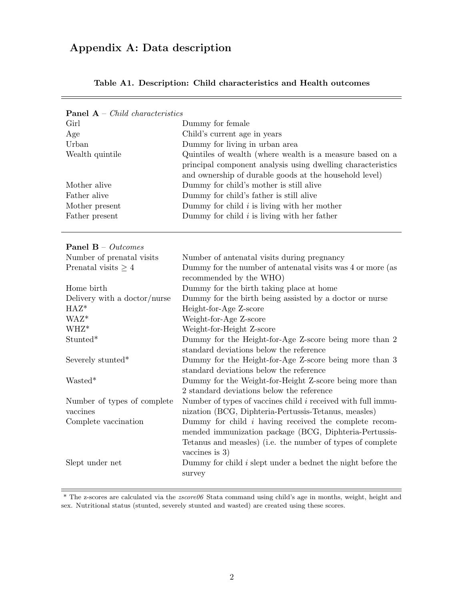# Appendix A: Data description

| <b>Panel A</b> – <i>Child characteristics</i> |                                                                     |
|-----------------------------------------------|---------------------------------------------------------------------|
| Girl                                          | Dummy for female                                                    |
| Age                                           | Child's current age in years                                        |
| Urban                                         | Dummy for living in urban area                                      |
| Wealth quintile                               | Quintiles of wealth (where wealth is a measure based on a           |
|                                               | principal component analysis using dwelling characteristics         |
|                                               | and ownership of durable goods at the household level)              |
| Mother alive                                  | Dummy for child's mother is still alive                             |
| Father alive                                  | Dummy for child's father is still alive                             |
| Mother present                                | Dummy for child $i$ is living with her mother                       |
| Father present                                | Dummy for child $i$ is living with her father                       |
|                                               |                                                                     |
| <b>Panel B</b> – $Outcomes$                   |                                                                     |
| Number of prenatal visits                     | Number of antenatal visits during pregnancy                         |
| Prenatal visits $\geq 4$                      | Dummy for the number of antenatal visits was 4 or more (as          |
|                                               | recommended by the WHO)                                             |
| Home birth                                    | Dummy for the birth taking place at home                            |
| Delivery with a doctor/nurse                  | Dummy for the birth being assisted by a doctor or nurse             |
| $HAZ^*$                                       | Height-for-Age Z-score                                              |
| WAZ*                                          | Weight-for-Age Z-score                                              |
| WHZ*                                          | Weight-for-Height Z-score                                           |
| Stunted*                                      | Dummy for the Height-for-Age Z-score being more than 2              |
|                                               | standard deviations below the reference                             |
| Severely stunted*                             | Dummy for the Height-for-Age Z-score being more than 3              |
|                                               | standard deviations below the reference                             |
| Wasted*                                       | Dummy for the Weight-for-Height Z-score being more than             |
|                                               | 2 standard deviations below the reference                           |
| Number of types of complete                   | Number of types of vaccines child <i>i</i> received with full immu- |
| vaccines                                      | nization (BCG, Diphteria-Pertussis-Tetanus, measles)                |
| Complete vaccination                          | Dummy for child $i$ having received the complete recom-             |
|                                               | mended immunization package (BCG, Diphteria-Pertussis-              |
|                                               | Tetanus and measles) (i.e. the number of types of complete          |
|                                               | vaccines is $3)$                                                    |
| Slept under net                               | Dummy for child $i$ slept under a bednet the night before the       |
|                                               | survey                                                              |
|                                               |                                                                     |

### Table A1. Description: Child characteristics and Health outcomes

\* The z-scores are calculated via the zscore06 Stata command using child's age in months, weight, height and sex. Nutritional status (stunted, severely stunted and wasted) are created using these scores.

 $\equiv$ 

 $\frac{1}{2}$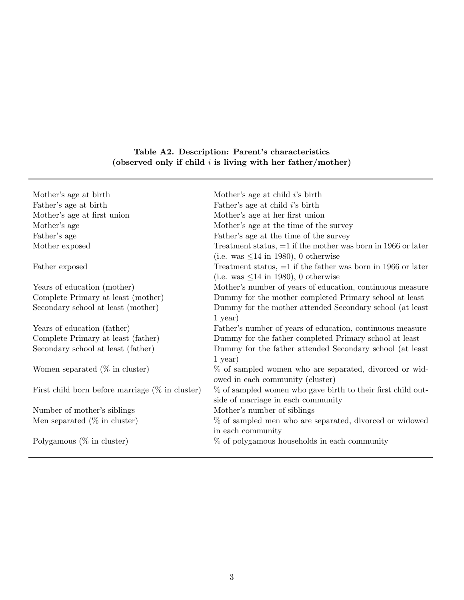# Table A2. Description: Parent's characteristics (observed only if child  $i$  is living with her father/mother)

| Mother's age at birth                              | Mother's age at child $i$ 's birth                             |
|----------------------------------------------------|----------------------------------------------------------------|
| Father's age at birth                              | Father's age at child $i$ 's birth                             |
| Mother's age at first union                        | Mother's age at her first union                                |
| Mother's age                                       | Mother's age at the time of the survey                         |
| Father's age                                       | Father's age at the time of the survey                         |
| Mother exposed                                     | Treatment status, $=1$ if the mother was born in 1966 or later |
|                                                    | (i.e. was $\leq$ 14 in 1980), 0 otherwise                      |
| Father exposed                                     | Treatment status, $=1$ if the father was born in 1966 or later |
|                                                    | (i.e. was $\leq$ 14 in 1980), 0 otherwise                      |
| Years of education (mother)                        | Mother's number of years of education, continuous measure      |
| Complete Primary at least (mother)                 | Dummy for the mother completed Primary school at least         |
| Secondary school at least (mother)                 | Dummy for the mother attended Secondary school (at least       |
|                                                    | $1 \text{ year}$ )                                             |
| Years of education (father)                        | Father's number of years of education, continuous measure      |
| Complete Primary at least (father)                 | Dummy for the father completed Primary school at least         |
| Secondary school at least (father)                 | Dummy for the father attended Secondary school (at least       |
|                                                    | $1$ year)                                                      |
| Women separated $(\%$ in cluster)                  | % of sampled women who are separated, divorced or wid-         |
|                                                    | owed in each community (cluster)                               |
| First child born before marriage $(\%$ in cluster) | % of sampled women who gave birth to their first child out-    |
|                                                    | side of marriage in each community                             |
| Number of mother's siblings                        | Mother's number of siblings                                    |
| Men separated $(\%$ in cluster)                    | % of sampled men who are separated, divorced or widowed        |
|                                                    | in each community                                              |
| Polygamous $(\%$ in cluster)                       | % of polygamous households in each community                   |
|                                                    |                                                                |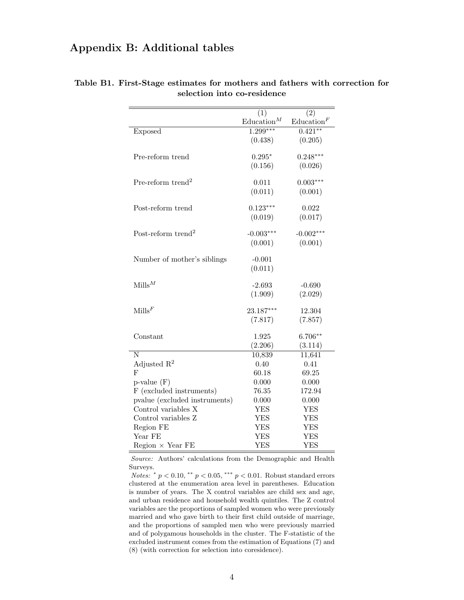# Appendix B: Additional tables

|                                | (1)                  | (2)                  |
|--------------------------------|----------------------|----------------------|
|                                | $\text{Education}^M$ | $\text{Education}^F$ |
| <b>Exposed</b>                 | $1.299***$           | $0.421**$            |
|                                | (0.438)              | (0.205)              |
|                                |                      |                      |
| Pre-reform trend               | $0.295*$             | $0.248***$           |
|                                | (0.156)              | (0.026)              |
| Pre-reform trend <sup>2</sup>  | 0.011                | $0.003***$           |
|                                | (0.011)              | (0.001)              |
|                                |                      |                      |
| Post-reform trend              | $0.123***$           | 0.022                |
|                                | (0.019)              | (0.017)              |
|                                |                      |                      |
| Post-reform trend <sup>2</sup> | $-0.003***$          | $-0.002***$          |
|                                | (0.001)              | (0.001)              |
|                                |                      |                      |
| Number of mother's siblings    | $-0.001$             |                      |
|                                | (0.011)              |                      |
| $M$ ills $^M$                  | $-2.693$             | $-0.690$             |
|                                | (1.909)              | (2.029)              |
|                                |                      |                      |
| $\text{Mills}^F$               | 23.187***            | 12.304               |
|                                | (7.817)              | (7.857)              |
|                                |                      |                      |
| Constant                       | 1.925                | $6.706**$            |
|                                | (2.206)              | (3.114)              |
| $\overline{\text{N}}$          | 10,839               | 11,641               |
| Adjusted $\mathbb{R}^2$        | 0.40                 | 0.41                 |
| F                              | 60.18                | 69.25                |
| $p$ -value $(F)$               | 0.000                | 0.000                |
| F (excluded instruments)       | 76.35                | 172.94               |
| pvalue (excluded instruments)  | 0.000                | 0.000                |
| Control variables X            | YES                  | YES                  |
| Control variables Z            | <b>YES</b>           | <b>YES</b>           |
| Region FE                      | <b>YES</b>           | <b>YES</b>           |
| Year FE                        | <b>YES</b>           | <b>YES</b>           |
| $Region \times Year FE$        | <b>YES</b>           | <b>YES</b>           |

Table B1. First-Stage estimates for mothers and fathers with correction for selection into co-residence

Source: Authors' calculations from the Demographic and Health Surveys.

Notes:  $* p < 0.10, ** p < 0.05, *** p < 0.01$ . Robust standard errors clustered at the enumeration area level in parentheses. Education is number of years. The X control variables are child sex and age, and urban residence and household wealth quintiles. The Z control variables are the proportions of sampled women who were previously married and who gave birth to their first child outside of marriage, and the proportions of sampled men who were previously married and of polygamous households in the cluster. The F-statistic of the excluded instrument comes from the estimation of Equations (7) and (8) (with correction for selection into coresidence).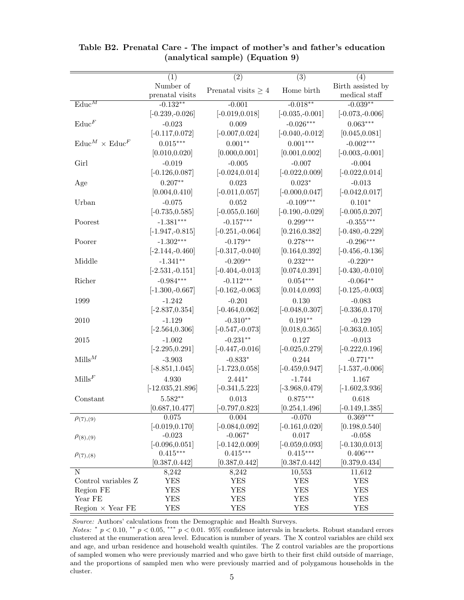|                                      | (1)                 | $\overline{(2)}$         | $\overline{(3)}$  | $\overline{(4)}$   |
|--------------------------------------|---------------------|--------------------------|-------------------|--------------------|
|                                      | Number of           |                          |                   | Birth assisted by  |
|                                      | prenatal visits     | Prenatal visits $\geq 4$ | Home birth        | medical staff      |
| $\mathrm{Educ}^M$                    | $-0.132**$          | $-0.001$                 | $-0.018**$        | $-0.039**$         |
|                                      | $[-0.239,-0.026]$   | $[-0.019, 0.018]$        | $[-0.035,-0.001]$ | $[-0.073,-0.006]$  |
| $\text{Educ}^F$                      | $-0.023$            | 0.009                    | $-0.026***$       | $0.063***$         |
|                                      | $[-0.117, 0.072]$   | $[-0.007, 0.024]$        | $[-0.040,-0.012]$ | [0.045, 0.081]     |
| $\text{Educ}^M \times \text{Educ}^F$ | $0.015***$          | $0.001**$                | $0.001***$        | $-0.002***$        |
|                                      | [0.010, 0.020]      | [0.000, 0.001]           | [0.001, 0.002]    | $[-0.003, -0.001]$ |
|                                      | $-0.019$            | $-0.005$                 | $-0.007$          |                    |
| Girl                                 |                     |                          |                   | $-0.004$           |
|                                      | $[-0.126, 0.087]$   | $[-0.024, 0.014]$        | $[-0.022, 0.009]$ | $[-0.022, 0.014]$  |
| Age                                  | $0.207**$           | 0.023                    | $0.023*$          | $-0.013$           |
|                                      | [0.004, 0.410]      | $[-0.011, 0.057]$        | $[-0.000, 0.047]$ | $[-0.042, 0.017]$  |
| Urban                                | $-0.075$            | 0.052                    | $-0.109***$       | $0.101*$           |
|                                      | $[-0.735, 0.585]$   | $[-0.055, 0.160]$        | $[-0.190,-0.029]$ | $[-0.005, 0.207]$  |
| Poorest                              | $-1.381***$         | $-0.157***$              | $0.299***$        | $-0.355***$        |
|                                      | $[-1.947, -0.815]$  | $[-0.251, -0.064]$       | [0.216, 0.382]    | $[-0.480,-0.229]$  |
| Poorer                               | $-1.302***$         | $-0.179**$               | $0.278***$        | $-0.296***$        |
|                                      | $[-2.144,-0.460]$   | $[-0.317,-0.040]$        | [0.164, 0.392]    | $[-0.456,-0.136]$  |
| Middle                               | $-1.341**$          | $-0.209**$               | $0.232***$        | $-0.220**$         |
|                                      | $[-2.531, -0.151]$  | $[-0.404,-0.013]$        | [0.074, 0.391]    | $[-0.430,-0.010]$  |
| Richer                               | $-0.984***$         | $-0.112***$              | $0.054***$        | $-0.064**$         |
|                                      | $[-1.300,-0.667]$   | $[-0.162, -0.063]$       | [0.014, 0.093]    | $[-0.125, -0.003]$ |
| 1999                                 | $-1.242$            | $-0.201$                 | 0.130             | $-0.083$           |
|                                      | $[-2.837, 0.354]$   | $[-0.464, 0.062]$        | $[-0.048, 0.307]$ | $[-0.336, 0.170]$  |
| 2010                                 | $-1.129$            | $-0.310**$               | $0.191**$         | $-0.129$           |
|                                      | $[-2.564, 0.306]$   | $[-0.547, -0.073]$       | [0.018, 0.365]    | $[-0.363, 0.105]$  |
| 2015                                 | $-1.002$            | $-0.231**$               | 0.127             | $-0.013$           |
|                                      | $[-2.295, 0.291]$   | $[-0.447, -0.016]$       | $[-0.025, 0.279]$ | $[-0.222, 0.196]$  |
| $\text{Mills}^M$                     | $-3.903$            | $-0.833*$                | 0.244             | $-0.771**$         |
|                                      | $[-8.851, 1.045]$   | $[-1.723, 0.058]$        | $[-0.459, 0.947]$ | $[-1.537,-0.006]$  |
| Mills <sup>F</sup>                   | 4.930               | $2.441*$                 | $-1.744$          | 1.167              |
|                                      | $[-12.035, 21.896]$ | $[-0.341, 5.223]$        | $[-3.968, 0.479]$ | $[-1.602, 3.936]$  |
| Constant                             | $5.582**$           | 0.013                    | $0.875***$        | 0.618              |
|                                      | [0.687, 10.477]     | $[-0.797, 0.823]$        | [0.254, 1.496]    | $[-0.149, 1.385]$  |
|                                      | 0.075               | 0.004                    | $-0.070$          | $0.369***$         |
| $\rho_{(7),(9)}$                     | $[-0.019, 0.170]$   | $[-0.084, 0.092]$        | $[-0.161, 0.020]$ | [0.198, 0.540]     |
| $\rho_{(8),(9)}$                     | $-0.023$            | $-0.067*$                | 0.017             | $-0.058$           |
|                                      | $[-0.096, 0.051]$   | $[-0.142, 0.009]$        | $[-0.059, 0.093]$ | $[-0.130, 0.013]$  |
| $\rho_{(7),(8)}$                     | $0.415***$          | $0.415***$               | $0.415***$        | $0.406***$         |
|                                      | [0.387, 0.442]      | [0.387, 0.442]           | [0.387, 0.442]    | [0.379, 0.434]     |
| Ν                                    | 8,242               | 8,242                    | 10,553            | 11,612             |
| Control variables Z                  | <b>YES</b>          | <b>YES</b>               | <b>YES</b>        | <b>YES</b>         |
| Region FE                            | <b>YES</b>          | <b>YES</b>               | <b>YES</b>        | <b>YES</b>         |
| Year FE                              | YES                 | <b>YES</b>               | <b>YES</b>        | <b>YES</b>         |
| $Region \times Year FE$              | <b>YES</b>          | <b>YES</b>               | YES               | <b>YES</b>         |

Table B2. Prenatal Care - The impact of mother's and father's education (analytical sample) (Equation 9)

Source: Authors' calculations from the Demographic and Health Surveys.

Notes: \*  $p < 0.10$ , \*\*  $p < 0.05$ , \*\*\*  $p < 0.01$ . 95% confidence intervals in brackets. Robust standard errors clustered at the enumeration area level. Education is number of years. The X control variables are child sex and age, and urban residence and household wealth quintiles. The Z control variables are the proportions of sampled women who were previously married and who gave birth to their first child outside of marriage, and the proportions of sampled men who were previously married and of polygamous households in the cluster.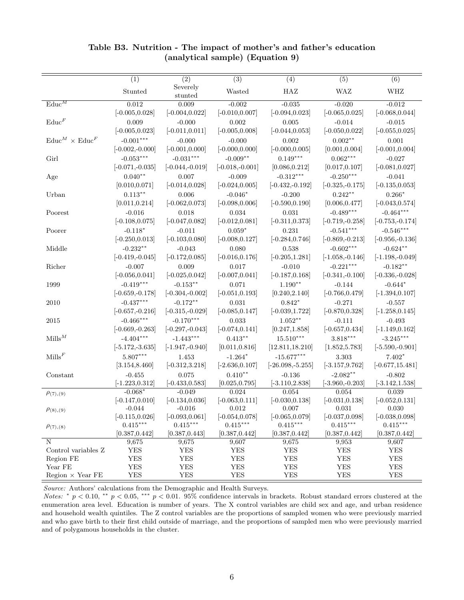|                                      | $\overline{(1)}$   | $\overline{(2)}$   | $\overline{(3)}$  | (4)                 | (5)                | $\overline{(6)}$   |
|--------------------------------------|--------------------|--------------------|-------------------|---------------------|--------------------|--------------------|
|                                      |                    | Severely           |                   |                     |                    |                    |
|                                      | Stunted            | stunted            | Wasted            | HAZ                 | <b>WAZ</b>         | WHZ                |
| $\text{Educ}^M$                      | 0.012              | 0.009              | $-0.002$          | $-0.035$            | $-0.020$           | $-0.012$           |
|                                      | $[-0.005, 0.028]$  | $[-0.004, 0.022]$  | $[-0.010, 0.007]$ | $[-0.094, 0.023]$   | $[-0.065, 0.025]$  | $[-0.068, 0.044]$  |
| $\text{Educ}^F$                      | 0.009              | $-0.000$           | 0.002             | 0.005               | $-0.014$           | $-0.015$           |
|                                      | $[-0.005, 0.023]$  | $[-0.011, 0.011]$  | $[-0.005, 0.008]$ | $[-0.044, 0.053]$   | $[-0.050, 0.022]$  | $[-0.055, 0.025]$  |
| $\text{Educ}^M \times \text{Educ}^F$ | $-0.001***$        | $-0.000$           | $-0.000$          | 0.002               | $0.002**$          | 0.001              |
|                                      | $[-0.002, -0.000]$ | $[-0.001, 0.000]$  | $[-0.000, 0.000]$ | $[-0.000, 0.005]$   | [0.001, 0.004]     | $[-0.001, 0.004]$  |
| Girl                                 | $-0.053***$        | $-0.031***$        | $-0.009**$        | $0.149***$          | $0.062***$         | $-0.027$           |
|                                      |                    |                    |                   |                     |                    |                    |
|                                      | $[-0.071,-0.035]$  | $[-0.044,-0.019]$  | $[-0.018,-0.001]$ | [0.086, 0.212]      | [0.017, 0.107]     | $[-0.081, 0.027]$  |
| Age                                  | $0.040**$          | 0.007              | $-0.009$          | $-0.312***$         | $-0.250***$        | $-0.041$           |
|                                      | [0.010, 0.071]     | $[-0.014, 0.028]$  | $[-0.024, 0.005]$ | $[-0.432, -0.192]$  | $[-0.325,-0.175]$  | $[-0.135, 0.053]$  |
| Urban                                | $0.113***$         | 0.006              | $-0.046*$         | $-0.200$            | $0.242**$          | $0.266*$           |
|                                      | [0.011, 0.214]     | $[-0.062, 0.073]$  | $[-0.098, 0.006]$ | $[-0.590, 0.190]$   | [0.006, 0.477]     | $[-0.043, 0.574]$  |
| Poorest                              | $-0.016$           | 0.018              | 0.034             | 0.031               | $-0.489***$        | $-0.464***$        |
|                                      | $[-0.108, 0.075]$  | $[-0.047, 0.082]$  | $[-0.012, 0.081]$ | $[-0.311, 0.373]$   | $[-0.719,-0.258]$  | $[-0.753,-0.174]$  |
| Poorer                               | $-0.118*$          | $-0.011$           | $0.059^{\ast}$    | 0.231               | $-0.541***$        | $-0.546***$        |
|                                      | $[-0.250, 0.013]$  | $[-0.103, 0.080]$  | $[-0.008, 0.127]$ | $[-0.284, 0.746]$   | $[-0.869,-0.213]$  | $[-0.956,-0.136]$  |
| Middle                               | $-0.232**$         | $-0.043$           | 0.080             | 0.538               | $-0.602***$        | $-0.624**$         |
|                                      | $[-0.419,-0.045]$  | $[-0.172, 0.085]$  | $[-0.016, 0.176]$ | $[-0.205, 1.281]$   | $[-1.058,-0.146]$  | $[-1.198, -0.049]$ |
| Richer                               | $-0.007$           | 0.009              | 0.017             | $-0.010$            | $-0.221***$        | $-0.182**$         |
|                                      | $[-0.056, 0.041]$  | $[-0.025, 0.042]$  | $[-0.007, 0.041]$ | $[-0.187, 0.168]$   | $[-0.341, -0.100]$ | $[-0.336,-0.028]$  |
| 1999                                 | $-0.419***$        | $-0.153**$         | 0.071             | $1.190**$           | $-0.144$           | $-0.644*$          |
|                                      | $[-0.659,-0.178]$  | $[-0.304,-0.002]$  | $[-0.051, 0.193]$ | [0.240, 2.140]      | $[-0.766, 0.479]$  | $[-1.394, 0.107]$  |
| 2010                                 | $-0.437***$        | $-0.172**$         | 0.031             | $0.842*$            | $-0.271$           | $-0.557$           |
|                                      | $[-0.657, -0.216]$ | $[-0.315,-0.029]$  | $[-0.085, 0.147]$ | $[-0.039, 1.722]$   | $[-0.870, 0.328]$  | $[-1.258, 0.145]$  |
| 2015                                 | $-0.466***$        | $-0.170***$        | 0.033             | $1.052**$           | $-0.111$           | $-0.493$           |
|                                      | $[-0.669,-0.263]$  | $[-0.297, -0.043]$ | $[-0.074, 0.141]$ | [0.247, 1.858]      | $[-0.657, 0.434]$  | $[-1.149, 0.162]$  |
| $Mills^M$                            | $-4.404***$        | $-1.443***$        | $0.413***$        | $15.510***$         | $3.818***$         | $-3.245***$        |
|                                      | $[-5.172, -3.635]$ | $[-1.947, -0.940]$ | [0.011, 0.816]    | [12.811, 18.210]    | [1.852, 5.783]     | $[-5.590,-0.901]$  |
| $\text{Mills}^F$                     | $5.807***$         | 1.453              | $-1.264*$         | $-15.677***$        | 3.303              | $7.402^\ast$       |
|                                      | [3.154, 8.460]     | $[-0.312, 3.218]$  | $[-2.636, 0.107]$ | $[-26.098, -5.255]$ | $[-3.157, 9.762]$  | $[-0.677, 15.481]$ |
| Constant                             | $-0.455$           | 0.075              | $0.410**$         | $-0.136$            | $-2.082**$         | $-0.802$           |
|                                      | $[-1.223, 0.312]$  | $[-0.433, 0.583]$  | [0.025, 0.795]    | $[-3.110, 2.838]$   | $[-3.960,-0.203]$  | $[-3.142, 1.538]$  |
|                                      | $-0.068*$          | $-0.049$           | 0.024             | 0.054               | 0.054              | 0.039              |
| $\rho_{(7),(9)}$                     | $[-0.147, 0.010]$  | $[-0.134, 0.036]$  | $[-0.063, 0.111]$ | $[-0.030, 0.138]$   | $[-0.031, 0.138]$  | $[-0.052, 0.131]$  |
|                                      | $-0.044$           | $-0.016$           | 0.012             | 0.007               | 0.031              | 0.030              |
| $\rho_{(8),(9)}$                     | $[-0.115, 0.026]$  | $[-0.093, 0.061]$  | $[-0.054, 0.078]$ | $[-0.065, 0.079]$   | $[-0.037, 0.098]$  | $[-0.038, 0.098]$  |
| $\rho_{(7),(8)}$                     | $0.415***$         | $0.415***$         | $0.415***$        | $0.415***$          | $0.415***$         | $0.415***$         |
|                                      | [0.387, 0.442]     | [0.387, 0.443]     | [0.387, 0.442]    | [0.387, 0.442]      | [0.387, 0.442]     | [0.387, 0.442]     |
| $\overline{N}$                       | 9,675              | 9,675              | 9,607             | 9,675               | 9,953              | 9,607              |
| Control variables Z                  | ${\rm YES}$        | YES                | YES               | YES                 | YES                | ${\rm YES}$        |
| Region FE                            | ${\rm YES}$        | ${\rm YES}$        | ${\rm YES}$       | ${\rm YES}$         | ${\rm YES}$        | <b>YES</b>         |
| Year FE                              | ${\rm YES}$        | ${\rm YES}$        | ${\rm YES}$       | <b>YES</b>          | ${\rm YES}$        | <b>YES</b>         |
| Region $\times$ Year FE              | ${\rm YES}$        | <b>YES</b>         | ${\rm YES}$       | ${\rm YES}$         | <b>YES</b>         | <b>YES</b>         |

### Table B3. Nutrition - The impact of mother's and father's education (analytical sample) (Equation 9)

Source: Authors' calculations from the Demographic and Health Surveys.

Notes: \*  $p < 0.10$ , \*\*  $p < 0.05$ , \*\*\*  $p < 0.01$ . 95% confidence intervals in brackets. Robust standard errors clustered at the enumeration area level. Education is number of years. The X control variables are child sex and age, and urban residence and household wealth quintiles. The Z control variables are the proportions of sampled women who were previously married and who gave birth to their first child outside of marriage, and the proportions of sampled men who were previously married and of polygamous households in the cluster.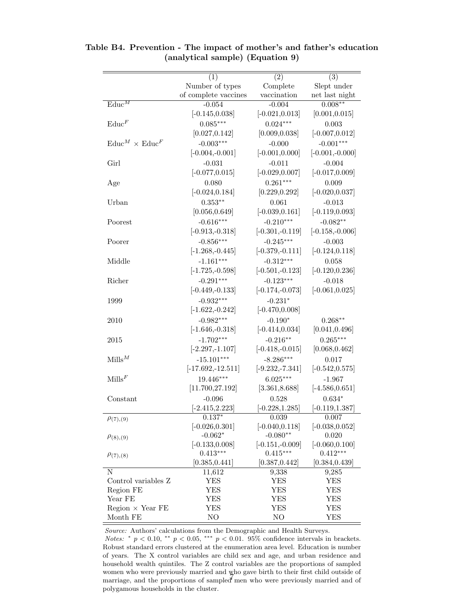|                                      | (1)                  | (2)                | (3)                |
|--------------------------------------|----------------------|--------------------|--------------------|
|                                      | Number of types      | Complete           | Slept under        |
|                                      | of complete vaccines | vaccination        | net last night     |
| $\text{Educ}^M$                      | $-0.054$             | $-0.004$           | $0.008**$          |
|                                      | $[-0.145, 0.038]$    | $[-0.021, 0.013]$  | [0.001, 0.015]     |
| $\text{Educ}^F$                      | $0.085***$           | $0.024***$         | 0.003              |
|                                      | [0.027, 0.142]       | [0.009, 0.038]     | $[-0.007, 0.012]$  |
| $\text{Educ}^M \times \text{Educ}^F$ | $-0.003***$          | $-0.000$           | $-0.001***$        |
|                                      | $[-0.004,-0.001]$    | $[-0.001, 0.000]$  | $[-0.001, -0.000]$ |
| Girl                                 | $-0.031$             | $-0.011$           | $-0.004$           |
|                                      | $[-0.077, 0.015]$    | $[-0.029, 0.007]$  | $[-0.017, 0.009]$  |
| Age                                  | 0.080                | $0.261***$         | 0.009              |
|                                      | $[-0.024, 0.184]$    | [0.229, 0.292]     | $[-0.020, 0.037]$  |
| Urban                                | $0.353**$            | 0.061              | $-0.013$           |
|                                      | [0.056, 0.649]       | $[-0.039, 0.161]$  | $[-0.119, 0.093]$  |
| Poorest                              | $-0.616***$          | $-0.210***$        | $-0.082**$         |
|                                      | $[-0.913, -0.318]$   | $[-0.301, -0.119]$ | $[-0.158,-0.006]$  |
|                                      | $-0.856***$          | $-0.245***$        | $-0.003$           |
| Poorer                               | $[-1.268, -0.445]$   | $[-0.379,-0.111]$  | $[-0.124, 0.118]$  |
|                                      |                      |                    |                    |
| Middle                               | $-1.161***$          | $-0.312***$        | 0.058              |
|                                      | $[-1.725, -0.598]$   | $[-0.501, -0.123]$ | $[-0.120, 0.236]$  |
| Richer                               | $-0.291***$          | $-0.123***$        | $-0.018$           |
|                                      | $[-0.449,-0.133]$    | $[-0.174, -0.073]$ | $[-0.061, 0.025]$  |
| 1999                                 | $-0.932***$          | $-0.231*$          |                    |
|                                      | $[-1.622, -0.242]$   | $[-0.470, 0.008]$  |                    |
| 2010                                 | $-0.982***$          | $-0.190*$          | $0.268**$          |
|                                      | $[-1.646, -0.318]$   | $[-0.414, 0.034]$  | [0.041, 0.496]     |
| 2015                                 | $-1.702***$          | $-0.216**$         | $0.265***$         |
|                                      | $[-2.297, -1.107]$   | $[-0.418,-0.015]$  | [0.068, 0.462]     |
| $Mills^M$                            | $-15.101***$         | $-8.286***$        | 0.017              |
|                                      | $[-17.692, -12.511]$ | $[-9.232, -7.341]$ | $[-0.542, 0.575]$  |
| $\text{Mills}^F$                     | 19.446***            | $6.025***$         | $-1.967$           |
|                                      | [11.700, 27.192]     | [3.361, 8.688]     | $[-4.586, 0.651]$  |
| Constant                             | $-0.096$             | 0.528              | $0.634^{\ast}$     |
|                                      | $[-2.415, 2.223]$    | $[-0.228, 1.285]$  | $[-0.119, 1.387]$  |
| $\rho_{(7),(9)}$                     | $0.137*$             | 0.039              | 0.007              |
|                                      | $[-0.026, 0.301]$    | $[-0.040, 0.118]$  | $[-0.038, 0.052]$  |
| $\rho_{(8),(9)}$                     | $-0.062*$            | $-0.080**$         | 0.020              |
|                                      | $[-0.133, 0.008]$    | $[-0.151,-0.009]$  | $[-0.060, 0.100]$  |
| $\rho_{(7),(8)}$                     | $0.413***$           | $0.415***$         | $0.412***$         |
|                                      | [0.385, 0.441]       | [0.387, 0.442]     | [0.384, 0.439]     |
| Ν                                    | 11,612               | 9,338              | 9,285              |
| Control variables Z                  | YES                  | YES                | YES                |
| Region FE                            | YES                  | <b>YES</b>         | YES                |
| Year FE                              | YES                  | <b>YES</b>         | YES                |
| $Region \times Year FE$              | YES                  | YES                | YES                |
| Month FE                             | NO                   | NO                 | YES                |

Table B4. Prevention - The impact of mother's and father's education (analytical sample) (Equation 9)

Source: Authors' calculations from the Demographic and Health Surveys. Notes: \*  $p < 0.10$ , \*\*  $p < 0.05$ , \*\*\*  $p < 0.01$ . 95% confidence intervals in brackets. Robust standard errors clustered at the enumeration area level. Education is number of years. The X control variables are child sex and age, and urban residence and household wealth quintiles. The Z control variables are the proportions of sampled women who were previously married and who gave birth to their first child outside of marriage, and the proportions of sampled men who were previously married and of polygamous households in the cluster.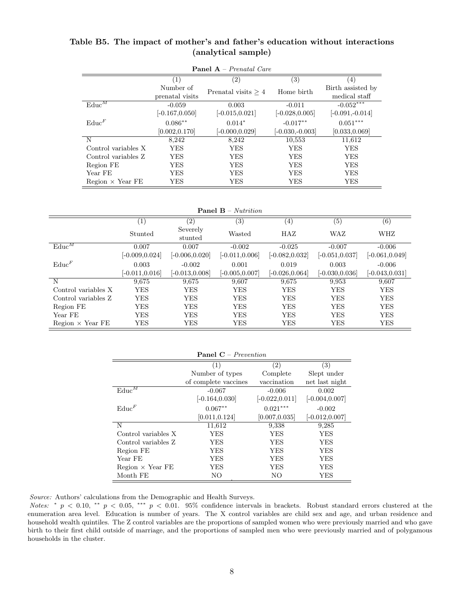| <b>Panel A</b> – Prenatal Care |                   |                       |                   |                   |  |  |
|--------------------------------|-------------------|-----------------------|-------------------|-------------------|--|--|
|                                | $\left( 1\right)$ | $\left( 2\right)$     | $\left( 3\right)$ | $\left( 4\right)$ |  |  |
|                                | Number of         | Prenatal visits $> 4$ | Home birth        | Birth assisted by |  |  |
|                                | prenatal visits   |                       |                   | medical staff     |  |  |
| $\mathrm{Educ}^{\overline{M}}$ | $-0.059$          | 0.003                 | $-0.011$          | $-0.052***$       |  |  |
|                                | $[-0.167, 0.050]$ | $[-0.015, 0.021]$     | $[-0.028, 0.005]$ | $[-0.091,-0.014]$ |  |  |
| $\text{Educ}^F$                | $0.086***$        | $0.014*$              | $-0.017**$        | $0.051***$        |  |  |
|                                | [0.002, 0.170]    | $[-0.000, 0.029]$     | $[-0.030,-0.003]$ | [0.033, 0.069]    |  |  |
| N                              | 8,242             | 8,242                 | 10,553            | 11,612            |  |  |
| Control variables X            | YES               | YES                   | YES               | YES               |  |  |
| Control variables Z            | YES               | YES                   | YES               | YES               |  |  |
| Region FE                      | YES               | <b>YES</b>            | <b>YES</b>        | <b>YES</b>        |  |  |
| Year FE                        | YES               | <b>YES</b>            | <b>YES</b>        | <b>YES</b>        |  |  |
| $Region \times Year FE$        | YES               | YES                   | <b>YES</b>        | YES               |  |  |

Table B5. The impact of mother's and father's education without interactions (analytical sample)

Panel B – Nutrition

|                         | $\left( 1\right)$ | (2)                 | $\left( 3\right)$ | $\left(4\right)$  | $\left( 5\right)$ | (6)               |
|-------------------------|-------------------|---------------------|-------------------|-------------------|-------------------|-------------------|
|                         | Stunted           | Severely<br>stunted | Wasted            | HAZ               | WAZ               | WHZ               |
| $\text{Educ}^M$         | 0.007             | 0.007               | $-0.002$          | $-0.025$          | $-0.007$          | $-0.006$          |
|                         | $[-0.009, 0.024]$ | $[-0.006, 0.020]$   | $[-0.011, 0.006]$ | $[-0.082, 0.032]$ | $[-0.051, 0.037]$ | $[-0.061, 0.049]$ |
| $\text{Educ}^F$         | 0.003             | $-0.002$            | 0.001             | 0.019             | 0.003             | $-0.006$          |
|                         | $[-0.011, 0.016]$ | $[-0.013, 0.008]$   | $[-0.005, 0.007]$ | $[-0.026, 0.064]$ | $[-0.030, 0.036]$ | $[-0.043, 0.031]$ |
| N                       | 9,675             | 9,675               | 9,607             | 9.675             | 9,953             | 9,607             |
| Control variables X     | <b>YES</b>        | YES                 | <b>YES</b>        | YES               | <b>YES</b>        | <b>YES</b>        |
| Control variables Z     | <b>YES</b>        | YES                 | <b>YES</b>        | <b>YES</b>        | <b>YES</b>        | <b>YES</b>        |
| Region FE               | <b>YES</b>        | YES                 | <b>YES</b>        | YES               | <b>YES</b>        | <b>YES</b>        |
| Year FE                 | <b>YES</b>        | <b>YES</b>          | <b>YES</b>        | <b>YES</b>        | <b>YES</b>        | <b>YES</b>        |
| $Region \times Year FE$ | YES               | YES                 | YES               | YES               | <b>YES</b>        | <b>YES</b>        |

| <b>Panel C</b> – <i>Prevention</i> |                      |                   |                   |  |  |
|------------------------------------|----------------------|-------------------|-------------------|--|--|
|                                    | (1)                  | (2)               | (3)               |  |  |
|                                    | Number of types      | Complete          | Slept under       |  |  |
|                                    | of complete vaccines | vaccination       | net last night    |  |  |
| $\text{Educ}^{\overline{M}}$       | $-0.067$             | $-0.006$          | 0.002             |  |  |
|                                    | $[-0.164, 0.030]$    | $[-0.022, 0.011]$ | $[-0.004, 0.007]$ |  |  |
| $\text{Educ}^F$                    | $0.067**$            | $0.021***$        | $-0.002$          |  |  |
|                                    | [0.011, 0.124]       | [0.007, 0.035]    | $[-0.012, 0.007]$ |  |  |
| N                                  | 11,612               | 9,338             | 9,285             |  |  |
| Control variables X                | <b>YES</b>           | <b>YES</b>        | YES               |  |  |
| Control variables Z                | <b>YES</b>           | YES               | YES               |  |  |
| Region FE                          | YES                  | YES               | YES               |  |  |
| Year FE                            | <b>YES</b>           | <b>YES</b>        | YES               |  |  |
| $Region \times Year FE$            | YES                  | YES               | YES               |  |  |
| Month FE                           | NO                   | NO                | YES               |  |  |

Source: Authors' calculations from the Demographic and Health Surveys.

Notes: \*  $p < 0.10$ , \*\*  $p < 0.05$ , \*\*\*  $p < 0.01$ . 95% confidence intervals in brackets. Robust standard errors clustered at the enumeration area level. Education is number of years. The X control variables are child sex and age, and urban residence and household wealth quintiles. The Z control variables are the proportions of sampled women who were previously married and who gave birth to their first child outside of marriage, and the proportions of sampled men who were previously married and of polygamous households in the cluster.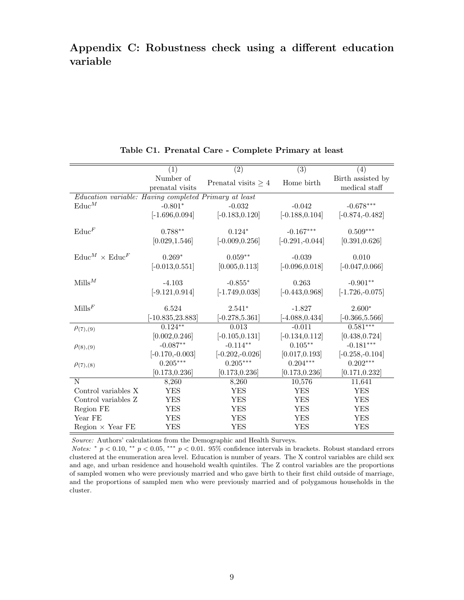# Appendix C: Robustness check using a different education variable

|                                                       | (1)                          | $\overline{(2)}$                | $\overline{(3)}$                | (4)                                |
|-------------------------------------------------------|------------------------------|---------------------------------|---------------------------------|------------------------------------|
|                                                       | Number of<br>prenatal visits | Prenatal visits $\geq 4$        | Home birth                      | Birth assisted by<br>medical staff |
| Education variable: Having completed Primary at least |                              |                                 |                                 |                                    |
| $\text{Educ}^M$                                       | $-0.801*$                    | $-0.032$                        | $-0.042$                        | $-0.678***$                        |
|                                                       | $[-1.696, 0.094]$            | $[-0.183, 0.120]$               | $[-0.188, 0.104]$               | $[-0.874, -0.482]$                 |
| $\text{Educ}^F$                                       | $0.788**$                    | $0.124*$                        | $-0.167***$                     | $0.509***$                         |
|                                                       | [0.029, 1.546]               | $[-0.009, 0.256]$               | $[-0.291, -0.044]$              | [0.391, 0.626]                     |
|                                                       |                              |                                 |                                 |                                    |
| $\text{Educ}^M \times \text{Educ}^F$                  | $0.269*$                     | $0.059**$                       | $-0.039$                        | 0.010                              |
|                                                       | $[-0.013, 0.551]$            | [0.005, 0.113]                  | $[-0.096, 0.018]$               | $[-0.047, 0.066]$                  |
|                                                       |                              |                                 |                                 |                                    |
| $\text{Mills}^M$                                      | $-4.103$                     | $-0.855*$                       | 0.263                           | $-0.901**$                         |
|                                                       | $[-9.121, 0.914]$            | $[-1.749, 0.038]$               | $[-0.443, 0.968]$               | $[-1.726,-0.075]$                  |
| $\text{Mills}^F$                                      | 6.524                        | $2.541*$                        | $-1.827$                        | $2.600*$                           |
|                                                       | $-10.835, 23.883$            | $[-0.278, 5.361]$               | $[-4.088, 0.434]$               | $[-0.366, 5.566]$                  |
|                                                       | $0.124***$                   | 0.013                           | $-0.011$                        | $0.581***$                         |
| $\rho_{(7),(9)}$                                      |                              |                                 |                                 |                                    |
|                                                       | [0.002, 0.246]<br>$-0.087**$ | $[-0.105, 0.131]$<br>$-0.114**$ | $[-0.134, 0.112]$<br>$0.105***$ | [0.438, 0.724]<br>$-0.181***$      |
| $\rho_{(8),(9)}$                                      |                              |                                 |                                 |                                    |
|                                                       | $[-0.170,-0.003]$            | $[-0.202, -0.026]$              | [0.017, 0.193]                  | $[-0.258, -0.104]$                 |
| $\rho_{(7),(8)}$                                      | $0.205^{\ast\ast\ast}$       | $0.205***$                      | $0.204***$                      | $0.202***$                         |
|                                                       | [0.173, 0.236]               | [0.173, 0.236]                  | [0.173, 0.236]                  | [0.171, 0.232]                     |
| N                                                     | 8,260                        | 8,260                           | 10,576                          | 11,641                             |
| Control variables X                                   | <b>YES</b>                   | <b>YES</b>                      | <b>YES</b>                      | <b>YES</b>                         |
| Control variables Z                                   | <b>YES</b>                   | <b>YES</b>                      | <b>YES</b>                      | <b>YES</b>                         |
| Region FE                                             | <b>YES</b>                   | <b>YES</b>                      | <b>YES</b>                      | <b>YES</b>                         |
| Year FE                                               | <b>YES</b>                   | <b>YES</b>                      | <b>YES</b>                      | <b>YES</b>                         |
| Region $\times$ Year FE                               | <b>YES</b>                   | <b>YES</b>                      | <b>YES</b>                      | <b>YES</b>                         |

|  |  |  | Table C1. Prenatal Care - Complete Primary at least |  |  |  |
|--|--|--|-----------------------------------------------------|--|--|--|
|--|--|--|-----------------------------------------------------|--|--|--|

Source: Authors' calculations from the Demographic and Health Surveys.

Notes: \*  $p < 0.10$ , \*\*  $p < 0.05$ , \*\*\*  $p < 0.01$ . 95% confidence intervals in brackets. Robust standard errors clustered at the enumeration area level. Education is number of years. The X control variables are child sex and age, and urban residence and household wealth quintiles. The Z control variables are the proportions of sampled women who were previously married and who gave birth to their first child outside of marriage, and the proportions of sampled men who were previously married and of polygamous households in the cluster.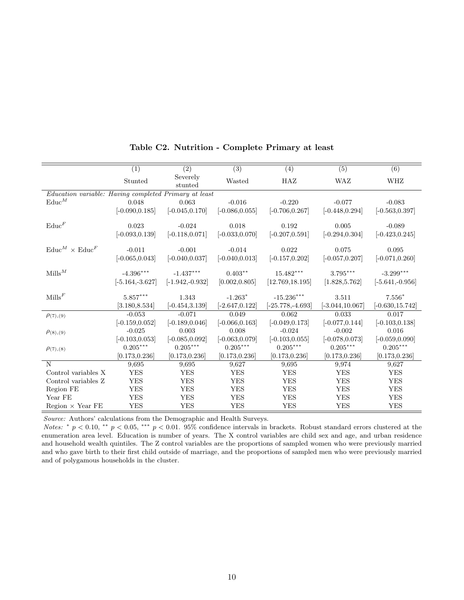|                                                       | (1)                | (2)                 | $\overline{(3)}$  | $\overline{(4)}$    | $\overline{(5)}$   | $\overline{(6)}$   |
|-------------------------------------------------------|--------------------|---------------------|-------------------|---------------------|--------------------|--------------------|
|                                                       | Stunted            | Severely<br>stunted | Wasted            | HAZ                 | WAZ                | WHZ                |
| Education variable: Having completed Primary at least |                    |                     |                   |                     |                    |                    |
| $\text{Educ}^M$                                       | 0.048              | 0.063               | $-0.016$          | $-0.220$            | $-0.077$           | $-0.083$           |
|                                                       | $[-0.090, 0.185]$  | $[-0.045, 0.170]$   | $[-0.086, 0.055]$ | $[-0.706, 0.267]$   | $[-0.448, 0.294]$  | $[-0.563, 0.397]$  |
|                                                       |                    |                     |                   |                     |                    |                    |
| $\text{Educ}^F$                                       | 0.023              | $-0.024$            | 0.018             | 0.192               | 0.005              | $-0.089$           |
|                                                       | $[-0.093, 0.139]$  | $[-0.118, 0.071]$   | $[-0.033, 0.070]$ | $[-0.207, 0.591]$   | $[-0.294, 0.304]$  | $[-0.423, 0.245]$  |
| $E$ duc $^M \times$ Educ $^F$                         | $-0.011$           | $-0.001$            | $-0.014$          | 0.022               | 0.075              | 0.095              |
|                                                       | $[-0.065, 0.043]$  | $[-0.040, 0.037]$   | $[-0.040, 0.013]$ | $[-0.157, 0.202]$   | $[-0.057, 0.207]$  | $[-0.071, 0.260]$  |
|                                                       |                    |                     |                   |                     |                    |                    |
| $Mills^M$                                             | $-4.396***$        | $-1.437***$         | $0.403**$         | $15.482***$         | $3.795***$         | $-3.299***$        |
|                                                       | $[-5.164, -3.627]$ | $[-1.942, -0.932]$  | [0.002, 0.805]    | [12.769, 18.195]    | [1.828, 5.762]     | $[-5.641, -0.956]$ |
| $\text{Mills}^F$                                      | $5.857***$         | 1.343               | $-1.263*$         | $-15.236***$        | 3.511              | $7.556*$           |
|                                                       | [3.180, 8.534]     | $[-0.454, 3.139]$   | $[-2.647, 0.122]$ | $[-25.778, -4.693]$ | $[-3.044, 10.067]$ | $[-0.630, 15.742]$ |
| $\rho_{(7),(9)}$                                      | $-0.053$           | $-0.071$            | 0.049             | 0.062               | 0.033              | 0.017              |
|                                                       | $[-0.159, 0.052]$  | $[-0.189, 0.046]$   | $[-0.066, 0.163]$ | $[-0.049, 0.173]$   | $[-0.077, 0.144]$  | $[-0.103, 0.138]$  |
| $\rho_{(8),(9)}$                                      | $-0.025$           | 0.003               | 0.008             | $-0.024$            | $-0.002$           | 0.016              |
|                                                       | $[-0.103, 0.053]$  | $[-0.085, 0.092]$   | $[-0.063, 0.079]$ | $[-0.103, 0.055]$   | $[-0.078, 0.073]$  | $[-0.059, 0.090]$  |
| $\rho_{(7),(8)}$                                      | $0.205***$         | $0.205***$          | $0.205***$        | $0.205***$          | $0.205***$         | $0.205***$         |
|                                                       | [0.173, 0.236]     | [0.173, 0.236]      | [0.173, 0.236]    | [0.173, 0.236]      | [0.173, 0.236]     | [0.173, 0.236]     |
| N                                                     | 9,695              | 9,695               | 9,627             | 9,695               | 9,974              | 9,627              |
| Control variables X                                   | <b>YES</b>         | <b>YES</b>          | <b>YES</b>        | <b>YES</b>          | <b>YES</b>         | <b>YES</b>         |
| Control variables Z                                   | <b>YES</b>         | <b>YES</b>          | <b>YES</b>        | <b>YES</b>          | <b>YES</b>         | <b>YES</b>         |
| Region FE                                             | <b>YES</b>         | <b>YES</b>          | <b>YES</b>        | <b>YES</b>          | <b>YES</b>         | <b>YES</b>         |
| Year FE                                               | <b>YES</b>         | <b>YES</b>          | <b>YES</b>        | <b>YES</b>          | <b>YES</b>         | <b>YES</b>         |
| Region $\times$ Year FE                               | <b>YES</b>         | <b>YES</b>          | <b>YES</b>        | <b>YES</b>          | <b>YES</b>         | <b>YES</b>         |

## Table C2. Nutrition - Complete Primary at least

Source: Authors' calculations from the Demographic and Health Surveys.

Notes: \*  $p < 0.10$ , \*\*  $p < 0.05$ , \*\*\*  $p < 0.01$ . 95% confidence intervals in brackets. Robust standard errors clustered at the enumeration area level. Education is number of years. The X control variables are child sex and age, and urban residence and household wealth quintiles. The Z control variables are the proportions of sampled women who were previously married and who gave birth to their first child outside of marriage, and the proportions of sampled men who were previously married and of polygamous households in the cluster.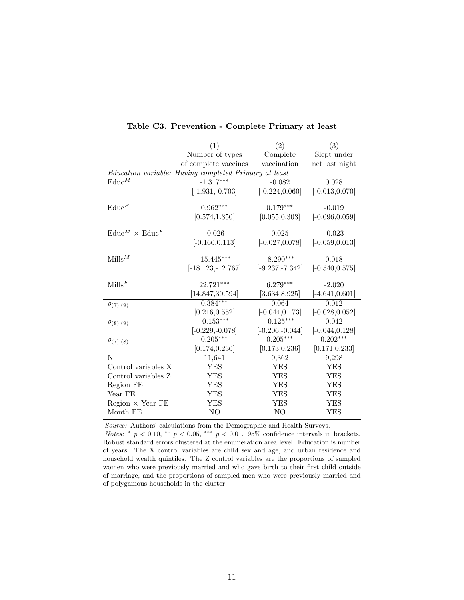|                                      | (1)                                                   | (2)                | (3)               |
|--------------------------------------|-------------------------------------------------------|--------------------|-------------------|
|                                      | Number of types                                       | Complete           | Slept under       |
|                                      | of complete vaccines                                  | vaccination        | net last night    |
|                                      | Education variable: Having completed Primary at least |                    |                   |
| $\text{Educ}^M$                      | $-1.317***$                                           | $-0.082$           | 0.028             |
|                                      | $[-1.931, -0.703]$                                    | $[-0.224, 0.060]$  | $[-0.013, 0.070]$ |
| $\text{Educ}^F$                      | $0.962***$                                            | $0.179***$         | $-0.019$          |
|                                      | [0.574, 1.350]                                        | [0.055, 0.303]     | $[-0.096, 0.059]$ |
| $\text{Educ}^M \times \text{Educ}^F$ | $-0.026$                                              | 0.025              | $-0.023$          |
|                                      | $[-0.166, 0.113]$                                     | $[-0.027, 0.078]$  | $[-0.059, 0.013]$ |
| $Mills^M$                            | $-15.445***$                                          | $-8.290***$        | 0.018             |
|                                      | $[-18.123,-12.767]$                                   | $[-9.237, -7.342]$ | $[-0.540, 0.575]$ |
| $\text{Mills}^F$                     | 22.721***                                             | $6.279***$         | $-2.020$          |
|                                      | [14.847, 30.594]                                      | [3.634, 8.925]     | $[-4.641, 0.601]$ |
| $\rho_{(7),(9)}$                     | $0.384***$                                            | 0.064              | 0.012             |
|                                      | [0.216, 0.552]                                        | $[-0.044, 0.173]$  | $[-0.028, 0.052]$ |
| $\rho_{(8),(9)}$                     | $-0.153***$                                           | $-0.125***$        | 0.042             |
|                                      | $[-0.229, -0.078]$                                    | $[-0.206, -0.044]$ | $[-0.044, 0.128]$ |
| $\rho(7)$ , (8)                      | $0.205***$                                            | $0.205***$         | $0.202***$        |
|                                      | [0.174, 0.236]                                        | [0.173, 0.236]     | [0.171, 0.233]    |
| N                                    | 11,641                                                | 9,362              | 9,298             |
| Control variables X                  | <b>YES</b>                                            | <b>YES</b>         | <b>YES</b>        |
| Control variables Z                  | YES                                                   | YES                | <b>YES</b>        |
| Region FE                            | <b>YES</b>                                            | <b>YES</b>         | <b>YES</b>        |
| Year FE                              | <b>YES</b>                                            | YES                | <b>YES</b>        |
| $Region \times Year FE$              | YES                                                   | YES                | <b>YES</b>        |
| Month FE                             | N <sub>O</sub>                                        | N <sub>O</sub>     | <b>YES</b>        |

Table C3. Prevention - Complete Primary at least

Source: Authors' calculations from the Demographic and Health Surveys.

Notes: \*  $p < 0.10$ , \*\*  $p < 0.05$ , \*\*\*  $p < 0.01$ . 95% confidence intervals in brackets. Robust standard errors clustered at the enumeration area level. Education is number of years. The X control variables are child sex and age, and urban residence and household wealth quintiles. The Z control variables are the proportions of sampled women who were previously married and who gave birth to their first child outside of marriage, and the proportions of sampled men who were previously married and of polygamous households in the cluster.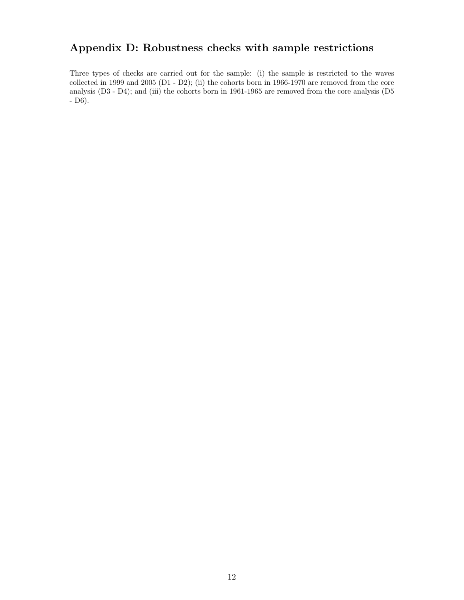# Appendix D: Robustness checks with sample restrictions

Three types of checks are carried out for the sample: (i) the sample is restricted to the waves collected in 1999 and 2005 (D1 - D2); (ii) the cohorts born in 1966-1970 are removed from the core analysis (D3 - D4); and (iii) the cohorts born in 1961-1965 are removed from the core analysis (D5 - D6).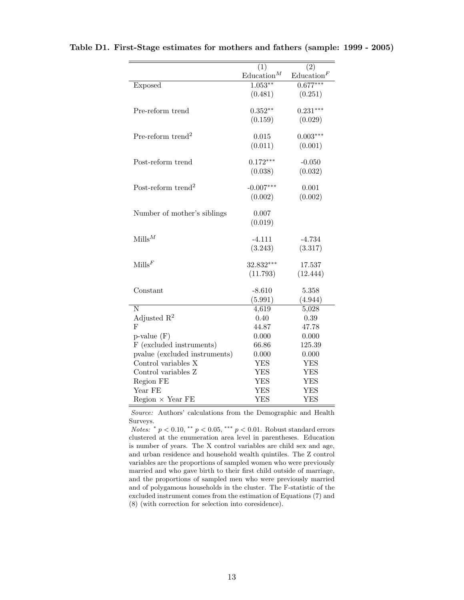|                                | (1)                  | (2)                  |
|--------------------------------|----------------------|----------------------|
|                                | $\text{Education}^M$ | $\text{Education}^F$ |
| <b>Exposed</b>                 | $1.053***$           | $0.677***$           |
|                                | (0.481)              | (0.251)              |
|                                |                      |                      |
| Pre-reform trend               | $0.352**$            | $0.231***$           |
|                                | (0.159)              | (0.029)              |
|                                |                      |                      |
| Pre-reform trend <sup>2</sup>  | 0.015                | $0.003***$           |
|                                | (0.011)              | (0.001)              |
| Post-reform trend              | $0.172***$           | $-0.050$             |
|                                | (0.038)              | (0.032)              |
|                                |                      |                      |
| Post-reform trend <sup>2</sup> | $-0.007***$          | 0.001                |
|                                | (0.002)              | (0.002)              |
|                                |                      |                      |
| Number of mother's siblings    | 0.007                |                      |
|                                | (0.019)              |                      |
|                                |                      |                      |
| $Mills^M$                      | $-4.111$             | $-4.734$             |
|                                | (3.243)              | (3.317)              |
| $\text{Mills}^F$               | 32.832***            | 17.537               |
|                                | (11.793)             | (12.444)             |
|                                |                      |                      |
| Constant                       | $-8.610$             | 5.358                |
|                                | (5.991)              | (4.944)              |
| N                              | 4,619                | 5,028                |
| Adjusted $\mathbb{R}^2$        | 0.40                 | $0.39\,$             |
| $_{\rm F}$                     | 44.87                | 47.78                |
| $p$ -value $(F)$               | 0.000                | 0.000                |
| F (excluded instruments)       | 66.86                | 125.39               |
| pvalue (excluded instruments)  | 0.000                | 0.000                |
| Control variables X            | <b>YES</b>           | <b>YES</b>           |
| Control variables Z            | YES                  | <b>YES</b>           |
| Region FE                      | <b>YES</b>           | <b>YES</b>           |
| Year FE                        | <b>YES</b>           | <b>YES</b>           |
| $Region \times Year FE$        | <b>YES</b>           | <b>YES</b>           |

Source: Authors' calculations from the Demographic and Health Surveys.

Notes:  $* p < 0.10, ** p < 0.05, *** p < 0.01$ . Robust standard errors clustered at the enumeration area level in parentheses. Education is number of years. The X control variables are child sex and age, and urban residence and household wealth quintiles. The Z control variables are the proportions of sampled women who were previously married and who gave birth to their first child outside of marriage, and the proportions of sampled men who were previously married and of polygamous households in the cluster. The F-statistic of the excluded instrument comes from the estimation of Equations (7) and (8) (with correction for selection into coresidence).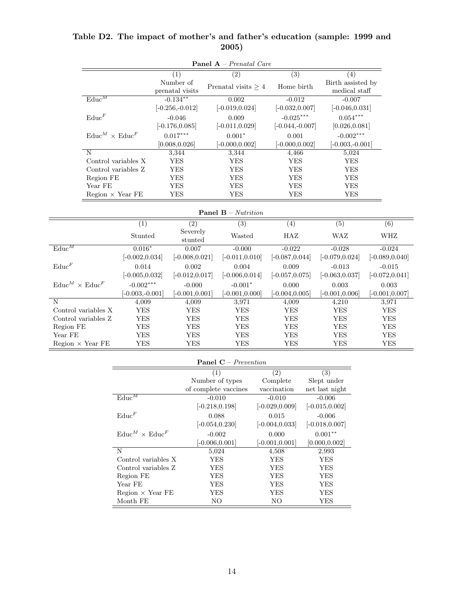| <b>Panel A</b> – <i>Prenatal Care</i> |                                      |                   |                              |                                       |                   |                                    |                   |
|---------------------------------------|--------------------------------------|-------------------|------------------------------|---------------------------------------|-------------------|------------------------------------|-------------------|
|                                       |                                      |                   | $\overline{(1)}$             | (2)                                   | $\overline{(3)}$  | (4)                                |                   |
|                                       |                                      |                   | Number of<br>prenatal visits | Prenatal visits $\geq 4$              | Home birth        | Birth assisted by<br>medical staff |                   |
|                                       | $\text{Educ}^M$                      |                   | $-0.134***$                  | 0.002                                 | $-0.012$          | $-0.007$                           |                   |
|                                       |                                      |                   | $[-0.256,-0.012]$            | $[-0.019, 0.024]$                     | $[-0.032, 0.007]$ | $[-0.046, 0.031]$                  |                   |
|                                       | $\text{Educ}^F$                      |                   | $-0.046$                     | 0.009                                 | $-0.025***$       | $0.054***$                         |                   |
|                                       |                                      |                   | $[-0.176, 0.085]$            | $[-0.011, 0.029]$                     | $[-0.044,-0.007]$ | [0.026, 0.081]                     |                   |
|                                       | $\text{Educ}^M \times \text{Educ}^F$ |                   | $0.017***$                   | $0.001*$                              | 0.001             | $-0.002***$                        |                   |
|                                       |                                      |                   | [0.008, 0.026]               | $[-0.000, 0.002]$                     | $[-0.000, 0.002]$ | $[-0.003,-0.001]$                  |                   |
|                                       | $\overline{N}$                       |                   | 3,344                        | 3,344                                 | 4,466             | 5,024                              |                   |
|                                       | Control variables X                  |                   | ${\rm YES}$                  | <b>YES</b>                            | <b>YES</b>        | <b>YES</b>                         |                   |
|                                       | Control variables Z                  |                   | <b>YES</b>                   | <b>YES</b>                            | <b>YES</b>        | <b>YES</b>                         |                   |
|                                       | Region FE                            |                   | <b>YES</b>                   | <b>YES</b>                            | <b>YES</b>        | <b>YES</b>                         |                   |
|                                       | Year FE                              |                   | <b>YES</b>                   | <b>YES</b>                            | <b>YES</b>        | <b>YES</b>                         |                   |
|                                       | $Region \times Year FE$              |                   | <b>YES</b>                   | ${\rm YES}$                           | ${\rm YES}$       | <b>YES</b>                         |                   |
|                                       |                                      |                   |                              | <b>Panel B</b> – $\textit{Nutrition}$ |                   |                                    |                   |
|                                       |                                      | $\overline{(1)}$  | $\overline{(2)}$             | $\overline{(3)}$                      | $\overline{(4)}$  | $\overline{(5)}$                   | $\overline{(6)}$  |
|                                       |                                      | Stunted           | Severely<br>stunted          | Wasted                                | HAZ               | WAZ                                | WHZ               |
| $\text{Educ}^M$                       |                                      | $0.016*$          | 0.007                        | $-0.000$                              | $-0.022$          | $-0.028$                           | $-0.024$          |
|                                       |                                      | $[-0.002, 0.034]$ | $[-0.008, 0.021]$            | $[-0.011, 0.010]$                     | $[-0.087, 0.044]$ | $[-0.079, 0.024]$                  | $[-0.089, 0.040]$ |
| $\text{Educ}^F$                       |                                      | 0.014             | 0.002                        | 0.004                                 | 0.009             | $-0.013$                           | $-0.015$          |
|                                       |                                      | $[-0.005, 0.032]$ | $[-0.012, 0.017]$            | $[-0.006, 0.014]$                     | $[-0.057, 0.075]$ | $[-0.063, 0.037]$                  | $[-0.072, 0.041]$ |
| $\text{Educ}^M \times \text{Educ}^F$  |                                      | $-0.002***$       | $-0.000$                     | $-0.001*$                             | 0.000             | 0.003                              | 0.003             |
|                                       |                                      | $[-0.003,-0.001]$ | $[-0.001, 0.001]$            | $[-0.001, 0.000]$                     | $[-0.004, 0.005]$ | $[-0.001, 0.006]$                  | $[-0.001, 0.007]$ |
| $\mathbf N$                           |                                      | 4,009             | 4,009                        | 3,971                                 | 4,009             | 4,210                              | 3,971             |
|                                       | Control variables X                  | <b>YES</b>        | <b>YES</b>                   | <b>YES</b>                            | <b>YES</b>        | <b>YES</b>                         | YES               |
|                                       | Control variables Z                  | <b>YES</b>        | <b>YES</b>                   | <b>YES</b>                            | <b>YES</b>        | <b>YES</b>                         | <b>YES</b>        |
| Region FE                             |                                      | <b>YES</b>        | <b>YES</b>                   | <b>YES</b>                            | <b>YES</b>        | <b>YES</b>                         | <b>YES</b>        |
| Year FE                               |                                      | <b>YES</b>        | <b>YES</b>                   | <b>YES</b>                            | <b>YES</b>        | <b>YES</b>                         | <b>YES</b>        |
| Region $\times$ Year FE               |                                      | YES               | <b>YES</b>                   | <b>YES</b>                            | <b>YES</b>        | <b>YES</b>                         | <b>YES</b>        |

| Table D2. The impact of mother's and father's education (sample: 1999 and |  |  |
|---------------------------------------------------------------------------|--|--|
| 2005)                                                                     |  |  |

| <b>Panel C</b> – <i>Prevention</i>     |                      |                   |                   |  |  |
|----------------------------------------|----------------------|-------------------|-------------------|--|--|
|                                        | $\left(1\right)$     | $\left( 2\right)$ | (3)               |  |  |
|                                        | Number of types      | Complete          | Slept under       |  |  |
|                                        | of complete vaccines | vaccination       | net last night    |  |  |
| $\text{Educ}^M$                        | $-0.010$             | $-0.010$          | $-0.006$          |  |  |
|                                        | $[-0.218, 0.198]$    | $[-0.029, 0.009]$ | $[-0.015, 0.002]$ |  |  |
| $\text{Educ}^F$                        | 0.088                | 0.015             | $-0.006$          |  |  |
|                                        | $[-0.054, 0.230]$    | $[-0.004, 0.033]$ | $[-0.018, 0.007]$ |  |  |
| $E \text{duc}^M \times E \text{duc}^F$ | $-0.002$             | 0.000             | $0.001***$        |  |  |
|                                        | $[-0.006, 0.001]$    | $[-0.001, 0.001]$ | [0.000, 0.002]    |  |  |
| N                                      | 5,024                | 4,508             | 2,993             |  |  |
| Control variables X                    | YES                  | YES               | YES               |  |  |
| Control variables Z                    | YES                  | <b>YES</b>        | YES               |  |  |
| Region FE                              | YES                  | YES               | YES               |  |  |
| Year FE                                | YES                  | YES               | YES               |  |  |
| $Region \times Year FE$                | YES                  | YES               | YES               |  |  |
| Month FE                               | NΟ                   | NΟ                | YES               |  |  |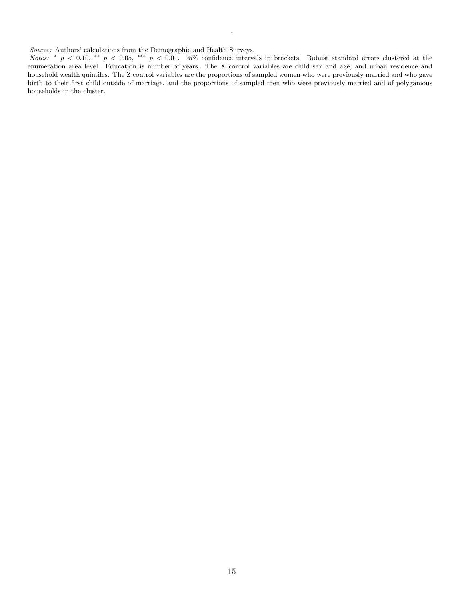Source: Authors' calculations from the Demographic and Health Surveys.

Notes: \*  $p < 0.10$ , \*\*  $p < 0.05$ , \*\*\*  $p < 0.01$ . 95% confidence intervals in brackets. Robust standard errors clustered at the enumeration area level. Education is number of years. The X control variables are child sex and age, and urban residence and household wealth quintiles. The Z control variables are the proportions of sampled women who were previously married and who gave birth to their first child outside of marriage, and the proportions of sampled men who were previously married and of polygamous households in the cluster.

.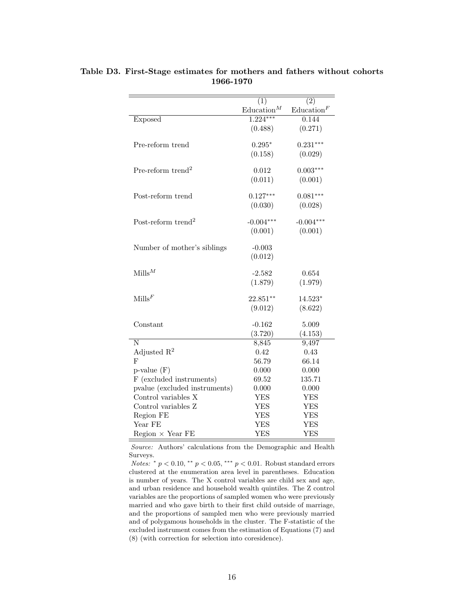|                                | (1)                  | (2)                  |
|--------------------------------|----------------------|----------------------|
|                                | $\text{Education}^M$ | $\text{Education}^F$ |
| Exposed                        | $1.224***$           | 0.144                |
|                                | (0.488)              | (0.271)              |
|                                |                      |                      |
| Pre-reform trend               | $0.295*$             | $0.231***$           |
|                                | (0.158)              | (0.029)              |
| Pre-reform trend <sup>2</sup>  | 0.012                | $0.003***$           |
|                                | (0.011)              | (0.001)              |
|                                |                      |                      |
| Post-reform trend              | $0.127***$           | $0.081***$           |
|                                | (0.030)              | (0.028)              |
|                                |                      |                      |
| Post-reform trend <sup>2</sup> | $-0.004***$          | $-0.004***$          |
|                                | (0.001)              | (0.001)              |
| Number of mother's siblings    | $-0.003$             |                      |
|                                | (0.012)              |                      |
|                                |                      |                      |
| $Mills^M$                      | $-2.582$             | 0.654                |
|                                | (1.879)              | (1.979)              |
|                                |                      |                      |
| $\text{Mills}^F$               | 22.851**             | 14.523*              |
|                                | (9.012)              | (8.622)              |
| Constant                       | $-0.162$             | 5.009                |
|                                | (3.720)              | (4.153)              |
| N                              | 8,845                | 9,497                |
| Adjusted $\mathbb{R}^2$        | 0.42                 | 0.43                 |
| F                              | 56.79                | 66.14                |
| $p$ -value $(F)$               | 0.000                | 0.000                |
| F (excluded instruments)       | 69.52                | 135.71               |
| pvalue (excluded instruments)  | 0.000                | 0.000                |
| Control variables X            | <b>YES</b>           | <b>YES</b>           |
| Control variables Z            | YES                  | YES                  |
| Region FE                      | <b>YES</b>           | <b>YES</b>           |
| Year FE                        | YES                  | <b>YES</b>           |
| $Region \times Year FE$        | <b>YES</b>           | <b>YES</b>           |

Table D3. First-Stage estimates for mothers and fathers without cohorts 1966-1970

Source: Authors' calculations from the Demographic and Health Surveys.

*Notes:*  $*$   $p$  < 0.10,  $*$   $*$   $p$  < 0.05,  $*$   $*$   $p$  < 0.01. Robust standard errors clustered at the enumeration area level in parentheses. Education is number of years. The X control variables are child sex and age, and urban residence and household wealth quintiles. The Z control variables are the proportions of sampled women who were previously married and who gave birth to their first child outside of marriage, and the proportions of sampled men who were previously married and of polygamous households in the cluster. The F-statistic of the excluded instrument comes from the estimation of Equations (7) and (8) (with correction for selection into coresidence).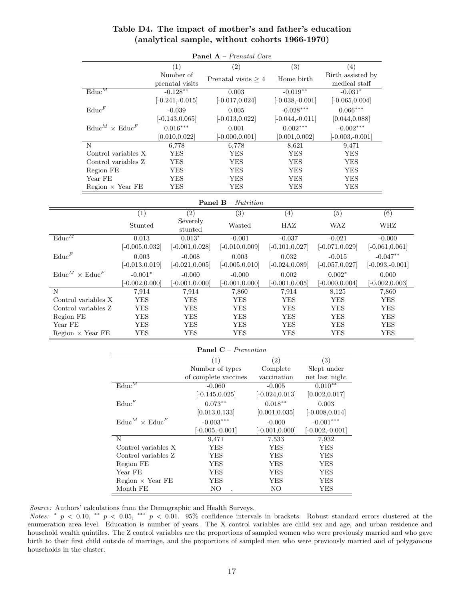| <b>Panel A</b> – Prenatal Care       |                                          |                              |                     |                                    |  |                               |                             |                                    |  |                          |
|--------------------------------------|------------------------------------------|------------------------------|---------------------|------------------------------------|--|-------------------------------|-----------------------------|------------------------------------|--|--------------------------|
|                                      |                                          | (1)                          |                     | (2)                                |  | $\overline{(3)}$              |                             | (4)                                |  |                          |
|                                      |                                          | Number of<br>prenatal visits |                     | Prenatal visits $\geq 4$           |  | Home birth                    |                             | Birth assisted by<br>medical staff |  |                          |
| $\text{Educ}^M$                      |                                          | $-0.128***$                  |                     | 0.003                              |  | $-0.019**$                    |                             | $-0.031*$                          |  |                          |
|                                      |                                          | $[-0.241, -0.015]$           |                     | $[-0.017, 0.024]$                  |  | $[-0.038,-0.001]$             |                             | $[-0.065, 0.004]$                  |  |                          |
| $\text{Educ}^F$                      |                                          | $-0.039$                     |                     | 0.005                              |  | $-0.028***$                   |                             | $0.066***$                         |  |                          |
|                                      |                                          | $[-0.143, 0.065]$            |                     | $[-0.013, 0.022]$                  |  | $[-0.044,-0.011]$             |                             | [0.044, 0.088]                     |  |                          |
| $\text{Educ}^M \times \text{Educ}^F$ |                                          | $0.016***$                   |                     | 0.001                              |  | $0.002***$                    |                             | $-0.002***$                        |  |                          |
|                                      |                                          | [0.010, 0.022]               |                     | $[-0.000, 0.001]$                  |  | [0.001, 0.002]                |                             | $[-0.003,-0.001]$                  |  |                          |
| $\mathbf N$                          |                                          | 6,778                        |                     | 6,778                              |  | 8,621                         |                             | 9,471                              |  |                          |
|                                      | Control variables X                      | <b>YES</b>                   |                     | YES                                |  | YES                           |                             | YES                                |  |                          |
|                                      | Control variables Z                      | YES                          |                     | YES                                |  | YES                           |                             | YES                                |  |                          |
| Region FE                            |                                          | <b>YES</b>                   |                     | YES                                |  | YES                           |                             | YES                                |  |                          |
| Year FE                              |                                          | <b>YES</b>                   |                     | YES                                |  | YES                           |                             | YES                                |  |                          |
|                                      | Region $\times$ Year FE                  | YES                          |                     | <b>YES</b>                         |  | <b>YES</b>                    |                             | YES                                |  |                          |
|                                      |                                          |                              |                     | <b>Panel B</b> – Nutrition         |  |                               |                             |                                    |  |                          |
|                                      | $\overline{(1)}$                         |                              | (2)                 | (3)                                |  | (4)                           |                             | $\overline{(5)}$                   |  | (6)                      |
|                                      | Stunted                                  |                              | Severely<br>stunted | Wasted                             |  | HAZ                           |                             | WAZ                                |  | WHZ                      |
| $\mathrm{Educ}^M$                    | 0.013                                    |                              | $0.013*$            | $-0.001$                           |  | $-0.037$                      |                             | $-0.021$                           |  | $-0.000$                 |
|                                      | $[-0.005, 0.032]$                        |                              | $[-0.001, 0.028]$   | $[-0.010, 0.009]$                  |  | $[-0.101, 0.027]$             |                             | $[-0.071, 0.029]$                  |  | $[-0.061, 0.061]$        |
| $\text{Educ}^F$                      | 0.003                                    |                              | $-0.008$            | 0.003                              |  | 0.032                         |                             | $-0.015$                           |  | $-0.047**$               |
|                                      | $[-0.013, 0.019]$                        |                              | $[-0.021, 0.005]$   | $[-0.005, 0.010]$                  |  | $[-0.024, 0.089]$             |                             | $[-0.057, 0.027]$                  |  | $[-0.093,-0.001]$        |
| $\text{Educ}^M \times \text{Educ}^F$ | $-0.001*$                                |                              | $-0.000$            | $-0.000$                           |  | 0.002                         |                             | $0.002*$                           |  | 0.000                    |
|                                      | $[-0.002, 0.000]$                        |                              | $-0.001, 0.000$     | $[-0.001, 0.000]$                  |  | $[-0.001, 0.005]$             |                             | $[-0.000, 0.004]$                  |  | $[-0.002, 0.003]$        |
| N                                    | 7,914                                    |                              | 7,914               | 7,860                              |  | 7,914                         |                             | 8,125                              |  | 7,860                    |
| Control variables X                  | YES                                      |                              | YES                 | YES                                |  | YES                           |                             | YES                                |  | YES                      |
| Control variables Z                  | YES                                      |                              | YES                 | YES                                |  | YES                           |                             | YES                                |  | YES                      |
| Region FE                            | <b>YES</b>                               |                              | <b>YES</b>          | YES                                |  | YES                           |                             | YES                                |  | <b>YES</b><br><b>YES</b> |
| Year FE<br>Region $\times$ Year FE   | YES<br>YES                               |                              | YES<br>YES          | YES<br><b>YES</b>                  |  | YES<br><b>YES</b>             |                             | YES<br>YES                         |  | <b>YES</b>               |
|                                      |                                          |                              |                     |                                    |  |                               |                             |                                    |  |                          |
|                                      |                                          |                              |                     | <b>Panel C</b> – <i>Prevention</i> |  |                               |                             |                                    |  |                          |
|                                      |                                          |                              |                     | (1)                                |  | $\overline{(2)}$              | $\overline{(3)}$            |                                    |  |                          |
|                                      |                                          |                              |                     | Number of types                    |  | Complete                      | Slept under                 |                                    |  |                          |
|                                      | $\text{Educ}^M$                          |                              |                     | of complete vaccines               |  | vaccination                   | net last night<br>$0.010**$ |                                    |  |                          |
|                                      |                                          |                              |                     | $-0.060$<br>$[-0.145, 0.025]$      |  | $-0.005$<br>$[-0.024, 0.013]$ | [0.002, 0.017]              |                                    |  |                          |
|                                      | $\mathrm{Educ}^F$                        |                              |                     | $0.073**$                          |  | $0.018***$                    |                             |                                    |  |                          |
|                                      |                                          |                              |                     | [0.013, 0.133]                     |  | [0.001, 0.035]                | 0.003<br>$[-0.008, 0.014]$  |                                    |  |                          |
|                                      | $\mathrm{Educ}^M \times \mathrm{Educ}^F$ |                              |                     | $-0.003***$                        |  | $-0.000$                      | $-0.001***$                 |                                    |  |                          |
|                                      |                                          |                              |                     | $[-0.005,-0.001]$                  |  | $[-0.001, 0.000]$             | $[-0.002, -0.001]$          |                                    |  |                          |
|                                      | $\mathbf N$                              |                              |                     | 9,471                              |  |                               |                             |                                    |  |                          |
|                                      | Control variables X                      |                              |                     | YES                                |  | 7,533<br><b>YES</b>           | 7,932<br>YES                |                                    |  |                          |
|                                      | Control variables Z                      |                              |                     | YES                                |  | <b>YES</b>                    | ${\rm YES}$                 |                                    |  |                          |
|                                      | Region FE                                |                              |                     | YES                                |  | YES                           | YES                         |                                    |  |                          |
|                                      | Year FE                                  |                              |                     | <b>YES</b>                         |  | <b>YES</b>                    | YES                         |                                    |  |                          |
|                                      | Region $\times$ Year FE                  |                              |                     | ${\rm YES}$                        |  | <b>YES</b>                    | <b>YES</b>                  |                                    |  |                          |

## Table D4. The impact of mother's and father's education (analytical sample, without cohorts 1966-1970)

Source: Authors' calculations from the Demographic and Health Surveys.

Notes: \*  $p < 0.10$ , \*\*  $p < 0.05$ , \*\*\*  $p < 0.01$ . 95% confidence intervals in brackets. Robust standard errors clustered at the enumeration area level. Education is number of years. The X control variables are child sex and age, and urban residence and household wealth quintiles. The Z control variables are the proportions of sampled women who were previously married and who gave birth to their first child outside of marriage, and the proportions of sampled men who were previously married and of polygamous households in the cluster.

 $\begin{tabular}{lllllllllll} & & & \multicolumn{3}{l}{{\bf{Mod}}} & & \multicolumn{3}{l}{{\bf{Mod}}} & & \multicolumn{3}{l}{{\bf{Mod}}} & & \multicolumn{3}{l}{{\bf{Mod}}} & & \multicolumn{3}{l}{\bf{Mod}} & & \multicolumn{3}{l}{{\bf{Mod}}} & & \multicolumn{3}{l}{\bf{Mod}} & & \multicolumn{3}{l}{{\bf{Mod}}} & & \multicolumn{3}{l}{{\bf{Mod}}} & & \multicolumn{3}{l}{{\bf{Mod}}} & & \multicolumn{3}{l}{{\bf{Mod}}} & & \multicolumn{3}{l}{{\bf{Mod}}} & & \mult$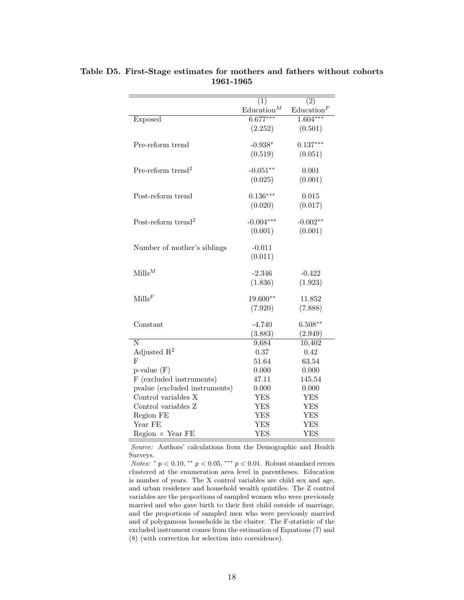|                                | (1)                  | (2)                  |
|--------------------------------|----------------------|----------------------|
|                                | $\text{Education}^M$ | $\text{Education}^F$ |
| Exposed                        | $6.677***$           | $1.604***$           |
|                                | (2.252)              | (0.501)              |
|                                |                      |                      |
| Pre-reform trend               | $-0.938*$            | $0.137***$           |
|                                | (0.519)              | (0.051)              |
| Pre-reform trend <sup>2</sup>  | $-0.051**$           | 0.001                |
|                                | (0.025)              | (0.001)              |
|                                |                      |                      |
| Post-reform trend              | $0.136***$           | 0.015                |
|                                | (0.020)              | (0.017)              |
|                                |                      |                      |
| Post-reform trend <sup>2</sup> | $-0.004***$          | $-0.002**$           |
|                                | (0.001)              | (0.001)              |
| Number of mother's siblings    | $-0.011$             |                      |
|                                | (0.011)              |                      |
|                                |                      |                      |
| $Mills^M$                      | $-2.346$             | $-0.422$             |
|                                | (1.836)              | (1.923)              |
|                                |                      |                      |
| $\text{Mills}^F$               | 19.600**             | 11.852               |
|                                | (7.920)              | (7.888)              |
| Constant                       | $-4.740$             | $6.508**$            |
|                                | (3.883)              | (2.949)              |
| N                              | 9,684                | 10,402               |
| Adjusted $\mathbb{R}^2$        | 0.37                 | 0.42                 |
| F                              | 51.64                | 63.54                |
| $p$ -value $(F)$               | 0.000                | 0.000                |
| F (excluded instruments)       | 47.11                | 145.54               |
| pvalue (excluded instruments)  | 0.000                | 0.000                |
| Control variables X            | <b>YES</b>           | YES                  |
| Control variables Z            | YES                  | <b>YES</b>           |
| Region FE                      | <b>YES</b>           | <b>YES</b>           |
| Year FE                        | YES                  | <b>YES</b>           |
| $Region \times Year FE$        | <b>YES</b>           | <b>YES</b>           |

Table D5. First-Stage estimates for mothers and fathers without cohorts 1961-1965

Source: Authors' calculations from the Demographic and Health Surveys.

*Notes:*  $*$   $p$  < 0.10,  $*$   $*$   $p$  < 0.05,  $*$   $*$   $p$  < 0.01. Robust standard errors clustered at the enumeration area level in parentheses. Education is number of years. The X control variables are child sex and age, and urban residence and household wealth quintiles. The Z control variables are the proportions of sampled women who were previously married and who gave birth to their first child outside of marriage, and the proportions of sampled men who were previously married and of polygamous households in the cluster. The F-statistic of the excluded instrument comes from the estimation of Equations (7) and (8) (with correction for selection into coresidence).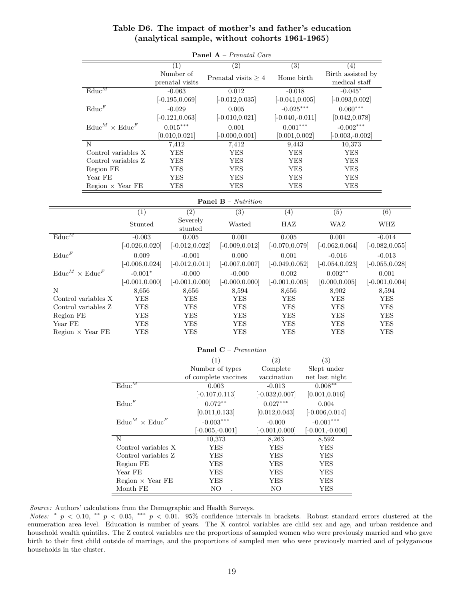| Panel A - Prenatal Care              |                   |                              |                             |                   |                                    |                   |
|--------------------------------------|-------------------|------------------------------|-----------------------------|-------------------|------------------------------------|-------------------|
|                                      |                   | (1)                          | (2)                         | $\overline{(3)}$  | (4)                                |                   |
|                                      |                   | Number of<br>prenatal visits | Prenatal visits $\geq 4$    | Home birth        | Birth assisted by<br>medical staff |                   |
| $\text{Educ}^M$                      |                   | $-0.063$                     | 0.012                       | $-0.018$          | $-0.045*$                          |                   |
|                                      |                   | $[-0.195, 0.069]$            | $[-0.012, 0.035]$           | $[-0.041, 0.005]$ | $[-0.093, 0.002]$                  |                   |
| $\text{Educ}^F$                      |                   | $-0.029$                     | 0.005                       | $-0.025***$       | $0.060***$                         |                   |
|                                      |                   | $[-0.121, 0.063]$            | $[-0.010, 0.021]$           | $[-0.040,-0.011]$ | [0.042, 0.078]                     |                   |
| $\text{Educ}^M \times \text{Educ}^F$ |                   | $0.015***$                   | 0.001                       | $0.001***$        | $-0.002***$                        |                   |
|                                      |                   | [0.010, 0.021]               | $[-0.000, 0.001]$           | [0.001, 0.002]    | $[-0.003,-0.002]$                  |                   |
| N                                    |                   | 7,412                        | 7,412                       | 9,443             | 10,373                             |                   |
| Control variables X                  |                   | <b>YES</b>                   | <b>YES</b>                  | <b>YES</b>        | <b>YES</b>                         |                   |
| Control variables Z                  |                   | <b>YES</b>                   | <b>YES</b>                  | ${\rm YES}$       | <b>YES</b>                         |                   |
| Region FE                            |                   | <b>YES</b>                   | <b>YES</b>                  | ${\rm YES}$       | <b>YES</b>                         |                   |
| Year FE                              |                   | <b>YES</b>                   | <b>YES</b>                  | <b>YES</b>        | <b>YES</b>                         |                   |
| Region $\times$ Year FE              |                   | <b>YES</b>                   | <b>YES</b>                  | <b>YES</b>        | <b>YES</b>                         |                   |
| <b>Panel B</b> – Nutrition           |                   |                              |                             |                   |                                    |                   |
|                                      | $\overline{(1)}$  | $\overline{(2)}$             | $\overline{(3)}$            | $\overline{(4)}$  | $\overline{(5)}$                   | $\overline{(6)}$  |
|                                      | Stunted           | Severely<br>stunted          | Wasted                      | HAZ               | WAZ                                | WHZ               |
| $\mathrm{Educ}^M$                    | $-0.003$          | 0.005                        | 0.001                       | 0.005             | 0.001                              | $-0.014$          |
|                                      | $[-0.026, 0.020]$ | $[-0.012, 0.022]$            | $[-0.009, 0.012]$           | $[-0.070, 0.079]$ | $[-0.062, 0.064]$                  | $[-0.082, 0.055]$ |
| $\text{Educ}^F$                      | 0.009             | $-0.001$                     | 0.000                       | 0.001             | $-0.016$                           | $-0.013$          |
|                                      | $[-0.006, 0.024]$ | $[-0.012, 0.011]$            | $[-0.007, 0.007]$           | $[-0.049, 0.052]$ | $[-0.054, 0.023]$                  | $[-0.055, 0.028]$ |
| $\text{Educ}^M \times \text{Educ}^F$ | $-0.001*$         | $-0.000$                     | $-0.000$                    | 0.002             | $0.002**$                          | 0.001             |
|                                      | $[-0.001, 0.000]$ | $[-0.001, 0.000]$            | $[-0.000, 0.000]$           | $[-0.001, 0.005]$ | [0.000, 0.005]                     | $[-0.001, 0.004]$ |
| N                                    | 8,656             | 8,656                        | 8,594                       | 8,656             | 8,902                              | 8,594             |
| Control variables X                  | <b>YES</b>        | <b>YES</b>                   | YES                         | <b>YES</b>        | <b>YES</b>                         | <b>YES</b>        |
| Control variables Z                  | <b>YES</b>        | <b>YES</b>                   | <b>YES</b>                  | <b>YES</b>        | <b>YES</b>                         | <b>YES</b>        |
| Region FE                            | <b>YES</b>        | <b>YES</b>                   | <b>YES</b>                  | <b>YES</b>        | <b>YES</b>                         | <b>YES</b>        |
| Year FE                              | <b>YES</b>        | <b>YES</b>                   | <b>YES</b>                  | <b>YES</b>        | <b>YES</b>                         | <b>YES</b>        |
| Region $\times$ Year FE              | <b>YES</b>        | <b>YES</b>                   | <b>YES</b>                  | <b>YES</b>        | <b>YES</b>                         | <b>YES</b>        |
|                                      |                   |                              | <b>Panel C</b> – Prevention |                   |                                    |                   |
|                                      |                   |                              | $\overline{(1)}$            | $\overline{(2)}$  | $\overline{(3)}$                   |                   |
|                                      |                   |                              | Number of types             | Complete          | Slept under                        |                   |
|                                      |                   |                              | of complete vaccines        | vaccination       | net last night                     |                   |

### Table D6. The impact of mother's and father's education (analytical sample, without cohorts 1961-1965)

Control variables Z YES YES YES Region FE YES YES YES Year FE YES YES YES YES  ${\bf Region} \times {\bf Year}\ {\bf FE} \qquad \qquad {\bf YES} \qquad \qquad {\bf YES} \qquad \qquad {\bf YES}$ Month FE NO . NO YES

Source: Authors' calculations from the Demographic and Health Surveys.

 $\text{Educ}^M \times \text{Educ}^F$ 

 $\text{Educ}^F$ 

Notes: \*  $p < 0.10$ , \*\*  $p < 0.05$ , \*\*\*  $p < 0.01$ . 95% confidence intervals in brackets. Robust standard errors clustered at the enumeration area level. Education is number of years. The X control variables are child sex and age, and urban residence and household wealth quintiles. The Z control variables are the proportions of sampled women who were previously married and who gave birth to their first child outside of marriage, and the proportions of sampled men who were previously married and of polygamous households in the cluster.

 $\text{Educ}^M$  0.003 -0.013 0.008<sup>∗∗</sup>

N 10,373 8,263 8,592 Control variables X YES YES YES

 $[-0.107, 0.113]$   $[-0.032, 0.007]$   $[0.001, 0.016]$ 

0.072∗∗ 0.027∗∗∗ 0.004  $[0.011, 0.133]$   $[0.012, 0.043]$   $[-0.006, 0.014]$ 

-0.003∗∗∗ -0.000 -0.001∗∗∗ [-0.005,-0.001] [-0.001,0.000] [-0.001,-0.000]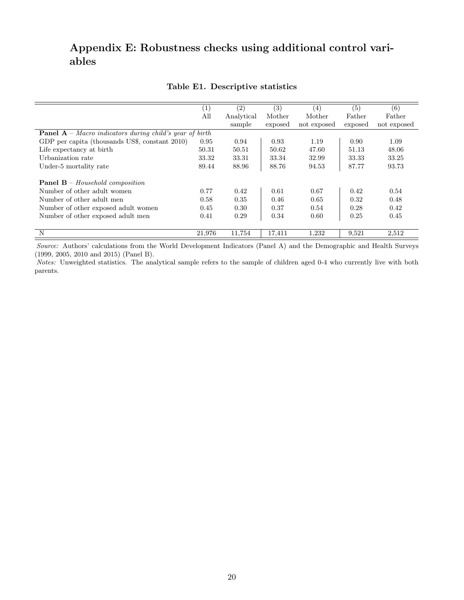# Appendix E: Robustness checks using additional control variables

|                                                                | (1)    | (2)        | (3)     | (4)         | (5)     | (6)         |
|----------------------------------------------------------------|--------|------------|---------|-------------|---------|-------------|
|                                                                | All    | Analytical | Mother  | Mother      | Father  | Father      |
|                                                                |        | sample     | exposed | not exposed | exposed | not exposed |
| <b>Panel A</b> – Macro indicators during child's year of birth |        |            |         |             |         |             |
| GDP per capita (thousands US\$, constant 2010)                 | 0.95   | 0.94       | 0.93    | 1.19        | 0.90    | 1.09        |
| Life expectancy at birth                                       | 50.31  | 50.51      | 50.62   | 47.60       | 51.13   | 48.06       |
| Urbanization rate                                              | 33.32  | 33.31      | 33.34   | 32.99       | 33.33   | 33.25       |
| Under-5 mortality rate                                         | 89.44  | 88.96      | 88.76   | 94.53       | 87.77   | 93.73       |
| <b>Panel B</b> – Household composition                         |        |            |         |             |         |             |
| Number of other adult women                                    | 0.77   | 0.42       | 0.61    | 0.67        | 0.42    | 0.54        |
| Number of other adult men                                      | 0.58   | 0.35       | 0.46    | 0.65        | 0.32    | 0.48        |
| Number of other exposed adult women                            | 0.45   | 0.30       | 0.37    | 0.54        | 0.28    | 0.42        |
| Number of other exposed adult men                              | 0.41   | 0.29       | 0.34    | 0.60        | 0.25    | 0.45        |
| N                                                              | 21,976 | 11,754     | 17,411  | 1,232       | 9,521   | 2,512       |

### Table E1. Descriptive statistics

Source: Authors' calculations from the World Development Indicators (Panel A) and the Demographic and Health Surveys (1999, 2005, 2010 and 2015) (Panel B).

Notes: Unweighted statistics. The analytical sample refers to the sample of children aged 0-4 who currently live with both parents.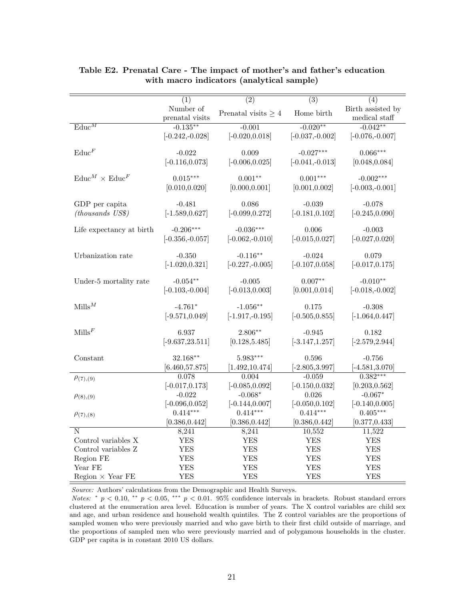|                                         | $\overline{(1)}$   | $\overline{(2)}$         | $\overline{(3)}$   | (4)                |
|-----------------------------------------|--------------------|--------------------------|--------------------|--------------------|
|                                         | Number of          | Prenatal visits $\geq 4$ | Home birth         | Birth assisted by  |
|                                         | prenatal visits    |                          |                    | medical staff      |
| $\overline{\text{Educ}}^M$              | $-0.135***$        | $-0.001$                 | $-0.020**$         | $-0.042**$         |
|                                         | $[-0.242, -0.028]$ | $[-0.020, 0.018]$        | $[-0.037,-0.002]$  | $[-0.076, -0.007]$ |
| $\text{Educ}^F$                         | $-0.022$           | 0.009                    |                    | $0.066***$         |
|                                         |                    |                          | $-0.027***$        |                    |
|                                         | $[-0.116, 0.073]$  | $[-0.006, 0.025]$        | $[-0.041, -0.013]$ | [0.048, 0.084]     |
| $\mathrm{Educ}^M\times \mathrm{Educ}^F$ | $0.015***$         | $0.001**$                | $0.001***$         | $-0.002***$        |
|                                         | [0.010, 0.020]     | [0.000, 0.001]           | [0.001, 0.002]     | $[-0.003,-0.001]$  |
|                                         |                    |                          |                    |                    |
| GDP per capita                          | $-0.481$           | 0.086                    | $-0.039$           | $-0.078$           |
| $(thous and s\; USS)$                   | $[-1.589, 0.627]$  | $[-0.099, 0.272]$        | $[-0.181, 0.102]$  | $[-0.245, 0.090]$  |
|                                         |                    |                          |                    |                    |
| Life expectancy at birth                | $-0.206***$        | $-0.036***$              | 0.006              | $-0.003$           |
|                                         | $[-0.356,-0.057]$  | $[-0.062, -0.010]$       | $[-0.015, 0.027]$  | $[-0.027, 0.020]$  |
|                                         |                    |                          |                    |                    |
| Urbanization rate                       | $-0.350$           | $-0.116**$               | $-0.024$           | 0.079              |
|                                         | $[-1.020, 0.321]$  | $[-0.227, -0.005]$       | $[-0.107, 0.058]$  | $[-0.017, 0.175]$  |
|                                         |                    |                          |                    |                    |
| Under-5 mortality rate                  | $-0.054**$         | $-0.005$                 | $0.007**$          | $-0.010**$         |
|                                         | $[-0.103,-0.004]$  | $[-0.013, 0.003]$        | [0.001, 0.014]     | $[-0.018,-0.002]$  |
|                                         |                    |                          |                    |                    |
| $Mills^M$                               | $-4.761*$          | $-1.056**$               | 0.175              | $-0.308$           |
|                                         | $[-9.571, 0.049]$  | $[-1.917, -0.195]$       | $[-0.505, 0.855]$  | $[-1.064, 0.447]$  |
|                                         |                    |                          |                    |                    |
| $\text{Mills}^F$                        | 6.937              | 2.806**                  | $-0.945$           | 0.182              |
|                                         | $[-9.637, 23.511]$ | [0.128, 5.485]           | $[-3.147, 1.257]$  | $[-2.579, 2.944]$  |
|                                         |                    |                          |                    |                    |
| Constant                                | 32.168**           | $5.983***$               | 0.596              | $-0.756$           |
|                                         | [6.460, 57.875]    | [1.492, 10.474]          | $[-2.805, 3.997]$  | $[-4.581, 3.070]$  |
| $\rho_{(7),(9)}$                        | 0.078              | 0.004                    | $-0.059$           | $0.382***$         |
|                                         | $[-0.017, 0.173]$  | $[-0.085, 0.092]$        | $[-0.150, 0.032]$  | [0.203, 0.562]     |
| $\rho_{(8),(9)}$                        | $-0.022$           | $-0.068*$                | 0.026              | $-0.067*$          |
|                                         | $[-0.096, 0.052]$  | $[-0.144, 0.007]$        | $[-0.050, 0.102]$  | $[-0.140, 0.005]$  |
| $\rho_{(7),(8)}$                        | $0.414***$         | $0.414***$               | $0.414***$         | $0.405***$         |
|                                         | [0.386, 0.442]     | [0.386, 0.442]           | [0.386, 0.442]     | [0.377, 0.433]     |
| N                                       | 8,241              | 8,241                    | 10,552             | 11,522             |
| Control variables X                     | <b>YES</b>         | <b>YES</b>               | YES                | <b>YES</b>         |
| Control variables Z                     | <b>YES</b>         | <b>YES</b>               | <b>YES</b>         | <b>YES</b>         |
| Region FE                               | <b>YES</b>         | <b>YES</b>               | <b>YES</b>         | <b>YES</b>         |
| Year FE                                 | <b>YES</b>         | YES                      | <b>YES</b>         | <b>YES</b>         |
| $Region \times Year FE$                 | <b>YES</b>         | <b>YES</b>               | <b>YES</b>         | <b>YES</b>         |

## Table E2. Prenatal Care - The impact of mother's and father's education with macro indicators (analytical sample)

Source: Authors' calculations from the Demographic and Health Surveys.

Notes: \*  $p < 0.10$ , \*\*  $p < 0.05$ , \*\*\*  $p < 0.01$ . 95% confidence intervals in brackets. Robust standard errors clustered at the enumeration area level. Education is number of years. The X control variables are child sex and age, and urban residence and household wealth quintiles. The Z control variables are the proportions of sampled women who were previously married and who gave birth to their first child outside of marriage, and the proportions of sampled men who were previously married and of polygamous households in the cluster. GDP per capita is in constant 2010 US dollars.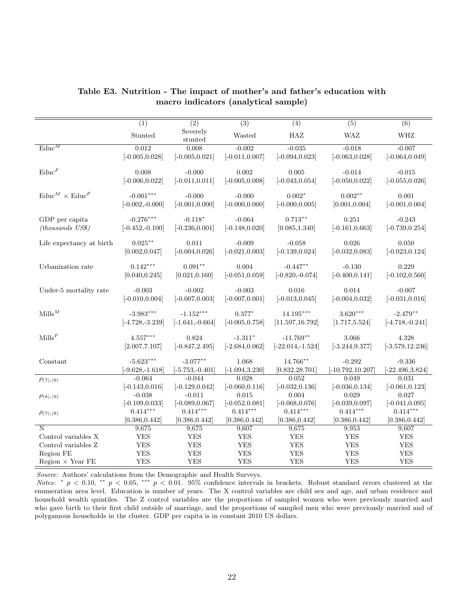|                                      | $\overline{(1)}$   | $\overline{(2)}$    | $\overline{(3)}$  | $\overline{(4)}$   | $\overline{(5)}$    | (6)                |
|--------------------------------------|--------------------|---------------------|-------------------|--------------------|---------------------|--------------------|
|                                      | Stunted            | Severely<br>stunted | Wasted            | $_{\rm HAZ}$       | <b>WAZ</b>          | <b>WHZ</b>         |
| $\text{Educ}^M$                      | 0.012              | 0.008               | $-0.002$          | $-0.035$           | $-0.018$            | $-0.007$           |
|                                      | $[-0.005, 0.028]$  | $[-0.005, 0.021]$   | $[-0.011, 0.007]$ | $[-0.094, 0.023]$  | $[-0.063, 0.028]$   | $[-0.064, 0.049]$  |
|                                      |                    |                     |                   |                    |                     |                    |
| $\text{Educ}^F$                      | 0.008              | $-0.000$            | 0.002             | 0.005              | $-0.014$            | $-0.015$           |
|                                      | $[-0.006, 0.022]$  | $[-0.011, 0.011]$   | $[-0.005, 0.008]$ | $[-0.043, 0.054]$  | $[-0.050, 0.022]$   | $[-0.055, 0.026]$  |
|                                      |                    |                     |                   |                    |                     |                    |
| $\text{Educ}^M \times \text{Educ}^F$ | $-0.001***$        | $-0.000$            | $-0.000$          | $0.002*$           | $0.002**$           | 0.001              |
|                                      | $[-0.002,-0.000]$  | $[-0.001, 0.000]$   | $[-0.000, 0.000]$ | $[-0.000, 0.005]$  | [0.001, 0.004]      | $[-0.001, 0.004]$  |
|                                      |                    |                     |                   |                    |                     |                    |
| GDP per capita                       | $-0.276***$        | $-0.118*$           | $-0.064$          | $0.713**$          | 0.251               | $-0.243$           |
| $(this$ US\$)                        | $[-0.452,-0.100]$  | $[-0.236, 0.001]$   | $[-0.148, 0.020]$ | [0.085, 1.340]     | $[-0.161, 0.663]$   | $[-0.739, 0.254]$  |
|                                      |                    |                     |                   |                    |                     |                    |
| Life expectancy at birth             | $0.025***$         | 0.011               | $-0.009$          | $-0.058$           | 0.026               | 0.050              |
|                                      | [0.002, 0.047]     | $[-0.004, 0.026]$   | $[-0.021, 0.003]$ | $[-0.139, 0.024]$  | $[-0.032, 0.083]$   | $[-0.023, 0.124]$  |
|                                      | $0.142***$         | $0.091**$           | 0.004             | $-0.447**$         |                     | 0.229              |
| Urbanization rate                    |                    |                     |                   |                    | $-0.130$            |                    |
|                                      | [0.040, 0.245]     | [0.021, 0.160]      | $[-0.051, 0.059]$ | $[-0.820,-0.074]$  | $[-0.400, 0.141]$   | $[-0.102, 0.560]$  |
| Under-5 mortality rate               | $-0.003$           | $-0.002$            | $-0.003$          | 0.016              | 0.014               | $-0.007$           |
|                                      | $[-0.010, 0.004]$  | $[-0.007, 0.003]$   | $[-0.007, 0.001]$ | $[-0.013, 0.045]$  | $[-0.004, 0.032]$   | $[-0.031, 0.016]$  |
|                                      |                    |                     |                   |                    |                     |                    |
| $Mills^M$                            | $-3.983***$        | $-1.152***$         | $0.377*$          | $14.195***$        | $3.620***$          | $-2.479**$         |
|                                      | $[-4.728, -3.239]$ | $[-1.641, -0.664]$  | $[-0.005, 0.758]$ | [11.597, 16.792]   | [1.717, 5.524]      | $[-4.718,-0.241]$  |
|                                      |                    |                     |                   |                    |                     |                    |
| $\text{Mills}^F$                     | $4.557***$         | 0.824               | $-1.311*$         | $-11.769**$        | 3.066               | 4.328              |
|                                      | [2.007, 7.107]     | $[-0.847, 2.495]$   | $[-2.684, 0.062]$ | $[-22.014,-1.524]$ | $[-3.244, 9.377]$   | $[-3.579, 12.236]$ |
|                                      |                    |                     |                   |                    |                     |                    |
| Constant                             | $-5.623***$        | $-3.077**$          | 1.068             | $14.766***$        | $-0.292$            | $-9.336$           |
|                                      | $[-9.628, -1.618]$ | $[-5.753,-0.401]$   | $[-1.094, 3.230]$ | [0.832, 28.701]    | $[-10.792, 10.207]$ | $[-22.496, 3.824]$ |
| $\rho_{(7),(9)}$                     | $-0.064$           | $-0.044$            | 0.028             | 0.052              | 0.049               | 0.031              |
|                                      | $[-0.143, 0.016]$  | $[-0.129, 0.042]$   | $[-0.060, 0.116]$ | $[-0.032, 0.136]$  | $[-0.036, 0.134]$   | $[-0.061, 0.123]$  |
| $\rho_{(8),(9)}$                     | $-0.038$           | $-0.011$            | 0.015             | 0.004              | 0.029               | 0.027              |
|                                      | $[-0.109, 0.033]$  | $[-0.089, 0.067]$   | $[-0.052, 0.081]$ | $[-0.068, 0.076]$  | $[-0.039, 0.097]$   | $[-0.041, 0.095]$  |
| $\rho_{(7),(8)}$                     | $0.414***$         | $0.414***$          | $0.414***$        | $0.414***$         | $0.414***$          | $0.414***$         |
|                                      | [0.386, 0.442]     | [0.386, 0.442]      | [0.386, 0.442]    | [0.386, 0.442]     | [0.386, 0.442]      | [0.386, 0.442]     |
| N                                    | 9,675              | 9,675               | 9,607             | 9,675              | 9,953               | 9,607              |
| Control variables X                  | <b>YES</b>         | <b>YES</b>          | <b>YES</b>        | <b>YES</b>         | <b>YES</b>          | <b>YES</b>         |
| Control variables ${\bf Z}$          | <b>YES</b>         | <b>YES</b>          | <b>YES</b>        | <b>YES</b>         | <b>YES</b>          | <b>YES</b>         |
| Region FE                            | <b>YES</b>         | <b>YES</b>          | <b>YES</b>        | <b>YES</b>         | <b>YES</b>          | <b>YES</b>         |
| $Region \times Year FE$              | <b>YES</b>         | <b>YES</b>          | <b>YES</b>        | <b>YES</b>         | <b>YES</b>          | <b>YES</b>         |

## Table E3. Nutrition - The impact of mother's and father's education with macro indicators (analytical sample)

 $Source:$  Authors' calculations from the Demographic and Health Surveys.

Notes: \*  $p < 0.10$ , \*\*  $p < 0.05$ , \*\*\*  $p < 0.01$ . 95% confidence intervals in brackets. Robust standard errors clustered at the enumeration area level. Education is number of years. The X control variables are child sex and age, and urban residence and household wealth quintiles. The Z control variables are the proportions of sampled women who were previously married and who gave birth to their first child outside of marriage, and the proportions of sampled men who were previously married and of polygamous households in the cluster. GDP per capita is in constant 2010 US dollars.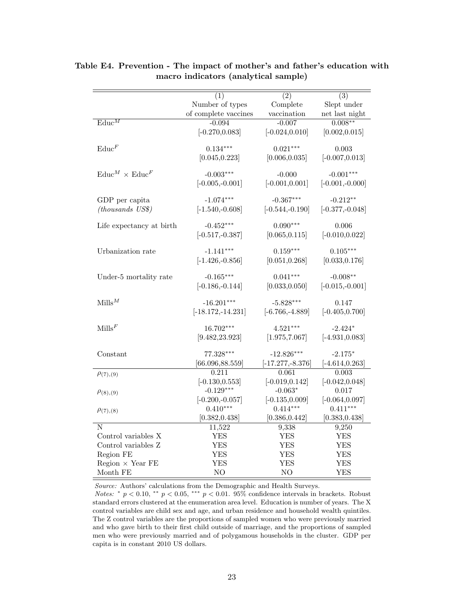|                                      | (1)                  | (2)                | (3)               |
|--------------------------------------|----------------------|--------------------|-------------------|
|                                      | Number of types      | Complete           | Slept under       |
|                                      | of complete vaccines | vaccination        | net last night    |
| $\overline{\text{Educ}}^M$           | $-0.094$             | $-0.007$           | $0.008***$        |
|                                      | $[-0.270, 0.083]$    | $[-0.024, 0.010]$  | [0.002, 0.015]    |
|                                      |                      |                    |                   |
| $\text{Educ}^F$                      | $0.134***$           | $0.021***$         | 0.003             |
|                                      | [0.045, 0.223]       | [0.006, 0.035]     | $[-0.007, 0.013]$ |
|                                      |                      |                    |                   |
| $\text{Educ}^M \times \text{Educ}^F$ | $-0.003***$          | $-0.000$           | $-0.001***$       |
|                                      | $[-0.005,-0.001]$    | $[-0.001, 0.001]$  | $[-0.001,-0.000]$ |
| GDP per capita                       | $-1.074***$          | $-0.367***$        | $-0.212**$        |
| $(housands \; USS)$                  | $[-1.540,-0.608]$    | $[-0.544,-0.190]$  | $[-0.377,-0.048]$ |
|                                      |                      |                    |                   |
| Life expectancy at birth             | $-0.452***$          | $0.090***$         | 0.006             |
|                                      | $[-0.517,-0.387]$    | [0.065, 0.115]     | $[-0.010, 0.022]$ |
|                                      |                      |                    |                   |
| Urbanization rate                    | $-1.141***$          | $0.159***$         | $0.105***$        |
|                                      | $[-1.426, -0.856]$   | [0.051, 0.268]     | [0.033, 0.176]    |
| Under-5 mortality rate               | $-0.165***$          | $0.041***$         | $-0.008**$        |
|                                      | $[-0.186, -0.144]$   | [0.033, 0.050]     | $[-0.015,-0.001]$ |
|                                      |                      |                    |                   |
| $M$ ills $^M$                        | $-16.201***$         | $-5.828***$        | 0.147             |
|                                      | $[-18.172,-14.231]$  | $[-6.766, -4.889]$ | $[-0.405, 0.700]$ |
|                                      |                      |                    |                   |
| $\text{Mills}^F$                     | $16.702***$          | $4.521***$         | $-2.424*$         |
|                                      | [9.482, 23.923]      | [1.975, 7.067]     | $[-4.931, 0.083]$ |
| Constant                             | $77.328***$          | $-12.826***$       | $-2.175*$         |
|                                      | [66.096, 88.559]     | $[-17.277,-8.376]$ | $[-4.614, 0.263]$ |
|                                      | 0.211                | 0.061              | 0.003             |
| $\rho_{(7),(9)}$                     | $[-0.130, 0.553]$    | $[-0.019, 0.142]$  | $[-0.042, 0.048]$ |
|                                      | $-0.129***$          | $-0.063*$          | 0.017             |
| $\rho_{(8),(9)}$                     | $[-0.200,-0.057]$    | $[-0.135, 0.009]$  | $[-0.064, 0.097]$ |
|                                      | $0.410***$           | $0.414***$         | $0.411***$        |
| $\rho_{(7),(8)}$                     | [0.382, 0.438]       | [0.386, 0.442]     | [0.383, 0.438]    |
| N                                    | 11,522               | 9,338              | 9,250             |
| Control variables X                  | <b>YES</b>           | YES                | <b>YES</b>        |
| Control variables Z                  | <b>YES</b>           | <b>YES</b>         | YES               |
| Region FE                            | <b>YES</b>           | <b>YES</b>         | <b>YES</b>        |
| Region $\times$ Year FE              | <b>YES</b>           | <b>YES</b>         | <b>YES</b>        |
| Month FE                             | NO                   | NO                 | <b>YES</b>        |

Table E4. Prevention - The impact of mother's and father's education with macro indicators (analytical sample)

Source: Authors' calculations from the Demographic and Health Surveys.

Notes: \*  $p < 0.10$ , \*\*  $p < 0.05$ , \*\*\*  $p < 0.01$ . 95% confidence intervals in brackets. Robust standard errors clustered at the enumeration area level. Education is number of years. The X control variables are child sex and age, and urban residence and household wealth quintiles. The Z control variables are the proportions of sampled women who were previously married and who gave birth to their first child outside of marriage, and the proportions of sampled men who were previously married and of polygamous households in the cluster. GDP per capita is in constant 2010 US dollars.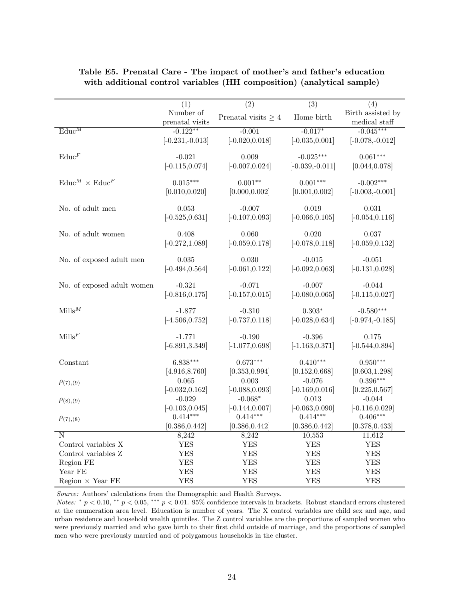|                                      | (1)                          | $\overline{(2)}$         | $\overline{(3)}$  | (4)                                |
|--------------------------------------|------------------------------|--------------------------|-------------------|------------------------------------|
|                                      | Number of<br>prenatal visits | Prenatal visits $\geq 4$ | Home birth        | Birth assisted by<br>medical staff |
| $\text{Educ}^M$                      | $-0.122**$                   | $-0.001$                 | $-0.017*$         | $-0.045***$                        |
|                                      | $[-0.231, -0.013]$           | $[-0.020, 0.018]$        | $[-0.035, 0.001]$ | $[-0.078,-0.012]$                  |
| $\text{Educ}^F$                      | $-0.021$                     | 0.009                    | $-0.025***$       | $0.061***$                         |
|                                      | $[-0.115, 0.074]$            | $[-0.007, 0.024]$        | $[-0.039,-0.011]$ | [0.044, 0.078]                     |
|                                      |                              |                          |                   |                                    |
| $\text{Educ}^M \times \text{Educ}^F$ | $0.015***$                   | $0.001**$                | $0.001***$        | $-0.002***$                        |
|                                      | [0.010, 0.020]               | [0.000, 0.002]           | [0.001, 0.002]    | $[-0.003,-0.001]$                  |
|                                      |                              |                          |                   |                                    |
| No. of adult men                     | 0.053                        | $-0.007$                 | 0.019             | 0.031                              |
|                                      | $[-0.525, 0.631]$            | $[-0.107, 0.093]$        | $[-0.066, 0.105]$ | $[-0.054, 0.116]$                  |
|                                      |                              |                          |                   |                                    |
| No. of adult women                   | 0.408                        | 0.060                    | 0.020             | 0.037                              |
|                                      | $[-0.272, 1.089]$            | $[-0.059, 0.178]$        | $[-0.078, 0.118]$ | $[-0.059, 0.132]$                  |
| No. of exposed adult men             | 0.035                        | 0.030                    | $-0.015$          | $-0.051$                           |
|                                      | $[-0.494, 0.564]$            | $[-0.061, 0.122]$        | $[-0.092, 0.063]$ | $[-0.131, 0.028]$                  |
|                                      |                              |                          |                   |                                    |
| No. of exposed adult women           | $-0.321$                     | $-0.071$                 | $-0.007$          | $-0.044$                           |
|                                      | $[-0.816, 0.175]$            | $[-0.157, 0.015]$        | $[-0.080, 0.065]$ | $[-0.115, 0.027]$                  |
|                                      |                              |                          |                   |                                    |
| $Mills^M$                            | $-1.877$                     | $-0.310$                 | $0.303*$          | $-0.580***$                        |
|                                      | $[-4.506, 0.752]$            | $[-0.737, 0.118]$        | $[-0.028, 0.634]$ | $[-0.974, -0.185]$                 |
|                                      |                              |                          |                   |                                    |
| $\text{Mills}^F$                     | $-1.771$                     | $-0.190$                 | $-0.396$          | 0.175                              |
|                                      | $[-6.891, 3.349]$            | $[-1.077, 0.698]$        | $[-1.163, 0.371]$ | $[-0.544, 0.894]$                  |
| Constant                             | $6.838***$                   | $0.673***$               | $0.410***$        | $0.950***$                         |
|                                      | [4.916, 8.760]               | [0.353, 0.994]           | [0.152, 0.668]    | [0.603, 1.298]                     |
| $\rho_{(7),(9)}$                     | 0.065                        | 0.003                    | $-0.076$          | $0.396***$                         |
|                                      | $[-0.032, 0.162]$            | $[-0.088, 0.093]$        | $[-0.169, 0.016]$ | [0.225, 0.567]                     |
| $\rho_{(8),(9)}$                     | $-0.029$                     | $-0.068*$                | 0.013             | $-0.044$                           |
|                                      | $[-0.103, 0.045]$            | $[-0.144, 0.007]$        | $[-0.063, 0.090]$ | $[-0.116, 0.029]$                  |
| $\rho_{(7),(8)}$                     | $0.414***$                   | $0.414***$               | $0.414***$        | $0.406***$                         |
|                                      | [0.386, 0.442]               | [0.386, 0.442]           | [0.386, 0.442]    | [0.378, 0.433]                     |
| N                                    | 8,242                        | 8,242                    | 10,553            | 11,612                             |
| Control variables X                  | <b>YES</b>                   | <b>YES</b>               | YES               | <b>YES</b>                         |
| Control variables Z                  | <b>YES</b>                   | <b>YES</b>               | <b>YES</b>        | <b>YES</b>                         |
| Region FE                            | <b>YES</b>                   | <b>YES</b>               | <b>YES</b>        | <b>YES</b>                         |
| Year FE                              | <b>YES</b>                   | <b>YES</b>               | <b>YES</b>        | <b>YES</b>                         |
| Region $\times$ Year FE              | <b>YES</b>                   | <b>YES</b>               | <b>YES</b>        | <b>YES</b>                         |

## Table E5. Prenatal Care - The impact of mother's and father's education with additional control variables (HH composition) (analytical sample)

Source: Authors' calculations from the Demographic and Health Surveys.

Notes: \*  $p < 0.10$ , \*\*  $p < 0.05$ , \*\*\*  $p < 0.01$ . 95% confidence intervals in brackets. Robust standard errors clustered at the enumeration area level. Education is number of years. The X control variables are child sex and age, and urban residence and household wealth quintiles. The Z control variables are the proportions of sampled women who were previously married and who gave birth to their first child outside of marriage, and the proportions of sampled men who were previously married and of polygamous households in the cluster.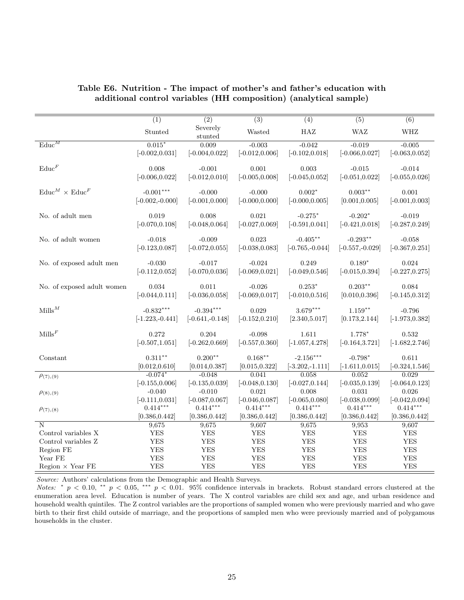|                                      | $\overline{(1)}$   | $\overline{(2)}$    | $\overline{(3)}$  | $\overline{(4)}$   | $\overline{(5)}$  | $\overline{(6)}$  |
|--------------------------------------|--------------------|---------------------|-------------------|--------------------|-------------------|-------------------|
|                                      | Stunted            | Severely<br>stunted | Wasted            | HAZ                | <b>WAZ</b>        | WHZ               |
| $\overline{\text{Educ}}^M$           | $0.015*$           | 0.009               | $-0.003$          | $-0.042$           | $-0.019$          | $-0.005$          |
|                                      | $[-0.002, 0.031]$  | $[-0.004, 0.022]$   | $[-0.012, 0.006]$ | $[-0.102, 0.018]$  | $[-0.066, 0.027]$ | $[-0.063, 0.052]$ |
| $\text{Educ}^F$                      | 0.008              | $-0.001$            | 0.001             | 0.003              | $-0.015$          | $-0.014$          |
|                                      | $[-0.006, 0.022]$  | $[-0.012, 0.010]$   | $[-0.005, 0.008]$ | $[-0.045, 0.052]$  | $[-0.051, 0.022]$ | $[-0.055, 0.026]$ |
| $\text{Educ}^M \times \text{Educ}^F$ | $-0.001***$        | $-0.000$            | $-0.000$          | $0.002*$           | $0.003***$        | 0.001             |
|                                      | $[-0.002,-0.000]$  | $[-0.001, 0.000]$   | $[-0.000, 0.000]$ | $[-0.000, 0.005]$  | [0.001, 0.005]    | $[-0.001, 0.003]$ |
|                                      |                    |                     |                   |                    |                   |                   |
| No. of adult men                     | 0.019              | 0.008               | 0.021             | $-0.275*$          | $-0.202*$         | $-0.019$          |
|                                      | $[-0.070, 0.108]$  | $[-0.048, 0.064]$   | $[-0.027, 0.069]$ | $[-0.591, 0.041]$  | $[-0.421, 0.018]$ | $[-0.287, 0.249]$ |
| No. of adult women                   | $-0.018$           | $-0.009$            | 0.023             | $-0.405***$        | $-0.293**$        | $-0.058$          |
|                                      | $[-0.123, 0.087]$  | $[-0.072, 0.055]$   | $[-0.038, 0.083]$ | $[-0.765, -0.044]$ | $[-0.557,-0.029]$ | $[-0.367, 0.251]$ |
|                                      |                    |                     |                   |                    |                   |                   |
| No. of exposed adult men             | $-0.030$           | $-0.017$            | $-0.024$          | 0.249              | $0.189*$          | 0.024             |
|                                      | $[-0.112, 0.052]$  | $[-0.070, 0.036]$   | $[-0.069, 0.021]$ | $[-0.049, 0.546]$  | $[-0.015, 0.394]$ | $[-0.227, 0.275]$ |
| No. of exposed adult women           | 0.034              | 0.011               | $-0.026$          | $0.253*$           | $0.203**$         | 0.084             |
|                                      | $[-0.044, 0.111]$  | $[-0.036, 0.058]$   | $[-0.069, 0.017]$ | $[-0.010, 0.516]$  | [0.010, 0.396]    | $[-0.145, 0.312]$ |
| $Mills^M$                            | $-0.832***$        | $-0.394***$         | 0.029             | $3.679***$         | $1.159***$        | $-0.796$          |
|                                      | $[-1.223, -0.441]$ | $[-0.641, -0.148]$  | $[-0.152, 0.210]$ | [2.340, 5.017]     | [0.173, 2.144]    | $[-1.973, 0.382]$ |
|                                      |                    |                     |                   |                    |                   |                   |
| $\mathrm{Mills}^F$                   | 0.272              | 0.204               | $-0.098$          | 1.611              | 1.778*            | 0.532             |
|                                      | $[-0.507, 1.051]$  | $[-0.262, 0.669]$   | $[-0.557, 0.360]$ | $[-1.057, 4.278]$  | $[-0.164, 3.721]$ | $[-1.682, 2.746]$ |
| Constant                             | $0.311***$         | $0.200**$           | $0.168***$        | $-2.156***$        | $-0.798*$         | 0.611             |
|                                      | [0.012, 0.610]     | [0.014, 0.387]      | [0.015, 0.322]    | $[-3.202,-1.111]$  | $[-1.611, 0.015]$ | $[-0.324, 1.546]$ |
| $\rho_{(7),(9)}$                     | $-0.074*$          | $-0.048$            | 0.041             | 0.058              | 0.052             | 0.029             |
|                                      | $[-0.155, 0.006]$  | $[-0.135, 0.039]$   | $[-0.048, 0.130]$ | $[-0.027, 0.144]$  | $[-0.035, 0.139]$ | $[-0.064, 0.123]$ |
| $\rho_{(8),(9)}$                     | $-0.040$           | $-0.010$            | 0.021             | 0.008              | 0.031             | 0.026             |
|                                      | $[-0.111, 0.031]$  | $[-0.087, 0.067]$   | $[-0.046, 0.087]$ | $[-0.065, 0.080]$  | $[-0.038, 0.099]$ | $[-0.042, 0.094]$ |
| $\rho_{(7),(8)}$                     | $0.414***$         | $0.414***$          | $0.414***$        | $0.414***$         | $0.414***$        | $0.414***$        |
|                                      | [0.386, 0.442]     | [0.386, 0.442]      | [0.386, 0.442]    | [0.386, 0.442]     | [0.386, 0.442]    | [0.386, 0.442]    |
| N                                    | 9,675              | 9,675               | 9,607             | 9,675              | 9,953             | 9,607             |
| Control variables X                  | <b>YES</b>         | <b>YES</b>          | <b>YES</b>        | <b>YES</b>         | <b>YES</b>        | <b>YES</b>        |
| Control variables Z                  | <b>YES</b>         | <b>YES</b>          | <b>YES</b>        | <b>YES</b>         | <b>YES</b>        | <b>YES</b>        |
| Region FE                            | <b>YES</b>         | <b>YES</b>          | <b>YES</b>        | <b>YES</b>         | <b>YES</b>        | <b>YES</b>        |
| Year FE                              | <b>YES</b>         | <b>YES</b>          | <b>YES</b>        | <b>YES</b>         | <b>YES</b>        | <b>YES</b>        |
| Region $\times$ Year FE              | <b>YES</b>         | <b>YES</b>          | <b>YES</b>        | <b>YES</b>         | <b>YES</b>        | <b>YES</b>        |

## Table E6. Nutrition - The impact of mother's and father's education with additional control variables (HH composition) (analytical sample)

Source: Authors' calculations from the Demographic and Health Surveys.

Notes: \*  $p < 0.10$ , \*\*  $p < 0.05$ , \*\*\*  $p < 0.01$ . 95% confidence intervals in brackets. Robust standard errors clustered at the enumeration area level. Education is number of years. The X control variables are child sex and age, and urban residence and household wealth quintiles. The Z control variables are the proportions of sampled women who were previously married and who gave birth to their first child outside of marriage, and the proportions of sampled men who were previously married and of polygamous households in the cluster.